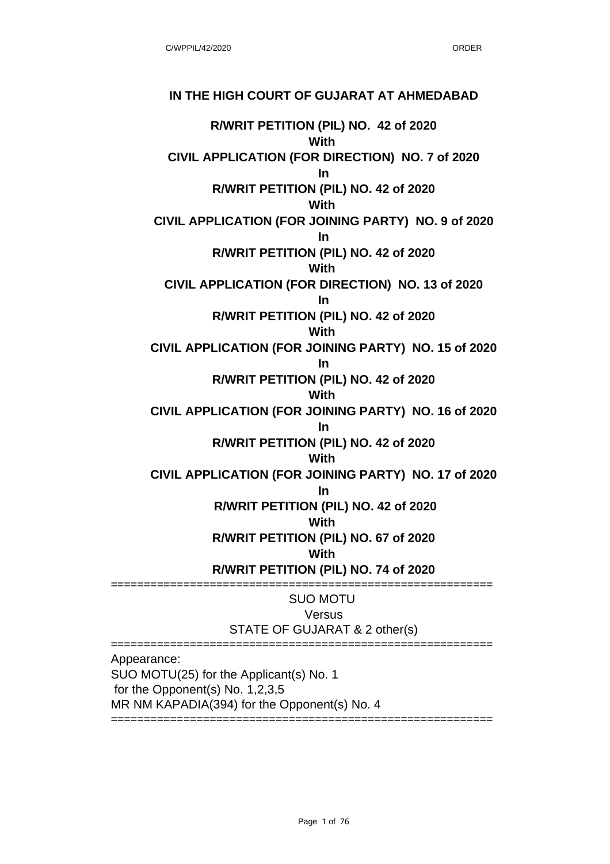## **IN THE HIGH COURT OF GUJARAT AT AHMEDABAD**

**R/WRIT PETITION (PIL) NO. 42 of 2020 With CIVIL APPLICATION (FOR DIRECTION) NO. 7 of 2020 In R/WRIT PETITION (PIL) NO. 42 of 2020 With CIVIL APPLICATION (FOR JOINING PARTY) NO. 9 of 2020 In R/WRIT PETITION (PIL) NO. 42 of 2020 With CIVIL APPLICATION (FOR DIRECTION) NO. 13 of 2020 In R/WRIT PETITION (PIL) NO. 42 of 2020 With CIVIL APPLICATION (FOR JOINING PARTY) NO. 15 of 2020 In R/WRIT PETITION (PIL) NO. 42 of 2020 With CIVIL APPLICATION (FOR JOINING PARTY) NO. 16 of 2020 In R/WRIT PETITION (PIL) NO. 42 of 2020 With CIVIL APPLICATION (FOR JOINING PARTY) NO. 17 of 2020 In R/WRIT PETITION (PIL) NO. 42 of 2020 With R/WRIT PETITION (PIL) NO. 67 of 2020 With R/WRIT PETITION (PIL) NO. 74 of 2020** ========================================================== SUO MOTU Versus STATE OF GUJARAT & 2 other(s) ========================================================== Appearance: SUO MOTU(25) for the Applicant(s) No. 1 for the Opponent(s) No. 1,2,3,5 MR NM KAPADIA(394) for the Opponent(s) No. 4

==================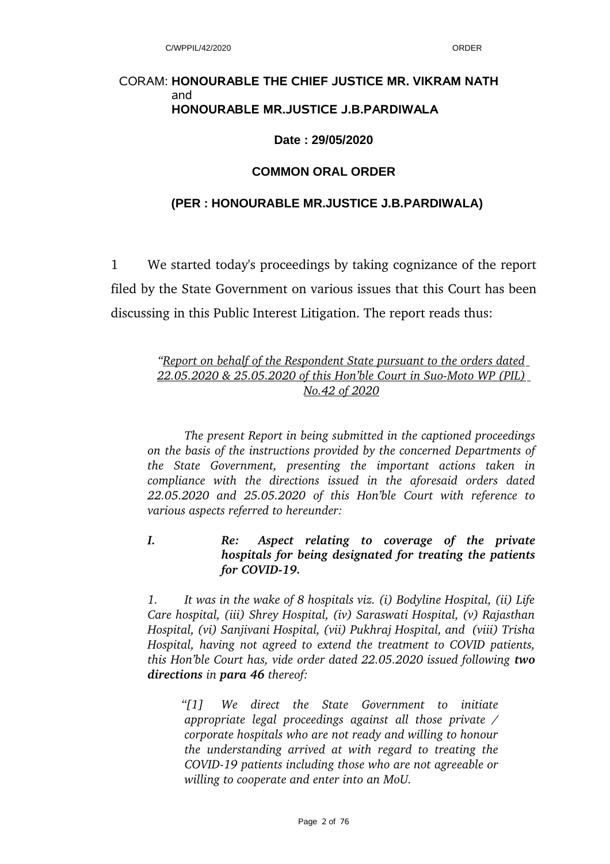#### CORAM: **HONOURABLE THE CHIEF JUSTICE MR. VIKRAM NATH** and **HONOURABLE MR.JUSTICE J.B.PARDIWALA**

#### **Date : 29/05/2020**

#### **COMMON ORAL ORDER**

#### **(PER : HONOURABLE MR.JUSTICE J.B.PARDIWALA)**

1 We started today's proceedings by taking cognizance of the report filed by the State Government on various issues that this Court has been discussing in this Public Interest Litigation. The report reads thus:

## *"Report on behalf of the Respondent State pursuant to the orders dated* 22.05.2020 & 25.05.2020 of this Hon'ble Court in Suo-Moto WP (PIL) *No.42 of 2020*

*The present Report in being submitted in the captioned proceedings on the basis of the instructions provided by the concerned Departments of the State Government, presenting the important actions taken in compliance with the directions issued in the aforesaid orders dated 22.05.2020 and 25.05.2020 of this Hon'ble Court with reference to various aspects referred to hereunder:* 

*I. Re: Aspect relating to coverage of the private hospitals for being designated for treating the patients* for COVID-19.

*1. It was in the wake of 8 hospitals viz. (i) Bodyline Hospital, (ii) Life Care hospital, (iii) Shrey Hospital, (iv) Saraswati Hospital, (v) Rajasthan Hospital, (vi) Sanjivani Hospital, (vii) Pukhraj Hospital, and (viii) Trisha Hospital, having not agreed to extend the treatment to COVID patients, this Hon'ble Court has, vide order dated 22.05.2020 issued following two directions in para 46 thereof:*

*"[1] We direct the State Government to initiate appropriate legal proceedings against all those private / corporate hospitals who are not ready and willing to honour the understanding arrived at with regard to treating the COVID19 patients including those who are not agreeable or willing to cooperate and enter into an MoU.*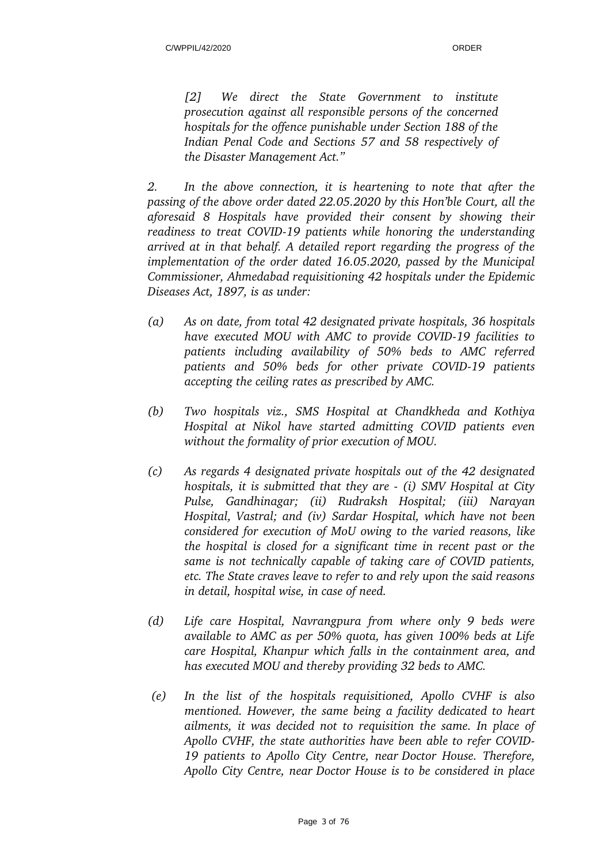*[2] We direct the State Government to institute prosecution against all responsible persons of the concerned hospitals for the offence punishable under Section 188 of the Indian Penal Code and Sections 57 and 58 respectively of the Disaster Management Act."*

*2. In the above connection, it is heartening to note that after the passing of the above order dated 22.05.2020 by this Hon'ble Court, all the aforesaid 8 Hospitals have provided their consent by showing their readiness to treat COVID19 patients while honoring the understanding arrived at in that behalf. A detailed report regarding the progress of the implementation of the order dated 16.05.2020, passed by the Municipal Commissioner, Ahmedabad requisitioning 42 hospitals under the Epidemic Diseases Act, 1897, is as under:*

- *(a) As on date, from total 42 designated private hospitals, 36 hospitals have executed MOU with AMC to provide COVID19 facilities to patients including availability of 50% beds to AMC referred patients and 50% beds for other private COVID19 patients accepting the ceiling rates as prescribed by AMC.*
- *(b) Two hospitals viz., SMS Hospital at Chandkheda and Kothiya Hospital at Nikol have started admitting COVID patients even without the formality of prior execution of MOU.*
- *(c) As regards 4 designated private hospitals out of the 42 designated hospitals, it is submitted that they are (i) SMV Hospital at City Pulse, Gandhinagar; (ii) Rudraksh Hospital; (iii) Narayan Hospital, Vastral; and (iv) Sardar Hospital, which have not been considered for execution of MoU owing to the varied reasons, like the hospital is closed for a significant time in recent past or the same is not technically capable of taking care of COVID patients, etc. The State craves leave to refer to and rely upon the said reasons in detail, hospital wise, in case of need.*
- *(d) Life care Hospital, Navrangpura from where only 9 beds were available to AMC as per 50% quota, has given 100% beds at Life care Hospital, Khanpur which falls in the containment area, and has executed MOU and thereby providing 32 beds to AMC.*
- *(e) In the list of the hospitals requisitioned, Apollo CVHF is also mentioned. However, the same being a facility dedicated to heart ailments, it was decided not to requisition the same. In place of Apollo CVHF, the state authorities have been able to refer COVID-19 patients to Apollo City Centre, near Doctor House. Therefore, Apollo City Centre, near Doctor House is to be considered in place*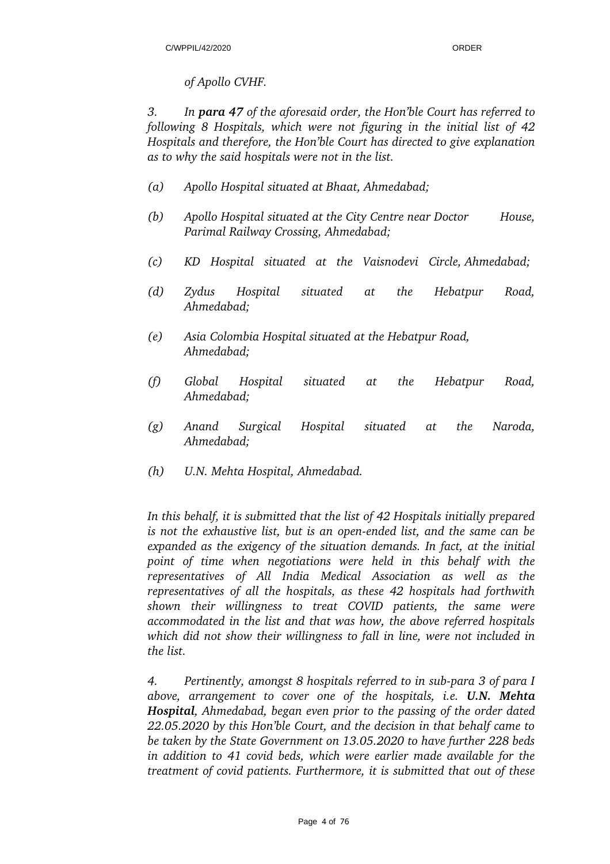### *of Apollo CVHF.*

*3. In para 47 of the aforesaid order, the Hon'ble Court has referred to following 8 Hospitals, which were not figuring in the initial list of 42 Hospitals and therefore, the Hon'ble Court has directed to give explanation as to why the said hospitals were not in the list.* 

- *(a) Apollo Hospital situated at Bhaat, Ahmedabad;*
- *(b) Apollo Hospital situated at the City Centre near Doctor House, Parimal Railway Crossing, Ahmedabad;*
- *(c) KD Hospital situated at the Vaisnodevi Circle, Ahmedabad;*
- *(d) Zydus Hospital situated at the Hebatpur Road, Ahmedabad;*
- *(e) Asia Colombia Hospital situated at the Hebatpur Road, Ahmedabad;*
- *(f) Global Hospital situated at the Hebatpur Road, Ahmedabad;*
- *(g) Anand Surgical Hospital situated at the Naroda, Ahmedabad;*
- *(h) U.N. Mehta Hospital, Ahmedabad.*

*In this behalf, it is submitted that the list of 42 Hospitals initially prepared is not the exhaustive list, but is an openended list, and the same can be expanded as the exigency of the situation demands. In fact, at the initial point of time when negotiations were held in this behalf with the representatives of All India Medical Association as well as the representatives of all the hospitals, as these 42 hospitals had forthwith shown their willingness to treat COVID patients, the same were accommodated in the list and that was how, the above referred hospitals which did not show their willingness to fall in line, were not included in the list.* 

4. Pertinently, amongst 8 hospitals referred to in sub-para 3 of para I *above, arrangement to cover one of the hospitals, i.e. U.N. Mehta Hospital, Ahmedabad, began even prior to the passing of the order dated 22.05.2020 by this Hon'ble Court, and the decision in that behalf came to be taken by the State Government on 13.05.2020 to have further 228 beds in addition to 41 covid beds, which were earlier made available for the treatment of covid patients. Furthermore, it is submitted that out of these*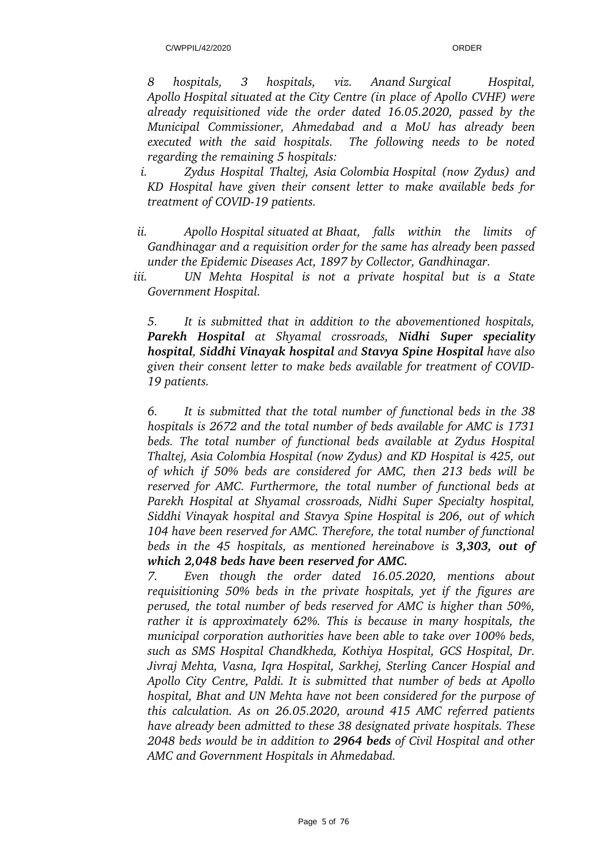*8 hospitals, 3 hospitals, viz. Anand Surgical Hospital, Apollo Hospital situated at the City Centre (in place of Apollo CVHF) were already requisitioned vide the order dated 16.05.2020, passed by the Municipal Commissioner, Ahmedabad and a MoU has already been executed with the said hospitals. The following needs to be noted regarding the remaining 5 hospitals:*

*i. Zydus Hospital Thaltej, Asia Colombia Hospital (now Zydus) and KD Hospital have given their consent letter to make available beds for treatment of COVID-19 patients.* 

- *ii. Apollo Hospital situated at Bhaat, falls within the limits of Gandhinagar and a requisition order for the same has already been passed under the Epidemic Diseases Act, 1897 by Collector, Gandhinagar.*
- *iii. UN Mehta Hospital is not a private hospital but is a State Government Hospital.*

*5. It is submitted that in addition to the abovementioned hospitals, Parekh Hospital at Shyamal crossroads, Nidhi Super speciality hospital, Siddhi Vinayak hospital and Stavya Spine Hospital have also given their consent letter to make beds available for treatment of COVID-19 patients.* 

*6. It is submitted that the total number of functional beds in the 38 hospitals is 2672 and the total number of beds available for AMC is 1731 beds. The total number of functional beds available at Zydus Hospital Thaltej, Asia Colombia Hospital (now Zydus) and KD Hospital is 425, out of which if 50% beds are considered for AMC, then 213 beds will be reserved for AMC. Furthermore, the total number of functional beds at Parekh Hospital at Shyamal crossroads, Nidhi Super Specialty hospital, Siddhi Vinayak hospital and Stavya Spine Hospital is 206, out of which 104 have been reserved for AMC. Therefore, the total number of functional beds in the 45 hospitals, as mentioned hereinabove is 3,303, out of which 2,048 beds have been reserved for AMC.* 

*7. Even though the order dated 16.05.2020, mentions about requisitioning 50% beds in the private hospitals, yet if the figures are perused, the total number of beds reserved for AMC is higher than 50%, rather it is approximately 62%. This is because in many hospitals, the municipal corporation authorities have been able to take over 100% beds, such as SMS Hospital Chandkheda, Kothiya Hospital, GCS Hospital, Dr. Jivraj Mehta, Vasna, Iqra Hospital, Sarkhej, Sterling Cancer Hospial and Apollo City Centre, Paldi. It is submitted that number of beds at Apollo hospital, Bhat and UN Mehta have not been considered for the purpose of this calculation. As on 26.05.2020, around 415 AMC referred patients have already been admitted to these 38 designated private hospitals. These 2048 beds would be in addition to 2964 beds of Civil Hospital and other AMC and Government Hospitals in Ahmedabad.*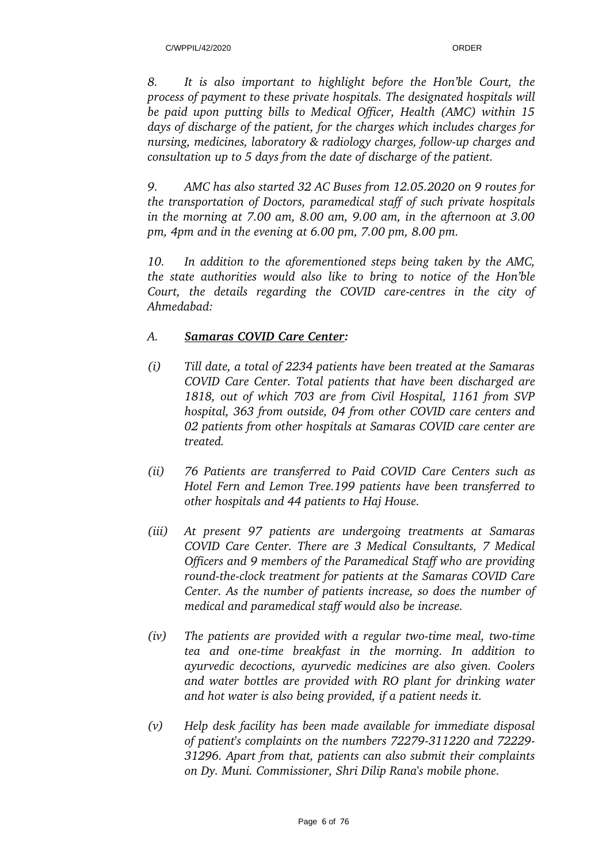*8. It is also important to highlight before the Hon'ble Court, the process of payment to these private hospitals. The designated hospitals will be paid upon putting bills to Medical Officer, Health (AMC) within 15 days of discharge of the patient, for the charges which includes charges for nursing, medicines, laboratory & radiology charges, followup charges and consultation up to 5 days from the date of discharge of the patient.*

*9. AMC has also started 32 AC Buses from 12.05.2020 on 9 routes for the transportation of Doctors, paramedical staff of such private hospitals in the morning at 7.00 am, 8.00 am, 9.00 am, in the afternoon at 3.00 pm, 4pm and in the evening at 6.00 pm, 7.00 pm, 8.00 pm.* 

*10. In addition to the aforementioned steps being taken by the AMC, the state authorities would also like to bring to notice of the Hon'ble Court, the details regarding the COVID care-centres in the city of Ahmedabad:*

## *A. Samaras COVID Care Center:*

- *(i) Till date, a total of 2234 patients have been treated at the Samaras COVID Care Center. Total patients that have been discharged are 1818, out of which 703 are from Civil Hospital, 1161 from SVP hospital, 363 from outside, 04 from other COVID care centers and 02 patients from other hospitals at Samaras COVID care center are treated.*
- *(ii) 76 Patients are transferred to Paid COVID Care Centers such as Hotel Fern and Lemon Tree.199 patients have been transferred to other hospitals and 44 patients to Haj House.*
- *(iii) At present 97 patients are undergoing treatments at Samaras COVID Care Center. There are 3 Medical Consultants, 7 Medical Officers and 9 members of the Paramedical Staff who are providing* round-the-clock treatment for patients at the Samaras COVID Care *Center. As the number of patients increase, so does the number of medical and paramedical staff would also be increase.*
- *(iv)* The patients are provided with a regular two-time meal, two-time tea and one-time breakfast in the morning. In addition to *ayurvedic decoctions, ayurvedic medicines are also given. Coolers and water bottles are provided with RO plant for drinking water and hot water is also being provided, if a patient needs it.*
- *(v) Help desk facility has been made available for immediate disposal* of patient's complaints on the numbers 72279-311220 and 72229-*31296. Apart from that, patients can also submit their complaints on Dy. Muni. Commissioner, Shri Dilip Rana's mobile phone.*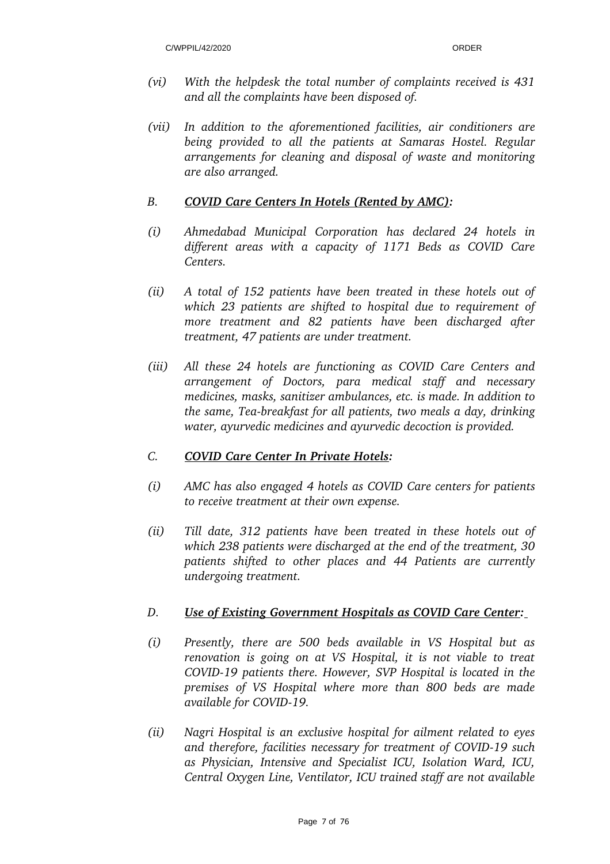- *(vi) With the helpdesk the total number of complaints received is 431 and all the complaints have been disposed of.*
- *(vii) In addition to the aforementioned facilities, air conditioners are being provided to all the patients at Samaras Hostel. Regular arrangements for cleaning and disposal of waste and monitoring are also arranged.*

### *B. COVID Care Centers In Hotels (Rented by AMC):*

- *(i) Ahmedabad Municipal Corporation has declared 24 hotels in different areas with a capacity of 1171 Beds as COVID Care Centers.*
- *(ii) A total of 152 patients have been treated in these hotels out of which 23 patients are shifted to hospital due to requirement of more treatment and 82 patients have been discharged after treatment, 47 patients are under treatment.*
- *(iii) All these 24 hotels are functioning as COVID Care Centers and arrangement of Doctors, para medical staff and necessary medicines, masks, sanitizer ambulances, etc. is made. In addition to the same, Tea-breakfast for all patients, two meals a day, drinking water, ayurvedic medicines and ayurvedic decoction is provided.*

### *C. COVID Care Center In Private Hotels:*

- *(i) AMC has also engaged 4 hotels as COVID Care centers for patients to receive treatment at their own expense.*
- *(ii) Till date, 312 patients have been treated in these hotels out of which 238 patients were discharged at the end of the treatment, 30 patients shifted to other places and 44 Patients are currently undergoing treatment.*

### *D. Use of Existing Government Hospitals as COVID Care Center:*

- *(i) Presently, there are 500 beds available in VS Hospital but as renovation is going on at VS Hospital, it is not viable to treat COVID19 patients there. However, SVP Hospital is located in the premises of VS Hospital where more than 800 beds are made available for COVID19.*
- *(ii) Nagri Hospital is an exclusive hospital for ailment related to eyes and therefore, facilities necessary for treatment of COVID19 such as Physician, Intensive and Specialist ICU, Isolation Ward, ICU, Central Oxygen Line, Ventilator, ICU trained staff are not available*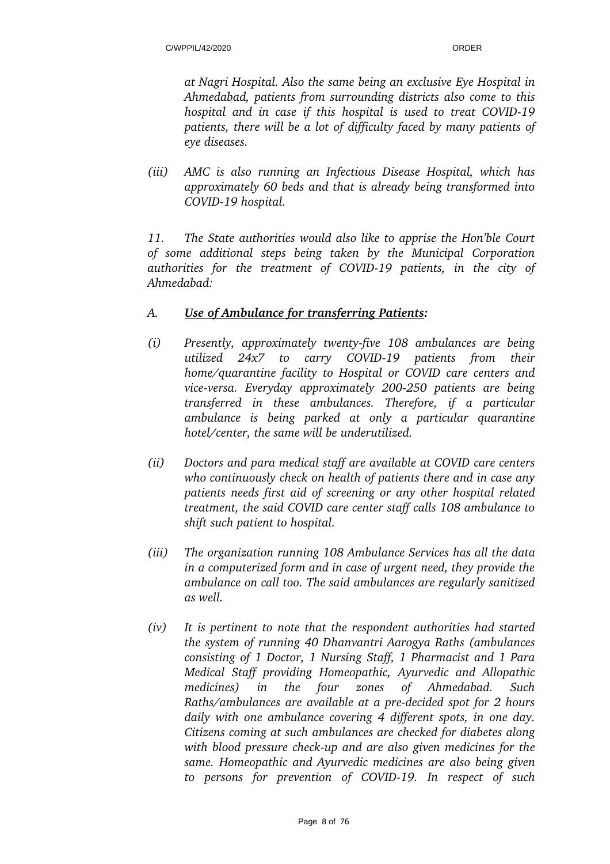*at Nagri Hospital. Also the same being an exclusive Eye Hospital in Ahmedabad, patients from surrounding districts also come to this hospital and in case if this hospital is used to treat COVID19 patients, there will be a lot of difficulty faced by many patients of eye diseases.* 

*(iii) AMC is also running an Infectious Disease Hospital, which has approximately 60 beds and that is already being transformed into COVID19 hospital.*

*11. The State authorities would also like to apprise the Hon'ble Court of some additional steps being taken by the Municipal Corporation authorities for the treatment of COVID19 patients, in the city of Ahmedabad:*

## *A. Use of Ambulance for transferring Patients:*

- *(i)* Presently, approximately twenty-five 108 ambulances are being *utilized 24x7 to carry COVID19 patients from their home/quarantine facility to Hospital or COVID care centers and* vice-versa. Everyday approximately 200-250 patients are being *transferred in these ambulances. Therefore, if a particular ambulance is being parked at only a particular quarantine hotel/center, the same will be underutilized.*
- *(ii) Doctors and para medical staff are available at COVID care centers who continuously check on health of patients there and in case any patients needs first aid of screening or any other hospital related treatment, the said COVID care center staff calls 108 ambulance to shift such patient to hospital.*
- *(iii) The organization running 108 Ambulance Services has all the data in a computerized form and in case of urgent need, they provide the ambulance on call too. The said ambulances are regularly sanitized as well.*
- *(iv) It is pertinent to note that the respondent authorities had started the system of running 40 Dhanvantri Aarogya Raths (ambulances consisting of 1 Doctor, 1 Nursing Staff, 1 Pharmacist and 1 Para Medical Staff providing Homeopathic, Ayurvedic and Allopathic medicines) in the four zones of Ahmedabad. Such Raths/ambulances are available at a pre-decided spot for 2 hours daily with one ambulance covering 4 different spots, in one day. Citizens coming at such ambulances are checked for diabetes along* with blood pressure check-up and are also given medicines for the *same. Homeopathic and Ayurvedic medicines are also being given to persons for prevention of COVID19. In respect of such*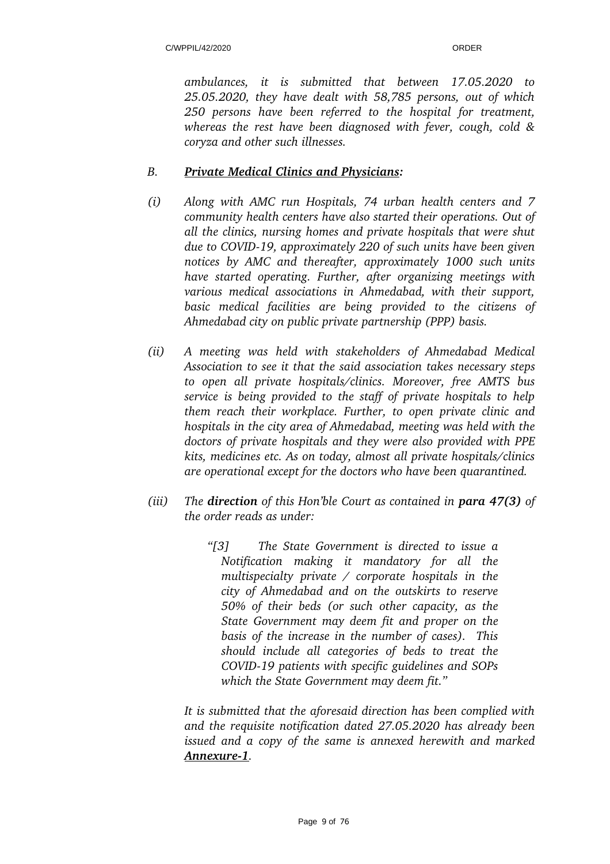*ambulances, it is submitted that between 17.05.2020 to 25.05.2020, they have dealt with 58,785 persons, out of which 250 persons have been referred to the hospital for treatment, whereas the rest have been diagnosed with fever, cough, cold & coryza and other such illnesses.* 

## *B. Private Medical Clinics and Physicians:*

- *(i) Along with AMC run Hospitals, 74 urban health centers and 7 community health centers have also started their operations. Out of all the clinics, nursing homes and private hospitals that were shut due to COVID19, approximately 220 of such units have been given notices by AMC and thereafter, approximately 1000 such units have started operating. Further, after organizing meetings with various medical associations in Ahmedabad, with their support, basic medical facilities are being provided to the citizens of Ahmedabad city on public private partnership (PPP) basis.*
- *(ii) A meeting was held with stakeholders of Ahmedabad Medical Association to see it that the said association takes necessary steps to open all private hospitals/clinics. Moreover, free AMTS bus service is being provided to the staff of private hospitals to help them reach their workplace. Further, to open private clinic and hospitals in the city area of Ahmedabad, meeting was held with the doctors of private hospitals and they were also provided with PPE kits, medicines etc. As on today, almost all private hospitals/clinics are operational except for the doctors who have been quarantined.*
- *(iii) The direction of this Hon'ble Court as contained in para 47(3) of the order reads as under:*
	- *"[3] The State Government is directed to issue a Notification making it mandatory for all the multispecialty private / corporate hospitals in the city of Ahmedabad and on the outskirts to reserve 50% of their beds (or such other capacity, as the State Government may deem fit and proper on the basis of the increase in the number of cases). This should include all categories of beds to treat the COVID19 patients with specific guidelines and SOPs which the State Government may deem fit."*

*It is submitted that the aforesaid direction has been complied with and the requisite notification dated 27.05.2020 has already been issued and a copy of the same is annexed herewith and marked Annexure1.*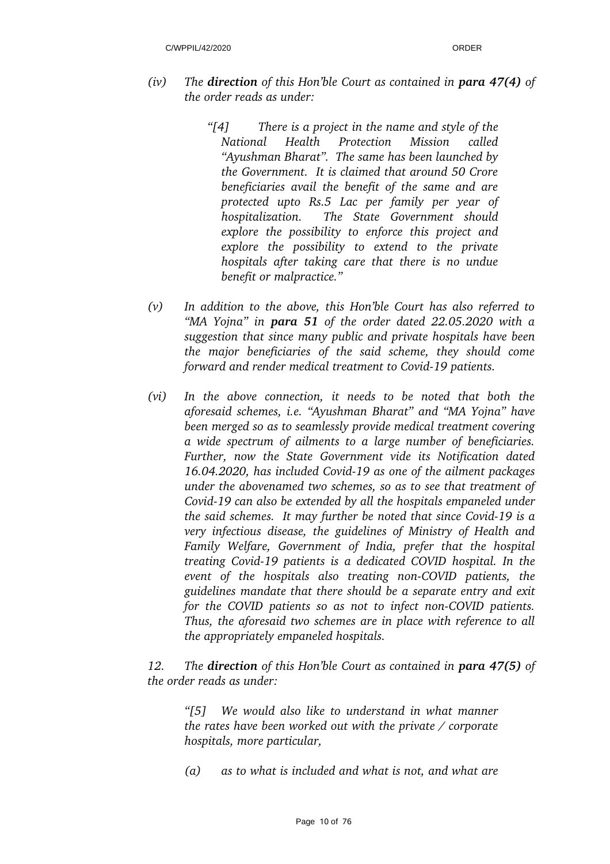- *(iv) The direction of this Hon'ble Court as contained in para 47(4) of the order reads as under:*
	- *"[4] There is a project in the name and style of the National Health Protection Mission called "Ayushman Bharat". The same has been launched by the Government. It is claimed that around 50 Crore beneficiaries avail the benefit of the same and are protected upto Rs.5 Lac per family per year of hospitalization. The State Government should explore the possibility to enforce this project and explore the possibility to extend to the private hospitals after taking care that there is no undue benefit or malpractice."*
- *(v) In addition to the above, this Hon'ble Court has also referred to "MA Yojna" in para 51 of the order dated 22.05.2020 with a suggestion that since many public and private hospitals have been the major beneficiaries of the said scheme, they should come forward and render medical treatment to Covid-19 patients.*
- *(vi) In the above connection, it needs to be noted that both the aforesaid schemes, i.e. "Ayushman Bharat" and "MA Yojna" have been merged so as to seamlessly provide medical treatment covering a wide spectrum of ailments to a large number of beneficiaries. Further, now the State Government vide its Notification dated* 16.04.2020, has included Covid-19 as one of the ailment packages *under the abovenamed two schemes, so as to see that treatment of Covid-19 can also be extended by all the hospitals empaneled under the said schemes. It may further be noted that since Covid-19 is a very infectious disease, the guidelines of Ministry of Health and Family Welfare, Government of India, prefer that the hospital treating Covid19 patients is a dedicated COVID hospital. In the event of the hospitals also treating non-COVID patients, the guidelines mandate that there should be a separate entry and exit for the COVID patients so as not to infect non-COVID patients. Thus, the aforesaid two schemes are in place with reference to all the appropriately empaneled hospitals.*

*12. The direction of this Hon'ble Court as contained in para 47(5) of the order reads as under:*

*"[5] We would also like to understand in what manner the rates have been worked out with the private / corporate hospitals, more particular,*

*(a) as to what is included and what is not, and what are*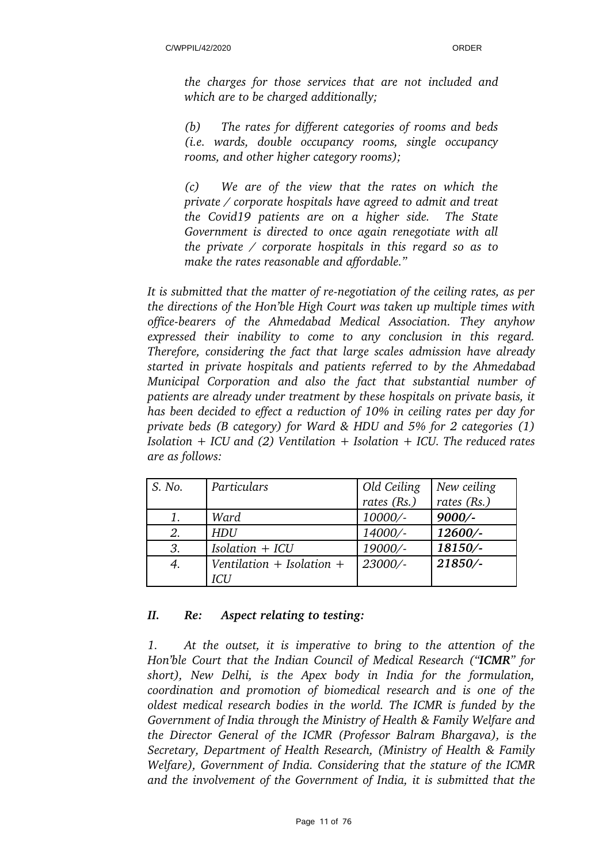*the charges for those services that are not included and which are to be charged additionally;*

*(b) The rates for different categories of rooms and beds (i.e. wards, double occupancy rooms, single occupancy rooms, and other higher category rooms);* 

*(c) We are of the view that the rates on which the private / corporate hospitals have agreed to admit and treat the Covid19 patients are on a higher side. The State Government is directed to once again renegotiate with all the private / corporate hospitals in this regard so as to make the rates reasonable and affordable."* 

It is submitted that the matter of re-negotiation of the ceiling rates, as per *the directions of the Hon'ble High Court was taken up multiple times with officebearers of the Ahmedabad Medical Association. They anyhow expressed their inability to come to any conclusion in this regard. Therefore, considering the fact that large scales admission have already started in private hospitals and patients referred to by the Ahmedabad Municipal Corporation and also the fact that substantial number of patients are already under treatment by these hospitals on private basis, it has been decided to effect a reduction of 10% in ceiling rates per day for private beds (B category) for Ward & HDU and 5% for 2 categories (1) Isolation + ICU and (2) Ventilation + Isolation + ICU. The reduced rates are as follows:*

| S. No. | Particulars                   | Old Ceiling | New ceiling |
|--------|-------------------------------|-------------|-------------|
|        |                               | rates (Rs.) | rates (Rs.) |
|        | Ward                          | 10000/-     | $9000/-$    |
| 2.     | <b>HDU</b>                    | 14000/-     | 12600/-     |
| 3.     | $Isolation + ICU$             | 19000/-     | 18150/-     |
| 4.     | Ventilation $+$ Isolation $+$ | 23000/-     | 21850/-     |
|        | ICU                           |             |             |

### *II. Re: Aspect relating to testing:*

*1. At the outset, it is imperative to bring to the attention of the Hon'ble Court that the Indian Council of Medical Research ("ICMR" for short), New Delhi, is the Apex body in India for the formulation, coordination and promotion of biomedical research and is one of the oldest medical research bodies in the world. The ICMR is funded by the Government of India through the Ministry of Health & Family Welfare and the Director General of the ICMR (Professor Balram Bhargava), is the Secretary, Department of Health Research, (Ministry of Health & Family Welfare), Government of India. Considering that the stature of the ICMR and the involvement of the Government of India, it is submitted that the*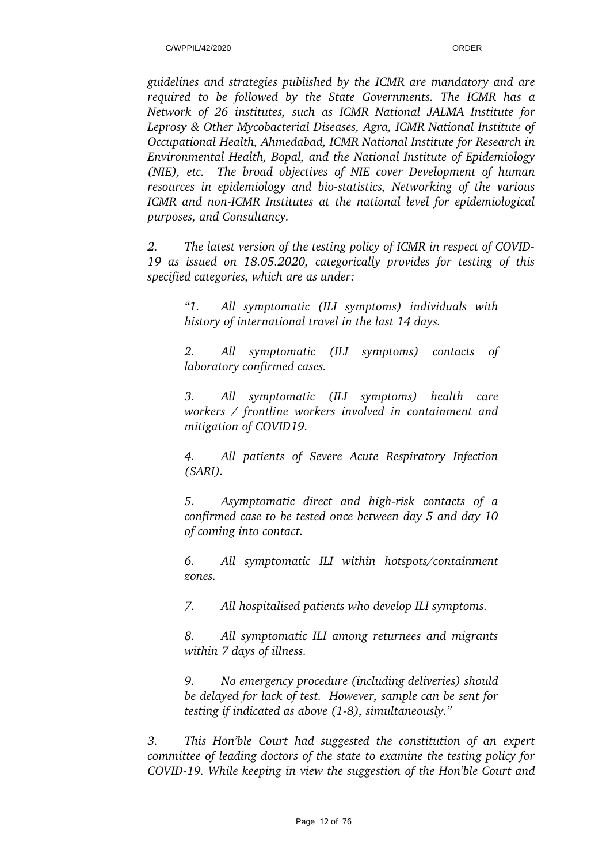*guidelines and strategies published by the ICMR are mandatory and are required to be followed by the State Governments. The ICMR has a Network of 26 institutes, such as ICMR National JALMA Institute for Leprosy & Other Mycobacterial Diseases, Agra, ICMR National Institute of Occupational Health, Ahmedabad, ICMR National Institute for Research in Environmental Health, Bopal, and the National Institute of Epidemiology (NIE), etc. The broad objectives of NIE cover Development of human resources in epidemiology and bio-statistics, Networking of the various ICMR and non-ICMR Institutes at the national level for epidemiological purposes, and Consultancy.*

*2. The latest version of the testing policy of ICMR in respect of COVID-19 as issued on 18.05.2020, categorically provides for testing of this* specified categories, which are as under:

*"1. All symptomatic (ILI symptoms) individuals with history of international travel in the last 14 days.* 

*2. All symptomatic (ILI symptoms) contacts of laboratory confirmed cases.* 

*3. All symptomatic (ILI symptoms) health care workers / frontline workers involved in containment and mitigation of COVID19.* 

*4. All patients of Severe Acute Respiratory Infection (SARI).* 

*5. Asymptomatic direct and highrisk contacts of a confirmed case to be tested once between day 5 and day 10 of coming into contact.* 

*6. All symptomatic ILI within hotspots/containment zones.* 

*7. All hospitalised patients who develop ILI symptoms.* 

*8. All symptomatic ILI among returnees and migrants within 7 days of illness.* 

*9. No emergency procedure (including deliveries) should be delayed for lack of test. However, sample can be sent for testing if indicated as above (1-8), simultaneously.*"

*3. This Hon'ble Court had suggested the constitution of an expert committee of leading doctors of the state to examine the testing policy for COVID19. While keeping in view the suggestion of the Hon'ble Court and*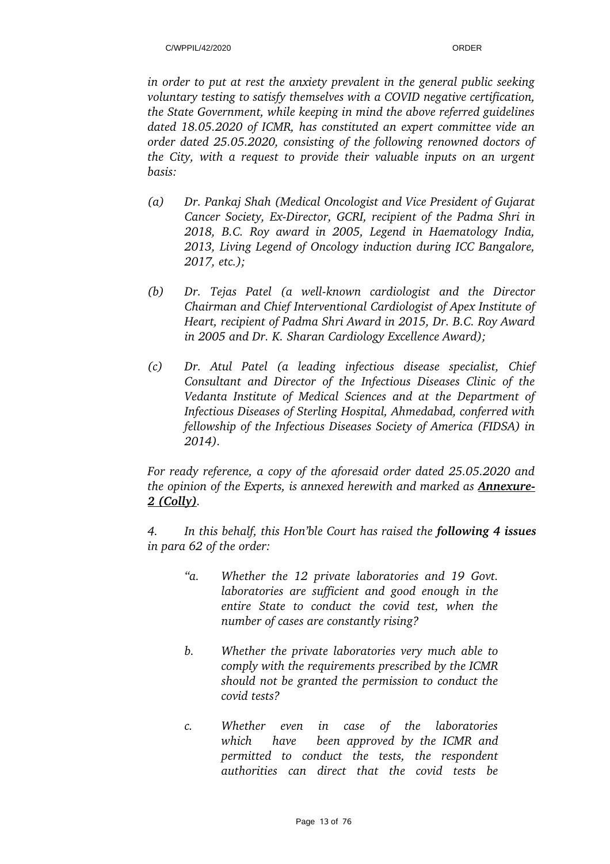*in order to put at rest the anxiety prevalent in the general public seeking voluntary testing to satisfy themselves with a COVID negative certification, the State Government, while keeping in mind the above referred guidelines dated 18.05.2020 of ICMR, has constituted an expert committee vide an order dated 25.05.2020, consisting of the following renowned doctors of the City, with a request to provide their valuable inputs on an urgent basis:*

- *(a) Dr. Pankaj Shah (Medical Oncologist and Vice President of Gujarat Cancer Society, Ex-Director, GCRI, recipient of the Padma Shri in 2018, B.C. Roy award in 2005, Legend in Haematology India, 2013, Living Legend of Oncology induction during ICC Bangalore, 2017, etc.);*
- (b) Dr. Tejas Patel (a well-known cardiologist and the Director *Chairman and Chief Interventional Cardiologist of Apex Institute of Heart, recipient of Padma Shri Award in 2015, Dr. B.C. Roy Award in 2005 and Dr. K. Sharan Cardiology Excellence Award);*
- *(c) Dr. Atul Patel (a leading infectious disease specialist, Chief Consultant and Director of the Infectious Diseases Clinic of the Vedanta Institute of Medical Sciences and at the Department of Infectious Diseases of Sterling Hospital, Ahmedabad, conferred with fellowship of the Infectious Diseases Society of America (FIDSA) in 2014).*

*For ready reference, a copy of the aforesaid order dated 25.05.2020 and the opinion of the Experts, is annexed herewith and marked as Annexure-2 (Colly).*

*4. In this behalf, this Hon'ble Court has raised the following 4 issues in para 62 of the order:*

- *"a. Whether the 12 private laboratories and 19 Govt. laboratories are sufficient and good enough in the entire State to conduct the covid test, when the number of cases are constantly rising?*
- *b. Whether the private laboratories very much able to comply with the requirements prescribed by the ICMR should not be granted the permission to conduct the covid tests?*
- *c. Whether even in case of the laboratories which have been approved by the ICMR and permitted to conduct the tests, the respondent authorities can direct that the covid tests be*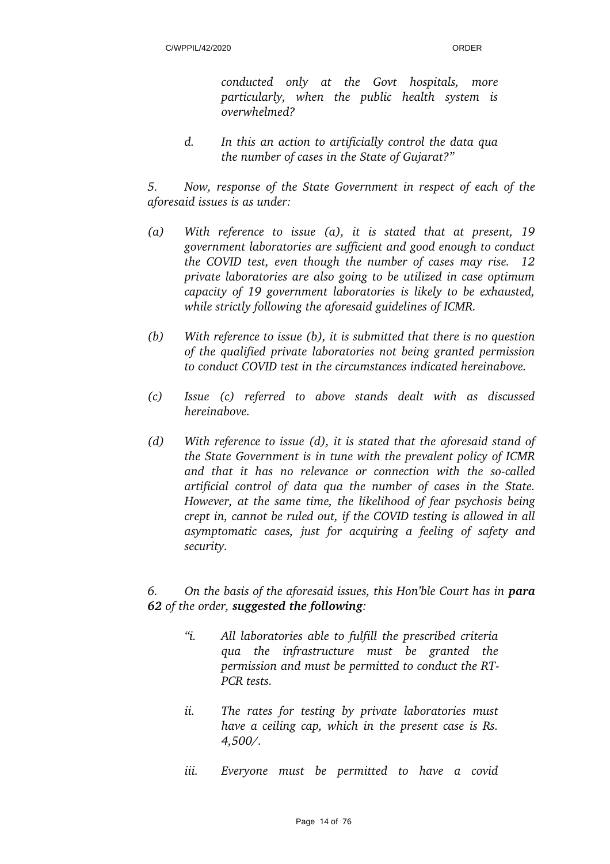*conducted only at the Govt hospitals, more particularly, when the public health system is overwhelmed?* 

*d. In this an action to artificially control the data qua the number of cases in the State of Gujarat?"*

*5. Now, response of the State Government in respect of each of the aforesaid issues is as under:*

- *(a) With reference to issue (a), it is stated that at present, 19 government laboratories are sufficient and good enough to conduct the COVID test, even though the number of cases may rise. 12 private laboratories are also going to be utilized in case optimum capacity of 19 government laboratories is likely to be exhausted,* while strictly following the aforesaid guidelines of ICMR.
- *(b) With reference to issue (b), it is submitted that there is no question of the qualified private laboratories not being granted permission to conduct COVID test in the circumstances indicated hereinabove.*
- *(c) Issue (c) referred to above stands dealt with as discussed hereinabove.*
- *(d) With reference to issue (d), it is stated that the aforesaid stand of the State Government is in tune with the prevalent policy of ICMR and that it has no relevance or connection with the socalled artificial control of data qua the number of cases in the State. However, at the same time, the likelihood of fear psychosis being crept in, cannot be ruled out, if the COVID testing is allowed in all asymptomatic cases, just for acquiring a feeling of safety and security.*

## *6. On the basis of the aforesaid issues, this Hon'ble Court has in para 62 of the order, suggested the following:*

- *"i. All laboratories able to fulfill the prescribed criteria qua the infrastructure must be granted the permission and must be permitted to conduct the RT-PCR tests.*
- *ii. The rates for testing by private laboratories must have a ceiling cap, which in the present case is Rs. 4,500/.*
- *iii. Everyone must be permitted to have a covid*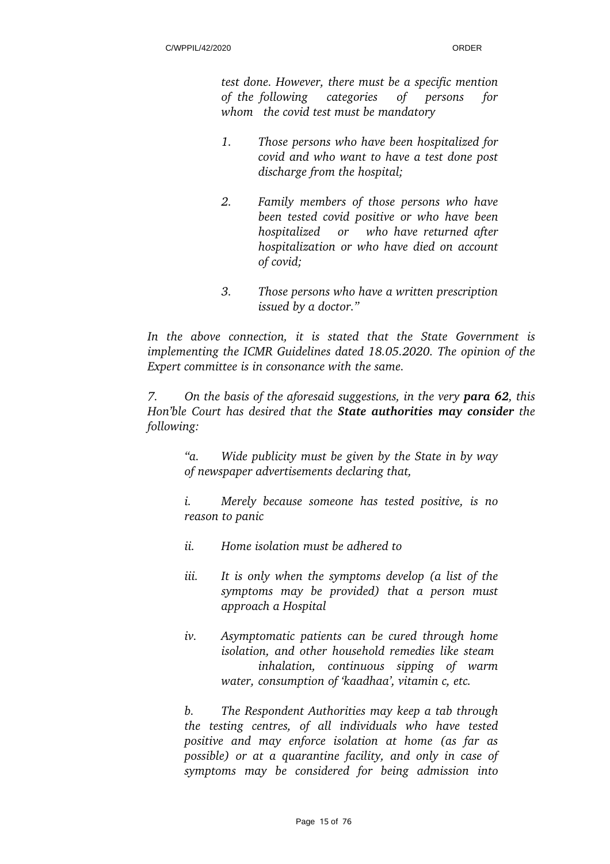*test done. However, there must be a specific mention of the following categories of persons for whom the covid test must be mandatory* 

- *1. Those persons who have been hospitalized for covid and who want to have a test done post discharge from the hospital;*
- *2. Family members of those persons who have been tested covid positive or who have been hospitalized or who have returned after hospitalization or who have died on account of covid;*
- *3. Those persons who have a written prescription issued by a doctor."*

*In the above connection, it is stated that the State Government is implementing the ICMR Guidelines dated 18.05.2020. The opinion of the Expert committee is in consonance with the same.* 

*7.* On the basis of the aforesaid suggestions, in the very **para 62**, this *Hon'ble Court has desired that the State authorities may consider the following:*

*"a. Wide publicity must be given by the State in by way of newspaper advertisements declaring that,* 

*i. Merely because someone has tested positive, is no reason to panic* 

- *ii. Home isolation must be adhered to*
- *iii. It is only when the symptoms develop (a list of the symptoms may be provided) that a person must approach a Hospital*
- *iv. Asymptomatic patients can be cured through home isolation, and other household remedies like steam inhalation, continuous sipping of warm water, consumption of 'kaadhaa', vitamin c, etc.*

*b. The Respondent Authorities may keep a tab through the testing centres, of all individuals who have tested positive and may enforce isolation at home (as far as possible) or at a quarantine facility, and only in case of symptoms may be considered for being admission into*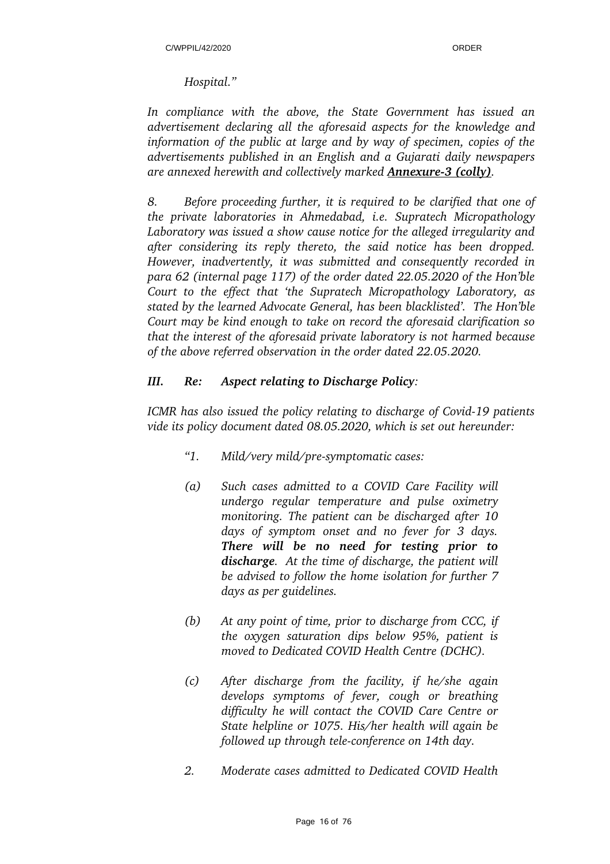### *Hospital."*

*In compliance with the above, the State Government has issued an advertisement declaring all the aforesaid aspects for the knowledge and information of the public at large and by way of specimen, copies of the advertisements published in an English and a Gujarati daily newspapers are annexed herewith and collectively marked Annexure3 (colly).* 

*8. Before proceeding further, it is required to be clarified that one of the private laboratories in Ahmedabad, i.e. Supratech Micropathology Laboratory was issued a show cause notice for the alleged irregularity and after considering its reply thereto, the said notice has been dropped. However, inadvertently, it was submitted and consequently recorded in para 62 (internal page 117) of the order dated 22.05.2020 of the Hon'ble Court to the effect that 'the Supratech Micropathology Laboratory, as stated by the learned Advocate General, has been blacklisted'. The Hon'ble Court may be kind enough to take on record the aforesaid clarification so that the interest of the aforesaid private laboratory is not harmed because of the above referred observation in the order dated 22.05.2020.*

## *III. Re: Aspect relating to Discharge Policy:*

*ICMR has also issued the policy relating to discharge of Covid-19 patients vide its policy document dated 08.05.2020, which is set out hereunder:*

- *"1. Mild/very mild/presymptomatic cases:*
- *(a) Such cases admitted to a COVID Care Facility will undergo regular temperature and pulse oximetry monitoring. The patient can be discharged after 10 days of symptom onset and no fever for 3 days. There will be no need for testing prior to discharge. At the time of discharge, the patient will be advised to follow the home isolation for further 7 days as per guidelines.*
- *(b) At any point of time, prior to discharge from CCC, if the oxygen saturation dips below 95%, patient is moved to Dedicated COVID Health Centre (DCHC).*
- *(c) After discharge from the facility, if he/she again develops symptoms of fever, cough or breathing difficulty he will contact the COVID Care Centre or State helpline or 1075. His/her health will again be followed up through teleconference on 14th day.*
- *2. Moderate cases admitted to Dedicated COVID Health*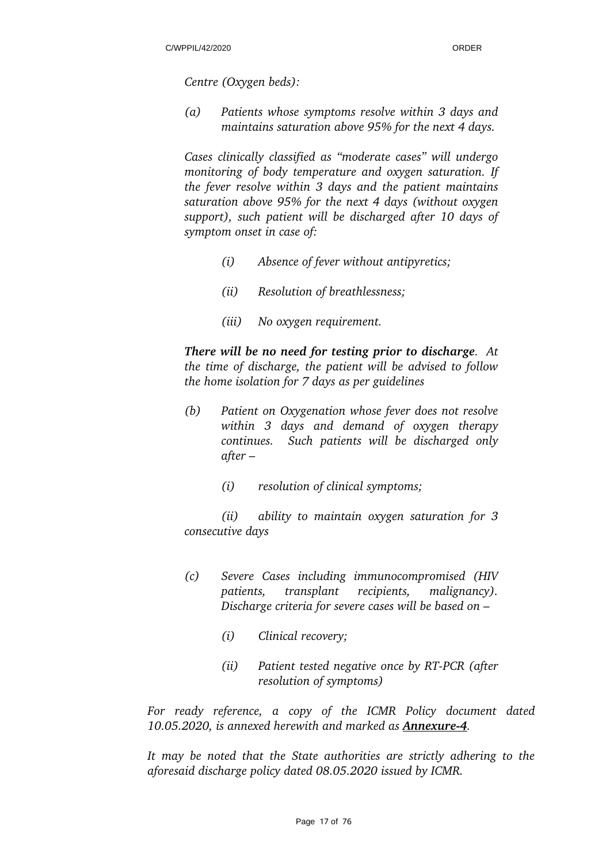*Centre (Oxygen beds):*

*(a) Patients whose symptoms resolve within 3 days and maintains saturation above 95% for the next 4 days.*

*Cases clinically classified as "moderate cases" will undergo monitoring of body temperature and oxygen saturation. If the fever resolve within 3 days and the patient maintains saturation above 95% for the next 4 days (without oxygen support), such patient will be discharged after 10 days of symptom onset in case of:* 

- *(i) Absence of fever without antipyretics;*
- *(ii) Resolution of breathlessness;*
- *(iii) No oxygen requirement.*

*There will be no need for testing prior to discharge. At the time of discharge, the patient will be advised to follow the home isolation for 7 days as per guidelines* 

- *(b) Patient on Oxygenation whose fever does not resolve within 3 days and demand of oxygen therapy continues. Such patients will be discharged only after –* 
	- *(i) resolution of clinical symptoms;*

*(ii) ability to maintain oxygen saturation for 3 consecutive days* 

- *(c) Severe Cases including immunocompromised (HIV patients, transplant recipients, malignancy). Discharge criteria for severe cases will be based on –* 
	- *(i) Clinical recovery;*
	- *(ii)* Patient tested negative once by RT-PCR (after *resolution of symptoms)*

*For ready reference, a copy of the ICMR Policy document dated 10.05.2020, is annexed herewith and marked as Annexure4.*

*It may be noted that the State authorities are strictly adhering to the aforesaid discharge policy dated 08.05.2020 issued by ICMR.*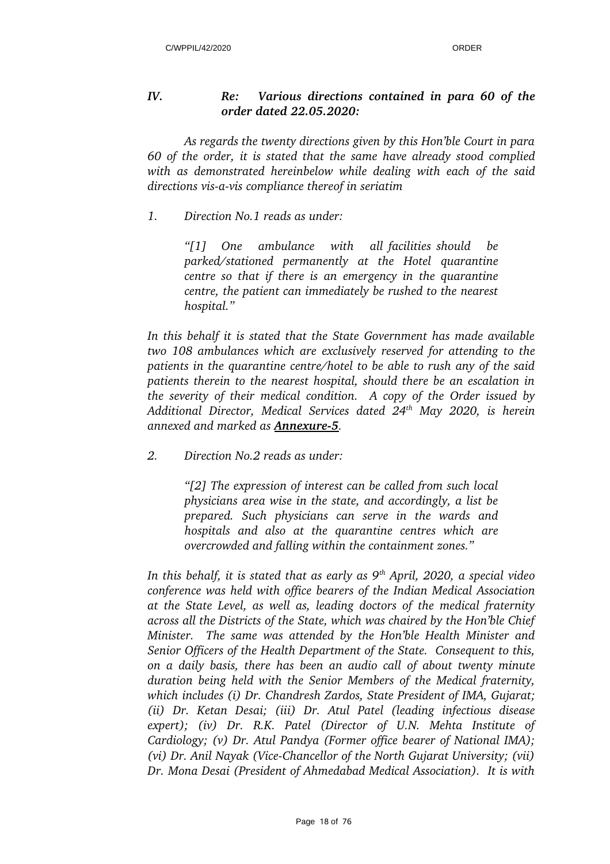## *IV. Re: Various directions contained in para 60 of the order dated 22.05.2020:*

*As regards the twenty directions given by this Hon'ble Court in para 60 of the order, it is stated that the same have already stood complied with as demonstrated hereinbelow while dealing with each of the said directions vis-a-vis compliance thereof in seriatim* 

*1. Direction No.1 reads as under:*

*"[1] One ambulance with all facilities should be parked/stationed permanently at the Hotel quarantine centre so that if there is an emergency in the quarantine centre, the patient can immediately be rushed to the nearest hospital."*

*In this behalf it is stated that the State Government has made available two 108 ambulances which are exclusively reserved for attending to the patients in the quarantine centre/hotel to be able to rush any of the said patients therein to the nearest hospital, should there be an escalation in the severity of their medical condition. A copy of the Order issued by Additional Director, Medical Services dated 24th May 2020, is herein annexed and marked as Annexure5.* 

*2. Direction No.2 reads as under:*

*"[2] The expression of interest can be called from such local physicians area wise in the state, and accordingly, a list be prepared. Such physicians can serve in the wards and hospitals and also at the quarantine centres which are overcrowded and falling within the containment zones."*

*In this behalf, it is stated that as early as 9th April, 2020, a special video conference was held with office bearers of the Indian Medical Association at the State Level, as well as, leading doctors of the medical fraternity across all the Districts of the State, which was chaired by the Hon'ble Chief Minister. The same was attended by the Hon'ble Health Minister and Senior Officers of the Health Department of the State. Consequent to this, on a daily basis, there has been an audio call of about twenty minute duration being held with the Senior Members of the Medical fraternity, which includes (i) Dr. Chandresh Zardos, State President of IMA, Gujarat; (ii) Dr. Ketan Desai; (iii) Dr. Atul Patel (leading infectious disease expert); (iv) Dr. R.K. Patel (Director of U.N. Mehta Institute of Cardiology; (v) Dr. Atul Pandya (Former office bearer of National IMA); (vi) Dr. Anil Nayak (ViceChancellor of the North Gujarat University; (vii) Dr. Mona Desai (President of Ahmedabad Medical Association). It is with*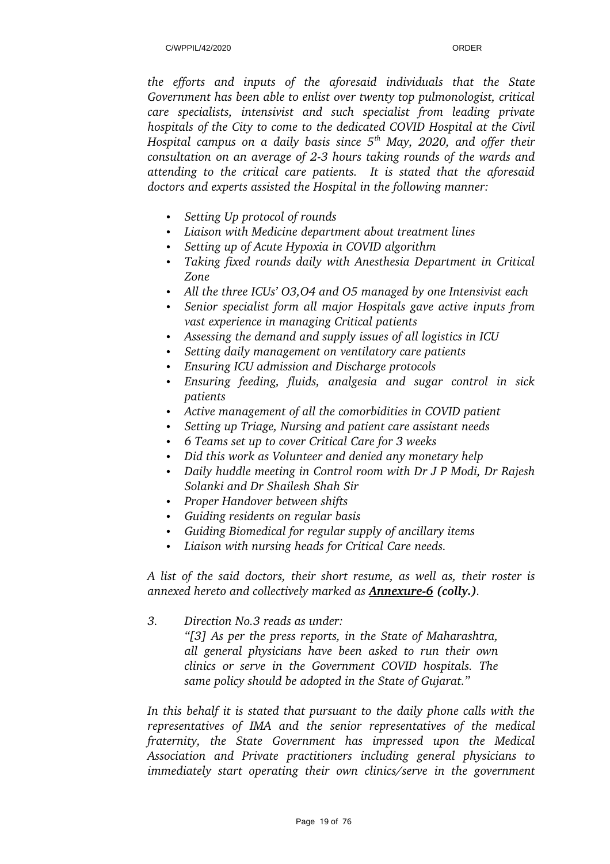*the efforts and inputs of the aforesaid individuals that the State Government has been able to enlist over twenty top pulmonologist, critical care specialists, intensivist and such specialist from leading private hospitals of the City to come to the dedicated COVID Hospital at the Civil Hospital campus on a daily basis since 5th May, 2020, and offer their consultation on an average of 23 hours taking rounds of the wards and attending to the critical care patients. It is stated that the aforesaid doctors and experts assisted the Hospital in the following manner:*

- *Setting Up protocol of rounds*
- *Liaison with Medicine department about treatment lines*
- *Setting up of Acute Hypoxia in COVID algorithm*
- *Taking fixed rounds daily with Anesthesia Department in Critical Zone*
- *All the three ICUs' O3,O4 and O5 managed by one Intensivist each*
- *Senior specialist form all major Hospitals gave active inputs from vast experience in managing Critical patients*
- *Assessing the demand and supply issues of all logistics in ICU*
- *Setting daily management on ventilatory care patients*
- *Ensuring ICU admission and Discharge protocols*
- *Ensuring feeding, fluids, analgesia and sugar control in sick patients*
- *Active management of all the comorbidities in COVID patient*
- *Setting up Triage, Nursing and patient care assistant needs*
- *6 Teams set up to cover Critical Care for 3 weeks*
- *Did this work as Volunteer and denied any monetary help*
- *Daily huddle meeting in Control room with Dr J P Modi, Dr Rajesh Solanki and Dr Shailesh Shah Sir*
- *Proper Handover between shifts*
- *Guiding residents on regular basis*
- *Guiding Biomedical for regular supply of ancillary items*
- *Liaison with nursing heads for Critical Care needs.*

*A list of the said doctors, their short resume, as well as, their roster is annexed hereto and collectively marked as Annexure6 (colly.).*

*3. Direction No.3 reads as under:* 

*"[3] As per the press reports, in the State of Maharashtra, all general physicians have been asked to run their own clinics or serve in the Government COVID hospitals. The same policy should be adopted in the State of Gujarat."*

*In this behalf it is stated that pursuant to the daily phone calls with the representatives of IMA and the senior representatives of the medical fraternity, the State Government has impressed upon the Medical Association and Private practitioners including general physicians to immediately start operating their own clinics/serve in the government*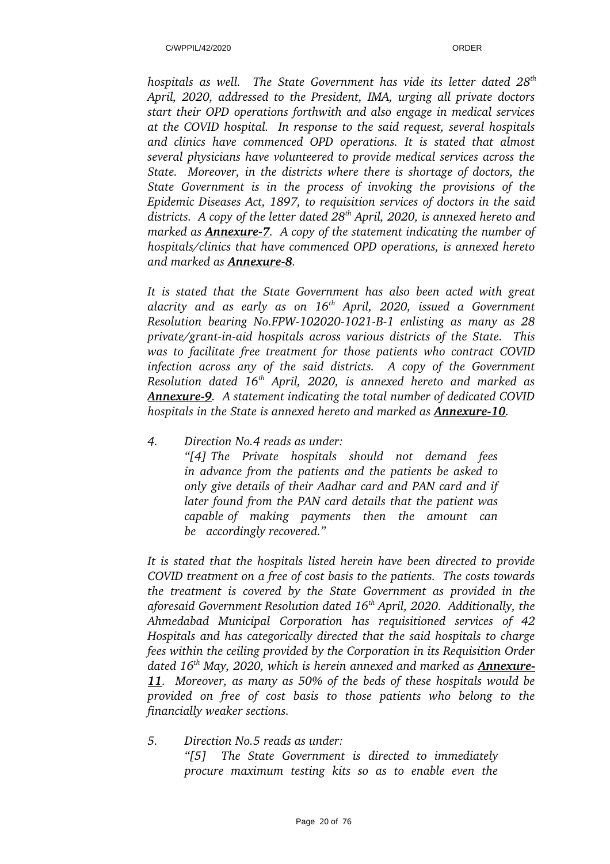*hospitals as well. The State Government has vide its letter dated 28th April, 2020, addressed to the President, IMA, urging all private doctors start their OPD operations forthwith and also engage in medical services at the COVID hospital. In response to the said request, several hospitals and clinics have commenced OPD operations. It is stated that almost several physicians have volunteered to provide medical services across the State. Moreover, in the districts where there is shortage of doctors, the State Government is in the process of invoking the provisions of the Epidemic Diseases Act, 1897, to requisition services of doctors in the said districts. A copy of the letter dated 28th April, 2020, is annexed hereto and marked as Annexure7. A copy of the statement indicating the number of hospitals/clinics that have commenced OPD operations, is annexed hereto and marked as Annexure-8.* 

*It is stated that the State Government has also been acted with great alacrity and as early as on 16th April, 2020, issued a Government Resolution bearing No.FPW1020201021B1 enlisting as many as 28 private/grant-in-aid hospitals across various districts of the State. This was to facilitate free treatment for those patients who contract COVID infection across any of the said districts. A copy of the Government Resolution dated 16th April, 2020, is annexed hereto and marked as Annexure9. A statement indicating the total number of dedicated COVID hospitals in the State is annexed hereto and marked as Annexure10.* 

*4. Direction No.4 reads as under:*

*"[4] The Private hospitals should not demand fees in advance from the patients and the patients be asked to only give details of their Aadhar card and PAN card and if later found from the PAN card details that the patient was capable of making payments then the amount can be accordingly recovered."*

*It is stated that the hospitals listed herein have been directed to provide COVID treatment on a free of cost basis to the patients. The costs towards the treatment is covered by the State Government as provided in the aforesaid Government Resolution dated 16th April, 2020. Additionally, the Ahmedabad Municipal Corporation has requisitioned services of 42 Hospitals and has categorically directed that the said hospitals to charge fees within the ceiling provided by the Corporation in its Requisition Order dated 16th May, 2020, which is herein annexed and marked as Annexure-11. Moreover, as many as 50% of the beds of these hospitals would be provided on free of cost basis to those patients who belong to the financially weaker sections.* 

*5. Direction No.5 reads as under: "[5] The State Government is directed to immediately procure maximum testing kits so as to enable even the*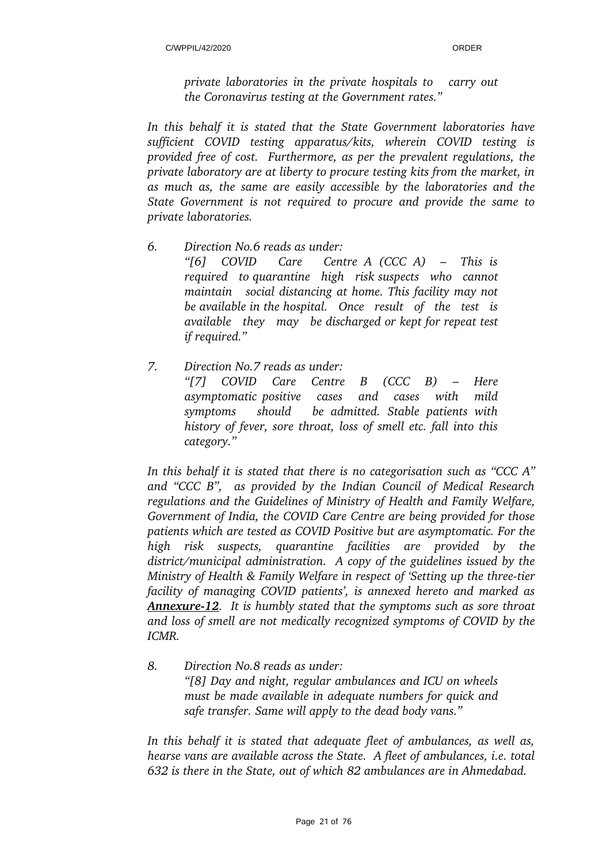*private laboratories in the private hospitals to carry out the Coronavirus testing at the Government rates."*

*In this behalf it is stated that the State Government laboratories have sufficient COVID testing apparatus/kits, wherein COVID testing is provided free of cost. Furthermore, as per the prevalent regulations, the private laboratory are at liberty to procure testing kits from the market, in as much as, the same are easily accessible by the laboratories and the State Government is not required to procure and provide the same to private laboratories.* 

- *6. Direction No.6 reads as under: "[6] COVID Care Centre A (CCC A) – This is required to quarantine high risk suspects who cannot maintain social distancing at home. This facility may not be available in the hospital. Once result of the test is available they may be discharged or kept for repeat test if required."*
- *7. Direction No.7 reads as under: "[7] COVID Care Centre B (CCC B) – Here asymptomatic positive cases and cases with mild symptoms should be admitted. Stable patients with history of fever, sore throat, loss of smell etc. fall into this category."*

*In this behalf it is stated that there is no categorisation such as "CCC A" and "CCC B", as provided by the Indian Council of Medical Research regulations and the Guidelines of Ministry of Health and Family Welfare, Government of India, the COVID Care Centre are being provided for those patients which are tested as COVID Positive but are asymptomatic. For the high risk suspects, quarantine facilities are provided by the district/municipal administration. A copy of the guidelines issued by the Ministry of Health & Family Welfare in respect of 'Setting up the three-tier facility of managing COVID patients', is annexed hereto and marked as Annexure12. It is humbly stated that the symptoms such as sore throat and loss of smell are not medically recognized symptoms of COVID by the*  $ICMR$ 

*8. Direction No.8 reads as under: "[8] Day and night, regular ambulances and ICU on wheels must be made available in adequate numbers for quick and safe transfer. Same will apply to the dead body vans."*

*In this behalf it is stated that adequate fleet of ambulances, as well as, hearse vans are available across the State. A fleet of ambulances, i.e. total 632 is there in the State, out of which 82 ambulances are in Ahmedabad.*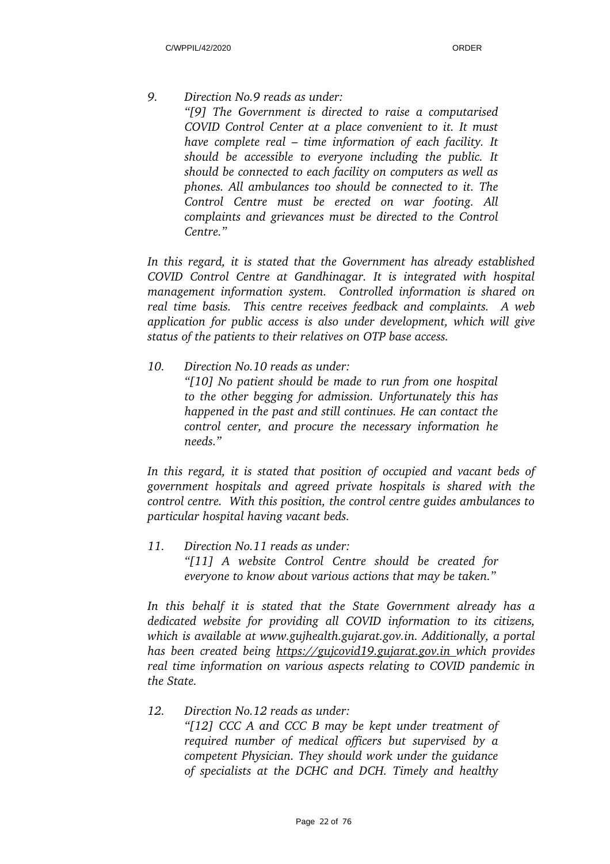*9. Direction No.9 reads as under: "[9] The Government is directed to raise a computarised COVID Control Center at a place convenient to it. It must have complete real – time information of each facility. It should be accessible to everyone including the public. It should be connected to each facility on computers as well as phones. All ambulances too should be connected to it. The Control Centre must be erected on war footing. All complaints and grievances must be directed to the Control Centre."* 

*In this regard, it is stated that the Government has already established COVID Control Centre at Gandhinagar. It is integrated with hospital management information system. Controlled information is shared on real time basis. This centre receives feedback and complaints. A web application for public access is also under development, which will give status of the patients to their relatives on OTP base access.*

*10. Direction No.10 reads as under: "[10] No patient should be made to run from one hospital to the other begging for admission. Unfortunately this has happened in the past and still continues. He can contact the control center, and procure the necessary information he needs."* 

*In this regard, it is stated that position of occupied and vacant beds of government hospitals and agreed private hospitals is shared with the control centre. With this position, the control centre guides ambulances to particular hospital having vacant beds.* 

*11. Direction No.11 reads as under: "[11] A website Control Centre should be created for everyone to know about various actions that may be taken."*

*In this behalf it is stated that the State Government already has a dedicated website for providing all COVID information to its citizens, which is available at www.gujhealth.gujarat.gov.in. Additionally, a portal has been created being https://gujcovid19.gujarat.gov.in which provides real time information on various aspects relating to COVID pandemic in the State.* 

*12. Direction No.12 reads as under: "[12] CCC A and CCC B may be kept under treatment of required number of medical officers but supervised by a competent Physician. They should work under the guidance of specialists at the DCHC and DCH. Timely and healthy*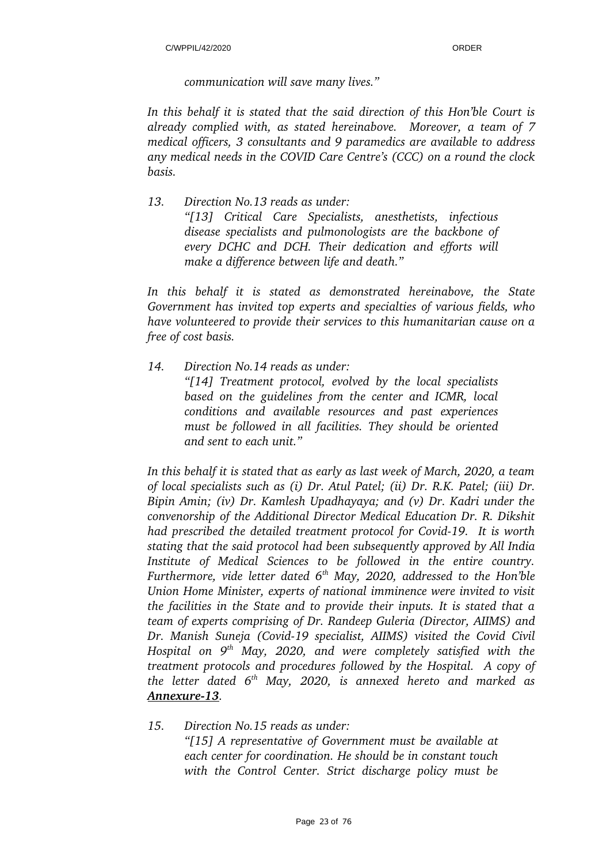*communication will save many lives."*

*In this behalf it is stated that the said direction of this Hon'ble Court is already complied with, as stated hereinabove. Moreover, a team of 7 medical officers, 3 consultants and 9 paramedics are available to address any medical needs in the COVID Care Centre's (CCC) on a round the clock basis.* 

*13. Direction No.13 reads as under: "[13] Critical Care Specialists, anesthetists, infectious disease specialists and pulmonologists are the backbone of every DCHC and DCH. Their dedication and efforts will make a difference between life and death."*

*In this behalf it is stated as demonstrated hereinabove, the State Government has invited top experts and specialties of various fields, who have volunteered to provide their services to this humanitarian cause on a free of cost basis.* 

*14. Direction No.14 reads as under: "[14] Treatment protocol, evolved by the local specialists based on the guidelines from the center and ICMR, local conditions and available resources and past experiences must be followed in all facilities. They should be oriented and sent to each unit."*

*In this behalf it is stated that as early as last week of March, 2020, a team of local specialists such as (i) Dr. Atul Patel; (ii) Dr. R.K. Patel; (iii) Dr. Bipin Amin; (iv) Dr. Kamlesh Upadhayaya; and (v) Dr. Kadri under the convenorship of the Additional Director Medical Education Dr. R. Dikshit had prescribed the detailed treatment protocol for Covid-19. It is worth stating that the said protocol had been subsequently approved by All India Institute of Medical Sciences to be followed in the entire country. Furthermore, vide letter dated 6th May, 2020, addressed to the Hon'ble Union Home Minister, experts of national imminence were invited to visit the facilities in the State and to provide their inputs. It is stated that a team of experts comprising of Dr. Randeep Guleria (Director, AIIMS) and Dr. Manish Suneja (Covid19 specialist, AIIMS) visited the Covid Civil Hospital on 9th May, 2020, and were completely satisfied with the treatment protocols and procedures followed by the Hospital. A copy of the letter dated 6th May, 2020, is annexed hereto and marked as Annexure13.* 

*15. Direction No.15 reads as under:*

*"[15] A representative of Government must be available at each center for coordination. He should be in constant touch with the Control Center. Strict discharge policy must be*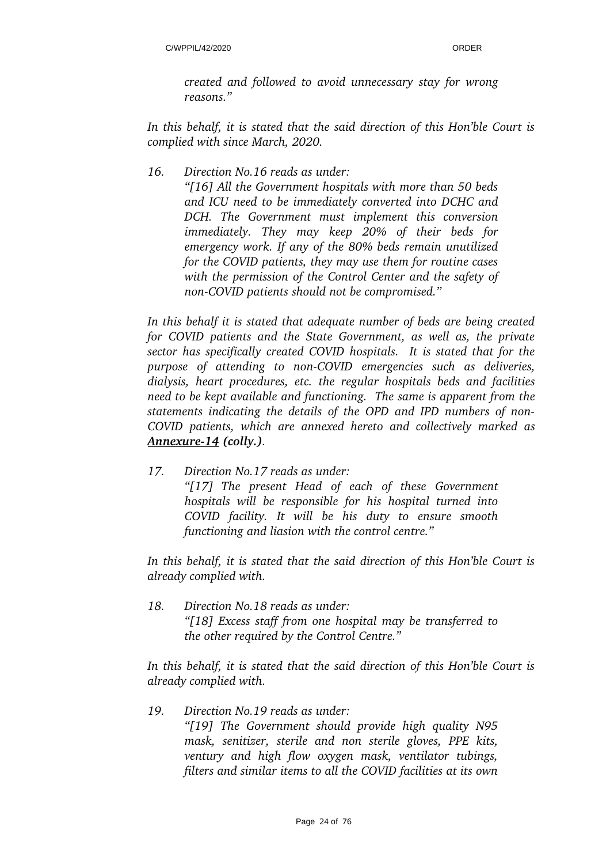*created and followed to avoid unnecessary stay for wrong reasons."*

*In this behalf, it is stated that the said direction of this Hon'ble Court is complied with since March, 2020.* 

*16. Direction No.16 reads as under:*

*"[16] All the Government hospitals with more than 50 beds and ICU need to be immediately converted into DCHC and DCH. The Government must implement this conversion immediately. They may keep 20% of their beds for emergency work. If any of the 80% beds remain unutilized for the COVID patients, they may use them for routine cases with the permission of the Control Center and the safety of nonCOVID patients should not be compromised."*

*In this behalf it is stated that adequate number of beds are being created for COVID patients and the State Government, as well as, the private sector has specifically created COVID hospitals. It is stated that for the purpose of attending to nonCOVID emergencies such as deliveries, dialysis, heart procedures, etc. the regular hospitals beds and facilities need to be kept available and functioning. The same is apparent from the statements indicating the details of the OPD and IPD numbers of non-COVID patients, which are annexed hereto and collectively marked as Annexure14 (colly.).* 

*17. Direction No.17 reads as under: "[17] The present Head of each of these Government hospitals will be responsible for his hospital turned into COVID facility. It will be his duty to ensure smooth functioning and liasion with the control centre."*

*In this behalf, it is stated that the said direction of this Hon'ble Court is already complied with.* 

*18. Direction No.18 reads as under: "[18] Excess staff from one hospital may be transferred to the other required by the Control Centre."*

*In this behalf, it is stated that the said direction of this Hon'ble Court is already complied with.*

*19. Direction No.19 reads as under: "[19] The Government should provide high quality N95 mask, senitizer, sterile and non sterile gloves, PPE kits, ventury and high flow oxygen mask, ventilator tubings, filters and similar items to all the COVID facilities at its own*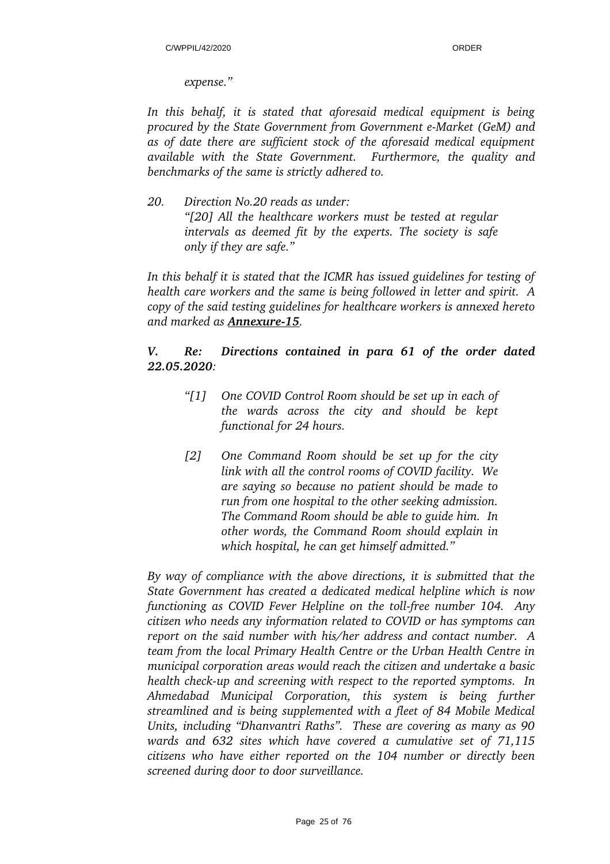*expense."*

*In this behalf, it is stated that aforesaid medical equipment is being procured by the State Government from Government e-Market (GeM) and as of date there are sufficient stock of the aforesaid medical equipment available with the State Government. Furthermore, the quality and benchmarks of the same is strictly adhered to.*

*20. Direction No.20 reads as under: "[20] All the healthcare workers must be tested at regular intervals as deemed fit by the experts. The society is safe only if they are safe."*

*In this behalf it is stated that the ICMR has issued guidelines for testing of health care workers and the same is being followed in letter and spirit. A copy of the said testing guidelines for healthcare workers is annexed hereto and marked as Annexure15.*

## *V. Re: Directions contained in para 61 of the order dated 22.05.2020:*

- *"[1] One COVID Control Room should be set up in each of the wards across the city and should be kept functional for 24 hours.*
- *[2] One Command Room should be set up for the city link with all the control rooms of COVID facility. We are saying so because no patient should be made to run from one hospital to the other seeking admission. The Command Room should be able to guide him. In other words, the Command Room should explain in which hospital, he can get himself admitted."*

*By way of compliance with the above directions, it is submitted that the State Government has created a dedicated medical helpline which is now functioning as COVID Fever Helpline on the toll-free number 104. Any citizen who needs any information related to COVID or has symptoms can report on the said number with his/her address and contact number. A team from the local Primary Health Centre or the Urban Health Centre in municipal corporation areas would reach the citizen and undertake a basic health check-up and screening with respect to the reported symptoms. In Ahmedabad Municipal Corporation, this system is being further streamlined and is being supplemented with a fleet of 84 Mobile Medical Units, including "Dhanvantri Raths". These are covering as many as 90 wards and 632 sites which have covered a cumulative set of 71,115 citizens who have either reported on the 104 number or directly been screened during door to door surveillance.*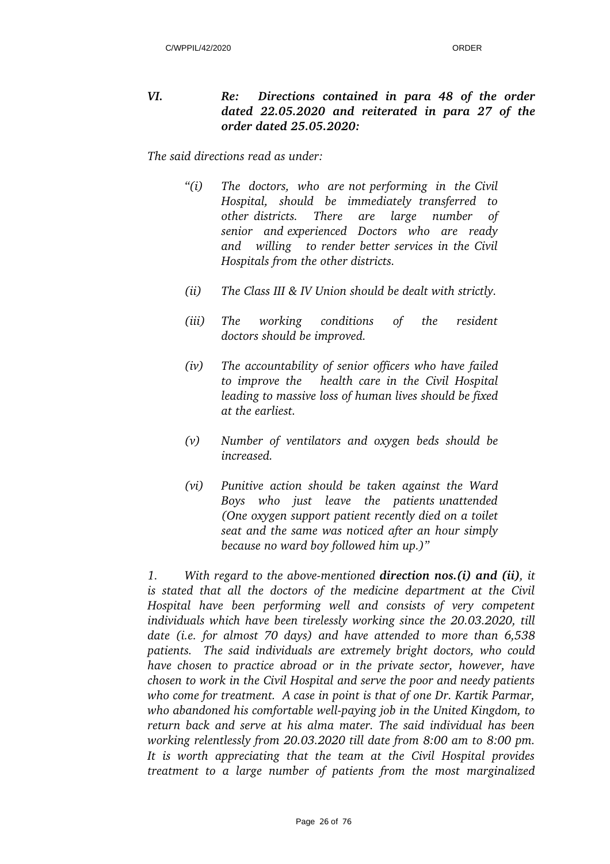## *VI. Re: Directions contained in para 48 of the order dated 22.05.2020 and reiterated in para 27 of the order dated 25.05.2020:*

*The said directions read as under:*

- *"(i) The doctors, who are not performing in the Civil Hospital, should be immediately transferred to other districts. There are large number of senior and experienced Doctors who are ready and willing to render better services in the Civil Hospitals from the other districts.*
- *(ii) The Class III & IV Union should be dealt with strictly.*
- *(iii) The working conditions of the resident doctors should be improved.*
- *(iv) The accountability of senior officers who have failed to improve the health care in the Civil Hospital leading to massive loss of human lives should be fixed at the earliest.*
- *(v) Number of ventilators and oxygen beds should be increased.*
- *(vi) Punitive action should be taken against the Ward Boys who just leave the patients unattended (One oxygen support patient recently died on a toilet seat and the same was noticed after an hour simply because no ward boy followed him up.)"*

*1. With regard to the above-mentioned direction nos.(i) and (ii), it is stated that all the doctors of the medicine department at the Civil Hospital have been performing well and consists of very competent individuals which have been tirelessly working since the 20.03.2020, till date (i.e. for almost 70 days) and have attended to more than 6,538 patients. The said individuals are extremely bright doctors, who could have chosen to practice abroad or in the private sector, however, have chosen to work in the Civil Hospital and serve the poor and needy patients who come for treatment. A case in point is that of one Dr. Kartik Parmar,* who abandoned his comfortable well-paying job in the United Kingdom, to *return back and serve at his alma mater. The said individual has been working relentlessly from 20.03.2020 till date from 8:00 am to 8:00 pm. It is worth appreciating that the team at the Civil Hospital provides treatment to a large number of patients from the most marginalized*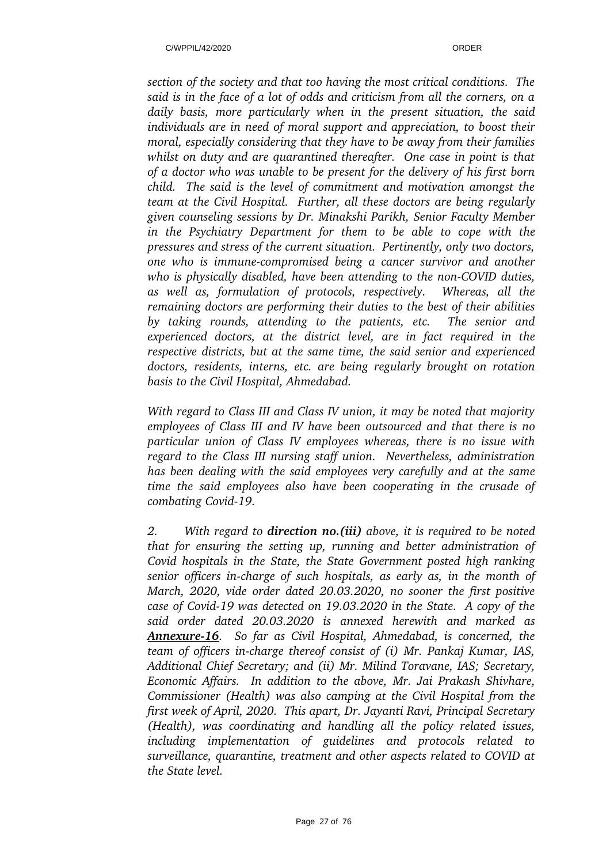*section of the society and that too having the most critical conditions. The said is in the face of a lot of odds and criticism from all the corners, on a daily basis, more particularly when in the present situation, the said individuals are in need of moral support and appreciation, to boost their moral, especially considering that they have to be away from their families whilst on duty and are quarantined thereafter. One case in point is that of a doctor who was unable to be present for the delivery of his first born child. The said is the level of commitment and motivation amongst the team at the Civil Hospital. Further, all these doctors are being regularly given counseling sessions by Dr. Minakshi Parikh, Senior Faculty Member in the Psychiatry Department for them to be able to cope with the pressures and stress of the current situation. Pertinently, only two doctors, one who is immunecompromised being a cancer survivor and another* who is physically disabled, have been attending to the non-COVID duties, *as well as, formulation of protocols, respectively. Whereas, all the remaining doctors are performing their duties to the best of their abilities by taking rounds, attending to the patients, etc. The senior and experienced doctors, at the district level, are in fact required in the respective districts, but at the same time, the said senior and experienced doctors, residents, interns, etc. are being regularly brought on rotation basis to the Civil Hospital, Ahmedabad.* 

*With regard to Class III and Class IV union, it may be noted that majority employees of Class III and IV have been outsourced and that there is no particular union of Class IV employees whereas, there is no issue with regard to the Class III nursing staff union. Nevertheless, administration has been dealing with the said employees very carefully and at the same time the said employees also have been cooperating in the crusade of combating Covid-19.* 

*2. With regard to direction no.(iii) above, it is required to be noted that for ensuring the setting up, running and better administration of Covid hospitals in the State, the State Government posted high ranking senior officers in-charge of such hospitals, as early as, in the month of March, 2020, vide order dated 20.03.2020, no sooner the first positive case of Covid19 was detected on 19.03.2020 in the State. A copy of the said order dated 20.03.2020 is annexed herewith and marked as Annexure16. So far as Civil Hospital, Ahmedabad, is concerned, the team of officers in-charge thereof consist of (i) Mr. Pankaj Kumar, IAS, Additional Chief Secretary; and (ii) Mr. Milind Toravane, IAS; Secretary, Economic Affairs. In addition to the above, Mr. Jai Prakash Shivhare, Commissioner (Health) was also camping at the Civil Hospital from the first week of April, 2020. This apart, Dr. Jayanti Ravi, Principal Secretary (Health), was coordinating and handling all the policy related issues, including implementation of guidelines and protocols related to surveillance, quarantine, treatment and other aspects related to COVID at the State level.*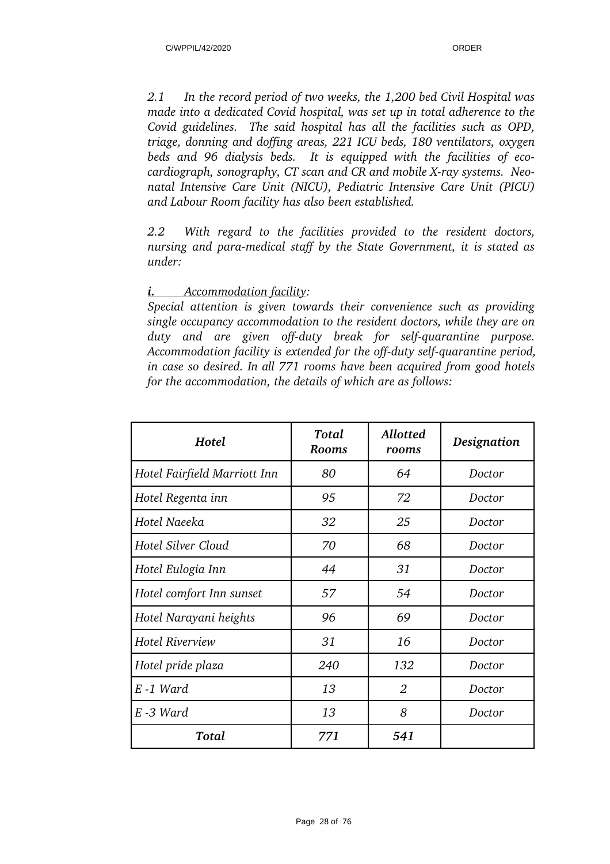*2.1 In the record period of two weeks, the 1,200 bed Civil Hospital was made into a dedicated Covid hospital, was set up in total adherence to the Covid guidelines. The said hospital has all the facilities such as OPD, triage, donning and doffing areas, 221 ICU beds, 180 ventilators, oxygen beds and 96 dialysis beds. It is equipped with the facilities of eco*cardiograph, sonography, CT scan and CR and mobile X-ray systems. Neo*natal Intensive Care Unit (NICU), Pediatric Intensive Care Unit (PICU) and Labour Room facility has also been established.* 

*2.2 With regard to the facilities provided to the resident doctors, nursing and para-medical staff by the State Government, it is stated as under:*

## *i. Accommodation facility:*

*Special attention is given towards their convenience such as providing single occupancy accommodation to the resident doctors, while they are on duty* and are given off-duty break for self-quarantine purpose. *Accommodation facility is extended for the off-duty self-quarantine period, in case so desired. In all 771 rooms have been acquired from good hotels for the accommodation, the details of which are as follows:* 

| Hotel                        | Total<br><b>Rooms</b> | Allotted<br>rooms | Designation |
|------------------------------|-----------------------|-------------------|-------------|
| Hotel Fairfield Marriott Inn | 80                    | 64                | Doctor      |
| Hotel Regenta inn            | 95                    | 72                | Doctor      |
| Hotel Naeeka                 | 32                    | 25                | Doctor      |
| Hotel Silver Cloud           | 70                    | 68                | Doctor      |
| Hotel Eulogia Inn            | 44                    | 31                | Doctor      |
| Hotel comfort Inn sunset     | 57                    | 54                | Doctor      |
| Hotel Narayani heights       | 96                    | 69                | Doctor      |
| <b>Hotel Riverview</b>       | 31                    | 16                | Doctor      |
| Hotel pride plaza            | 240                   | 132               | Doctor      |
| E-1 Ward                     | 13                    | $\overline{2}$    | Doctor      |
| E -3 Ward                    | 13                    | 8                 | Doctor      |
| Total                        | 771                   | 541               |             |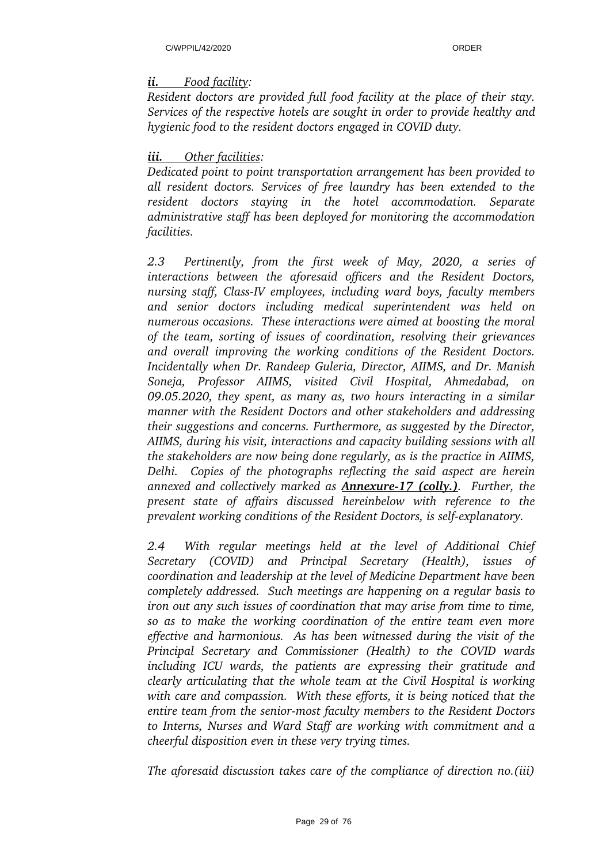## *ii. Food facility:*

*Resident doctors are provided full food facility at the place of their stay. Services of the respective hotels are sought in order to provide healthy and hygienic food to the resident doctors engaged in COVID duty.* 

## *iii. Other facilities:*

*Dedicated point to point transportation arrangement has been provided to all resident doctors. Services of free laundry has been extended to the resident doctors staying in the hotel accommodation. Separate administrative staff has been deployed for monitoring the accommodation facilities.*

*2.3 Pertinently, from the first week of May, 2020, a series of interactions between the aforesaid officers and the Resident Doctors, nursing staff, Class-IV employees, including ward boys, faculty members and senior doctors including medical superintendent was held on numerous occasions. These interactions were aimed at boosting the moral of the team, sorting of issues of coordination, resolving their grievances and overall improving the working conditions of the Resident Doctors. Incidentally when Dr. Randeep Guleria, Director, AIIMS, and Dr. Manish Soneja, Professor AIIMS, visited Civil Hospital, Ahmedabad, on 09.05.2020, they spent, as many as, two hours interacting in a similar manner with the Resident Doctors and other stakeholders and addressing their suggestions and concerns. Furthermore, as suggested by the Director, AIIMS, during his visit, interactions and capacity building sessions with all the stakeholders are now being done regularly, as is the practice in AIIMS, Delhi. Copies of the photographs reflecting the said aspect are herein annexed and collectively marked as Annexure17 (colly.). Further, the present state of affairs discussed hereinbelow with reference to the prevalent working conditions of the Resident Doctors, is self-explanatory.* 

*2.4 With regular meetings held at the level of Additional Chief Secretary (COVID) and Principal Secretary (Health), issues of coordination and leadership at the level of Medicine Department have been completely addressed. Such meetings are happening on a regular basis to iron out any such issues of coordination that may arise from time to time, so as to make the working coordination of the entire team even more effective and harmonious. As has been witnessed during the visit of the Principal Secretary and Commissioner (Health) to the COVID wards including ICU wards, the patients are expressing their gratitude and clearly articulating that the whole team at the Civil Hospital is working with care and compassion. With these efforts, it is being noticed that the entire team from the senior-most faculty members to the Resident Doctors to Interns, Nurses and Ward Staff are working with commitment and a cheerful disposition even in these very trying times.* 

*The aforesaid discussion takes care of the compliance of direction no.(iii)*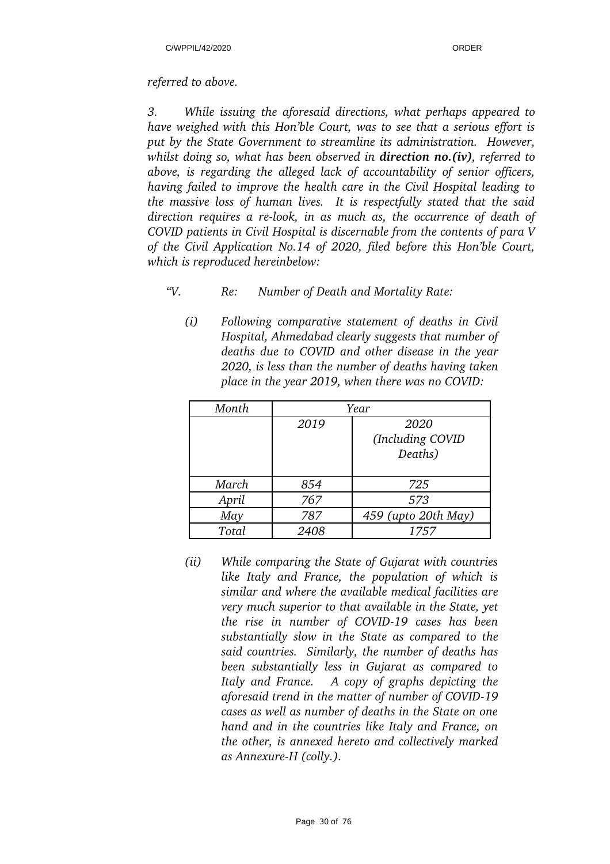### *referred to above.*

*3. While issuing the aforesaid directions, what perhaps appeared to have weighed with this Hon'ble Court, was to see that a serious effort is put by the State Government to streamline its administration. However, whilst doing so, what has been observed in direction no.(iv), referred to above, is regarding the alleged lack of accountability of senior officers, having failed to improve the health care in the Civil Hospital leading to the massive loss of human lives. It is respectfully stated that the said direction requires a relook, in as much as, the occurrence of death of COVID patients in Civil Hospital is discernable from the contents of para V of the Civil Application No.14 of 2020, filed before this Hon'ble Court, which is reproduced hereinbelow:*

- *"V. Re: Number of Death and Mortality Rate:* 
	- *(i) Following comparative statement of deaths in Civil Hospital, Ahmedabad clearly suggests that number of deaths due to COVID and other disease in the year 2020, is less than the number of deaths having taken place in the year 2019, when there was no COVID:*

| Month | Year |                     |  |
|-------|------|---------------------|--|
|       | 2019 | 2020                |  |
|       |      | (Including COVID    |  |
|       |      | Deaths)             |  |
|       |      |                     |  |
| March | 854  | 725                 |  |
| April | 767  | 573                 |  |
| May   | 787  | 459 (upto 20th May) |  |
| Total | 2408 | 1757                |  |

*(ii) While comparing the State of Gujarat with countries like Italy and France, the population of which is similar and where the available medical facilities are very much superior to that available in the State, yet the rise in number of COVID19 cases has been substantially slow in the State as compared to the said countries. Similarly, the number of deaths has been substantially less in Gujarat as compared to Italy and France. A copy of graphs depicting the aforesaid trend in the matter of number of COVID19 cases as well as number of deaths in the State on one hand and in the countries like Italy and France, on the other, is annexed hereto and collectively marked as Annexure-H (colly.).*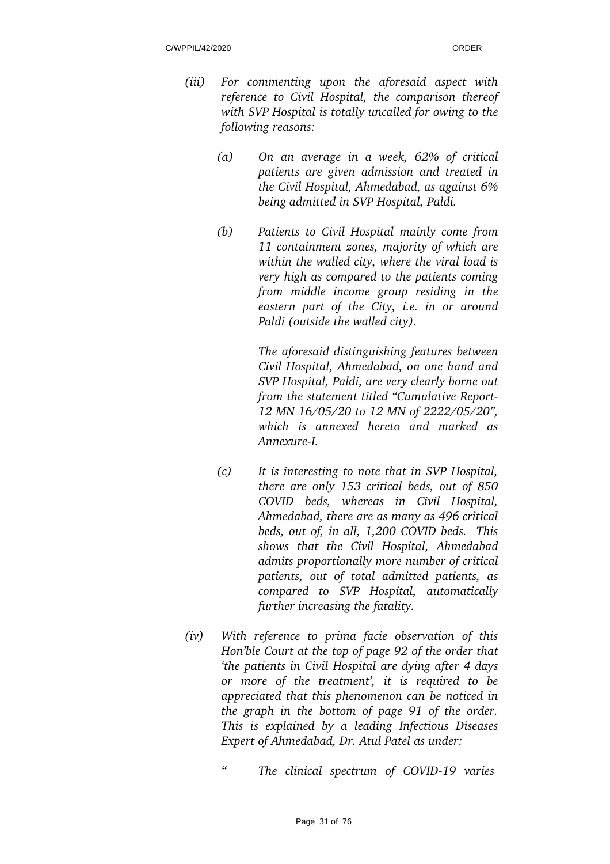- *(iii) For commenting upon the aforesaid aspect with reference to Civil Hospital, the comparison thereof with SVP Hospital is totally uncalled for owing to the following reasons:* 
	- *(a) On an average in a week, 62% of critical patients are given admission and treated in the Civil Hospital, Ahmedabad, as against 6% being admitted in SVP Hospital, Paldi.*
	- *(b) Patients to Civil Hospital mainly come from 11 containment zones, majority of which are within the walled city, where the viral load is very high as compared to the patients coming from middle income group residing in the eastern part of the City, i.e. in or around Paldi (outside the walled city).*

*The aforesaid distinguishing features between Civil Hospital, Ahmedabad, on one hand and SVP Hospital, Paldi, are very clearly borne out from the statement titled "Cumulative Report-12 MN 16/05/20 to 12 MN of 2222/05/20", which is annexed hereto and marked as AnnexureI.*

- *(c) It is interesting to note that in SVP Hospital, there are only 153 critical beds, out of 850 COVID beds, whereas in Civil Hospital, Ahmedabad, there are as many as 496 critical beds, out of, in all, 1,200 COVID beds. This shows that the Civil Hospital, Ahmedabad admits proportionally more number of critical patients, out of total admitted patients, as compared to SVP Hospital, automatically further increasing the fatality.*
- *(iv) With reference to prima facie observation of this Hon'ble Court at the top of page 92 of the order that 'the patients in Civil Hospital are dying after 4 days or more of the treatment', it is required to be appreciated that this phenomenon can be noticed in the graph in the bottom of page 91 of the order. This is explained by a leading Infectious Diseases Expert of Ahmedabad, Dr. Atul Patel as under:*
	- *" The clinical spectrum of COVID19 varies*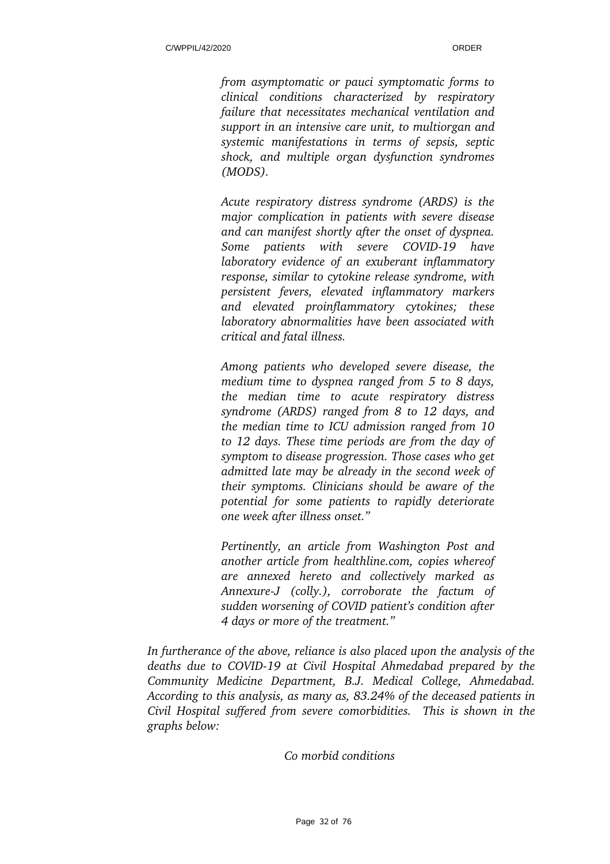*from asymptomatic or pauci symptomatic forms to clinical conditions characterized by respiratory failure that necessitates mechanical ventilation and support in an intensive care unit, to multiorgan and systemic manifestations in terms of sepsis, septic shock, and multiple organ dysfunction syndromes (MODS).*

*Acute respiratory distress syndrome (ARDS) is the major complication in patients with severe disease and can manifest shortly after the onset of dyspnea. Some patients with severe COVID19 have laboratory evidence of an exuberant inflammatory response, similar to cytokine release syndrome, with persistent fevers, elevated inflammatory markers and elevated proinflammatory cytokines; these laboratory abnormalities have been associated with critical and fatal illness.*

*Among patients who developed severe disease, the medium time to dyspnea ranged from 5 to 8 days, the median time to acute respiratory distress syndrome (ARDS) ranged from 8 to 12 days, and the median time to ICU admission ranged from 10 to 12 days. These time periods are from the day of symptom to disease progression. Those cases who get admitted late may be already in the second week of their symptoms. Clinicians should be aware of the potential for some patients to rapidly deteriorate one week after illness onset."*

*Pertinently, an article from Washington Post and another article from healthline.com, copies whereof are annexed hereto and collectively marked as AnnexureJ (colly.), corroborate the factum of sudden worsening of COVID patient's condition after 4 days or more of the treatment."*

*In furtherance of the above, reliance is also placed upon the analysis of the deaths due to COVID19 at Civil Hospital Ahmedabad prepared by the Community Medicine Department, B.J. Medical College, Ahmedabad. According to this analysis, as many as, 83.24% of the deceased patients in Civil Hospital suffered from severe comorbidities. This is shown in the graphs below:*

*Co morbid conditions*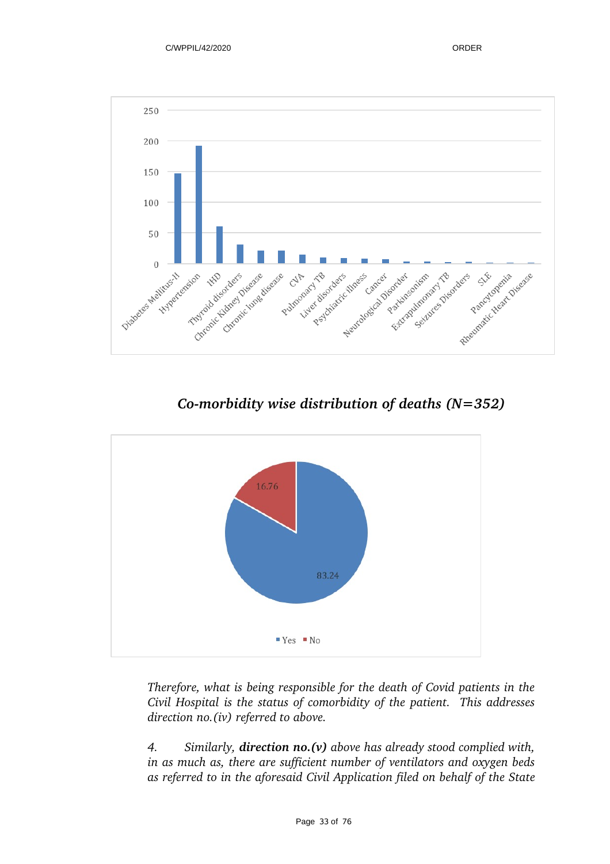

*Comorbidity wise distribution of deaths (N=352)*



*Therefore, what is being responsible for the death of Covid patients in the Civil Hospital is the status of comorbidity of the patient. This addresses direction no.(iv) referred to above.* 

*4. Similarly, direction no.(v) above has already stood complied with, in as much as, there are sufficient number of ventilators and oxygen beds as referred to in the aforesaid Civil Application filed on behalf of the State*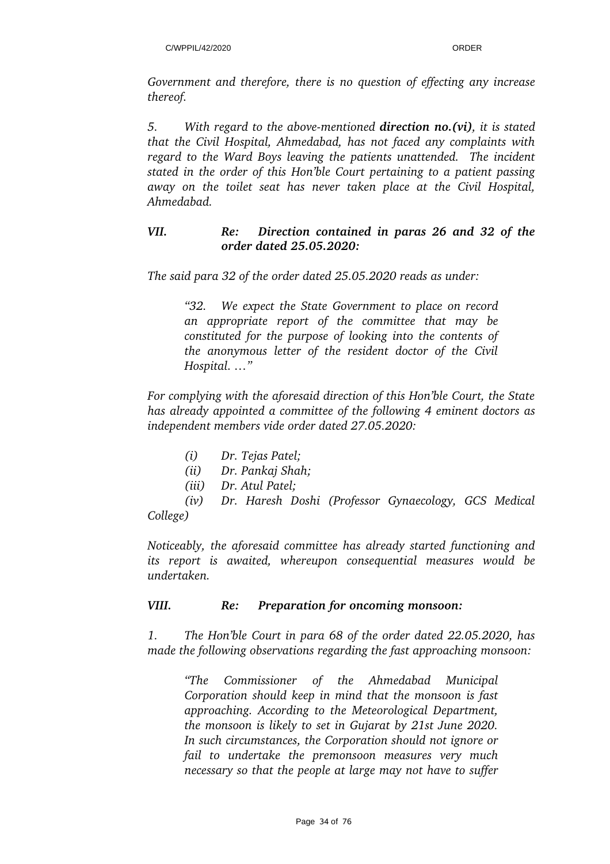*Government and therefore, there is no question of effecting any increase thereof.* 

*5. With regard to the above-mentioned direction no.(vi), it is stated that the Civil Hospital, Ahmedabad, has not faced any complaints with regard to the Ward Boys leaving the patients unattended. The incident stated in the order of this Hon'ble Court pertaining to a patient passing away on the toilet seat has never taken place at the Civil Hospital, Ahmedabad.* 

# *VII. Re: Direction contained in paras 26 and 32 of the order dated 25.05.2020:*

*The said para 32 of the order dated 25.05.2020 reads as under:*

*"32. We expect the State Government to place on record an appropriate report of the committee that may be constituted for the purpose of looking into the contents of the anonymous letter of the resident doctor of the Civil Hospital. …"* 

*For complying with the aforesaid direction of this Hon'ble Court, the State has already appointed a committee of the following 4 eminent doctors as independent members vide order dated 27.05.2020:*

- *(i) Dr. Tejas Patel;*
- *(ii) Dr. Pankaj Shah;*
- *(iii) Dr. Atul Patel;*

*(iv) Dr. Haresh Doshi (Professor Gynaecology, GCS Medical College)* 

*Noticeably, the aforesaid committee has already started functioning and its report is awaited, whereupon consequential measures would be undertaken.* 

# *VIII. Re: Preparation for oncoming monsoon:*

*1. The Hon'ble Court in para 68 of the order dated 22.05.2020, has made the following observations regarding the fast approaching monsoon:*

*"The Commissioner of the Ahmedabad Municipal Corporation should keep in mind that the monsoon is fast approaching. According to the Meteorological Department, the monsoon is likely to set in Gujarat by 21st June 2020. In such circumstances, the Corporation should not ignore or fail to undertake the premonsoon measures very much necessary so that the people at large may not have to suffer*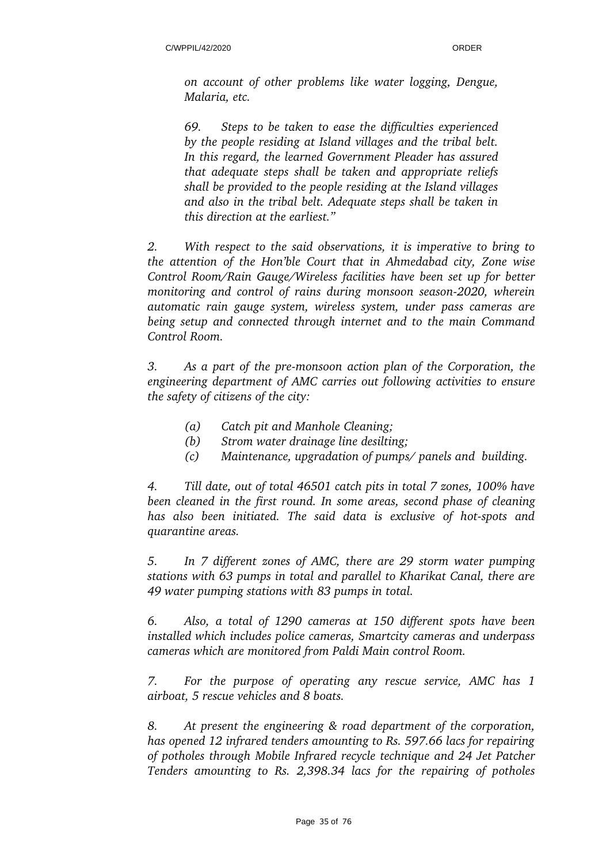*on account of other problems like water logging, Dengue, Malaria, etc.* 

*69. Steps to be taken to ease the difficulties experienced by the people residing at Island villages and the tribal belt. In this regard, the learned Government Pleader has assured that adequate steps shall be taken and appropriate reliefs shall be provided to the people residing at the Island villages and also in the tribal belt. Adequate steps shall be taken in this direction at the earliest."*

*2. With respect to the said observations, it is imperative to bring to the attention of the Hon'ble Court that in Ahmedabad city, Zone wise Control Room/Rain Gauge/Wireless facilities have been set up for better monitoring and control of rains during monsoon season2020, wherein automatic rain gauge system, wireless system, under pass cameras are being setup and connected through internet and to the main Command Control Room.*

*3. As a part of the premonsoon action plan of the Corporation, the engineering department of AMC carries out following activities to ensure the safety of citizens of the city:*

- *(a) Catch pit and Manhole Cleaning;*
- *(b) Strom water drainage line desilting;*
- *(c) Maintenance, upgradation of pumps/ panels and building.*

*4. Till date, out of total 46501 catch pits in total 7 zones, 100% have been cleaned in the first round. In some areas, second phase of cleaning* has also been initiated. The said data is exclusive of hot-spots and *quarantine areas.*

*5. In 7 different zones of AMC, there are 29 storm water pumping stations with 63 pumps in total and parallel to Kharikat Canal, there are 49 water pumping stations with 83 pumps in total.*

*6. Also, a total of 1290 cameras at 150 different spots have been installed which includes police cameras, Smartcity cameras and underpass cameras which are monitored from Paldi Main control Room.*

*7. For the purpose of operating any rescue service, AMC has 1 airboat, 5 rescue vehicles and 8 boats.*

*8. At present the engineering & road department of the corporation, has opened 12 infrared tenders amounting to Rs. 597.66 lacs for repairing of potholes through Mobile Infrared recycle technique and 24 Jet Patcher Tenders amounting to Rs. 2,398.34 lacs for the repairing of potholes*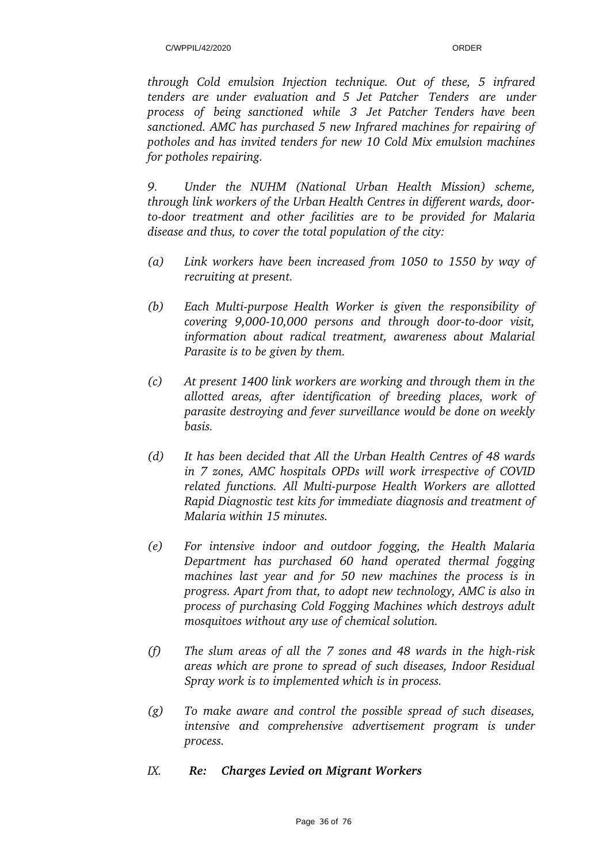*through Cold emulsion Injection technique. Out of these, 5 infrared tenders are under evaluation and 5 Jet Patcher Tenders are under process of being sanctioned while 3 Jet Patcher Tenders have been sanctioned. AMC has purchased 5 new Infrared machines for repairing of potholes and has invited tenders for new 10 Cold Mix emulsion machines for potholes repairing.*

*9. Under the NUHM (National Urban Health Mission) scheme, through link workers of the Urban Health Centres in different wards, door*to-door treatment and other facilities are to be provided for Malaria *disease and thus, to cover the total population of the city:*

- *(a) Link workers have been increased from 1050 to 1550 by way of recruiting at present.*
- *(b) Each Multipurpose Health Worker is given the responsibility of covering 9,000-10,000 persons and through door-to-door visit, information about radical treatment, awareness about Malarial Parasite is to be given by them.*
- *(c) At present 1400 link workers are working and through them in the allotted areas, after identification of breeding places, work of parasite destroying and fever surveillance would be done on weekly basis.*
- *(d) It has been decided that All the Urban Health Centres of 48 wards in 7 zones, AMC hospitals OPDs will work irrespective of COVID* related functions. All Multi-purpose Health Workers are allotted *Rapid Diagnostic test kits for immediate diagnosis and treatment of Malaria within 15 minutes.*
- *(e) For intensive indoor and outdoor fogging, the Health Malaria Department has purchased 60 hand operated thermal fogging machines last year and for 50 new machines the process is in progress. Apart from that, to adopt new technology, AMC is also in process of purchasing Cold Fogging Machines which destroys adult mosquitoes without any use of chemical solution.*
- *(f)* The slum areas of all the 7 zones and 48 wards in the high-risk *areas which are prone to spread of such diseases, Indoor Residual Spray work is to implemented which is in process.*
- *(g) To make aware and control the possible spread of such diseases, intensive and comprehensive advertisement program is under process.*
- *IX. Re: Charges Levied on Migrant Workers*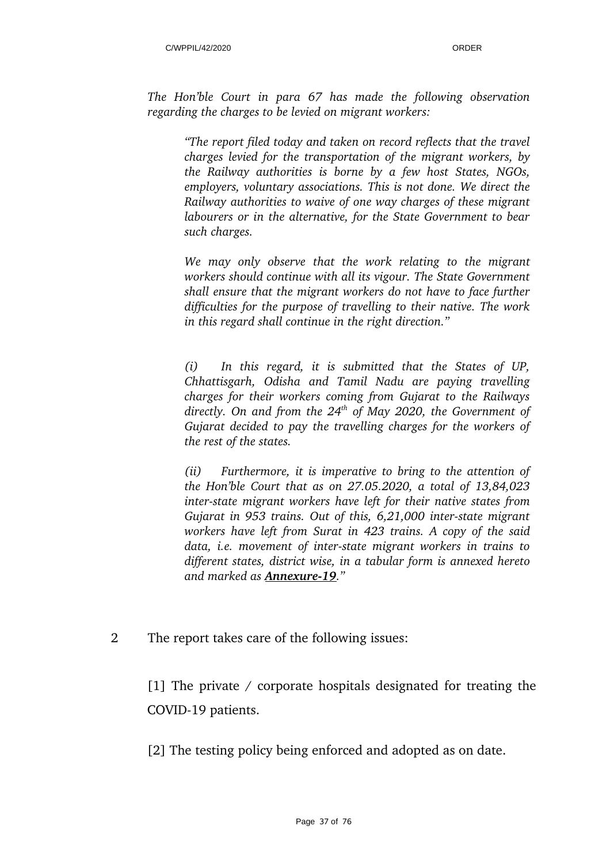*The Hon'ble Court in para 67 has made the following observation regarding the charges to be levied on migrant workers:*

*"The report filed today and taken on record reflects that the travel charges levied for the transportation of the migrant workers, by the Railway authorities is borne by a few host States, NGOs, employers, voluntary associations. This is not done. We direct the Railway authorities to waive of one way charges of these migrant labourers or in the alternative, for the State Government to bear such charges.* 

*We may only observe that the work relating to the migrant workers should continue with all its vigour. The State Government shall ensure that the migrant workers do not have to face further difficulties for the purpose of travelling to their native. The work in this regard shall continue in the right direction."*

*(i) In this regard, it is submitted that the States of UP, Chhattisgarh, Odisha and Tamil Nadu are paying travelling charges for their workers coming from Gujarat to the Railways directly. On and from the 24th of May 2020, the Government of Gujarat decided to pay the travelling charges for the workers of the rest of the states.*

*(ii) Furthermore, it is imperative to bring to the attention of the Hon'ble Court that as on 27.05.2020, a total of 13,84,023 interstate migrant workers have left for their native states from Gujarat in 953 trains. Out of this, 6,21,000 interstate migrant workers have left from Surat in 423 trains. A copy of the said* data, *i.e.* movement of inter-state migrant workers in trains to *different states, district wise, in a tabular form is annexed hereto and marked as Annexure19."*

## 2 The report takes care of the following issues:

[1] The private / corporate hospitals designated for treating the COVID-19 patients.

[2] The testing policy being enforced and adopted as on date.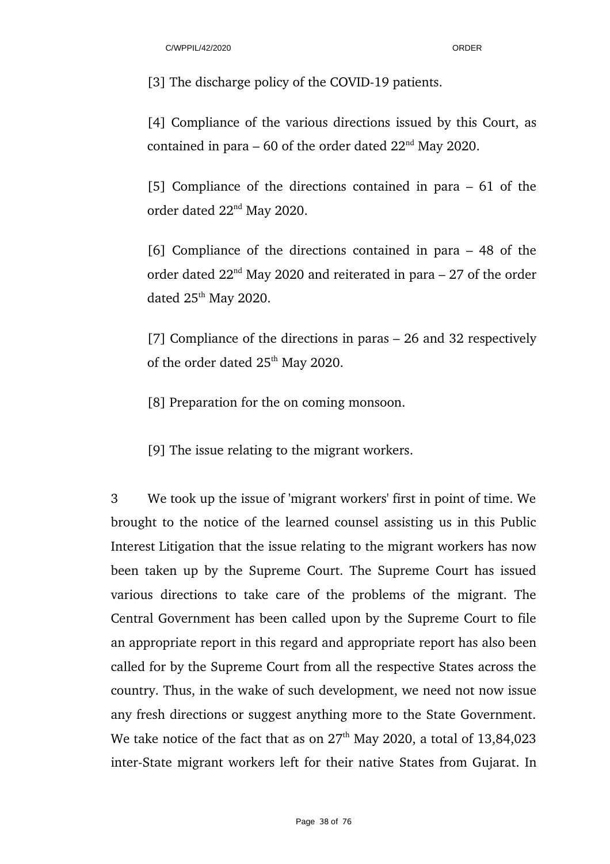[3] The discharge policy of the COVID-19 patients.

[4] Compliance of the various directions issued by this Court, as contained in para – 60 of the order dated  $22<sup>nd</sup>$  May 2020.

[5] Compliance of the directions contained in para – 61 of the order dated 22nd May 2020.

[6] Compliance of the directions contained in para – 48 of the order dated  $22<sup>nd</sup>$  May 2020 and reiterated in para – 27 of the order dated 25<sup>th</sup> May 2020.

[7] Compliance of the directions in paras – 26 and 32 respectively of the order dated 25<sup>th</sup> May 2020.

[8] Preparation for the on coming monsoon.

[9] The issue relating to the migrant workers.

3 We took up the issue of 'migrant workers' first in point of time. We brought to the notice of the learned counsel assisting us in this Public Interest Litigation that the issue relating to the migrant workers has now been taken up by the Supreme Court. The Supreme Court has issued various directions to take care of the problems of the migrant. The Central Government has been called upon by the Supreme Court to file an appropriate report in this regard and appropriate report has also been called for by the Supreme Court from all the respective States across the country. Thus, in the wake of such development, we need not now issue any fresh directions or suggest anything more to the State Government. We take notice of the fact that as on  $27<sup>th</sup>$  May 2020, a total of 13,84,023 inter-State migrant workers left for their native States from Gujarat. In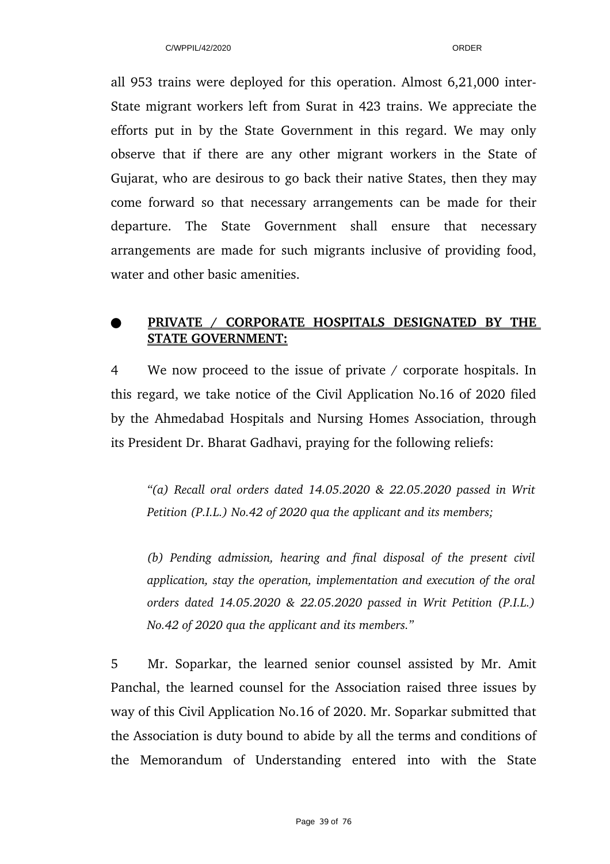all 953 trains were deployed for this operation. Almost 6,21,000 inter-State migrant workers left from Surat in 423 trains. We appreciate the efforts put in by the State Government in this regard. We may only observe that if there are any other migrant workers in the State of Gujarat, who are desirous to go back their native States, then they may come forward so that necessary arrangements can be made for their departure. The State Government shall ensure that necessary arrangements are made for such migrants inclusive of providing food, water and other basic amenities.

# ●  **PRIVATE / CORPORATE HOSPITALS DESIGNATED BY THE STATE GOVERNMENT:**

4 We now proceed to the issue of private / corporate hospitals. In this regard, we take notice of the Civil Application No.16 of 2020 filed by the Ahmedabad Hospitals and Nursing Homes Association, through its President Dr. Bharat Gadhavi, praying for the following reliefs:

*"(a) Recall oral orders dated 14.05.2020 & 22.05.2020 passed in Writ Petition (P.I.L.) No.42 of 2020 qua the applicant and its members;*

*(b) Pending admission, hearing and final disposal of the present civil application, stay the operation, implementation and execution of the oral orders dated 14.05.2020 & 22.05.2020 passed in Writ Petition (P.I.L.) No.42 of 2020 qua the applicant and its members."*

5 Mr. Soparkar, the learned senior counsel assisted by Mr. Amit Panchal, the learned counsel for the Association raised three issues by way of this Civil Application No.16 of 2020. Mr. Soparkar submitted that the Association is duty bound to abide by all the terms and conditions of the Memorandum of Understanding entered into with the State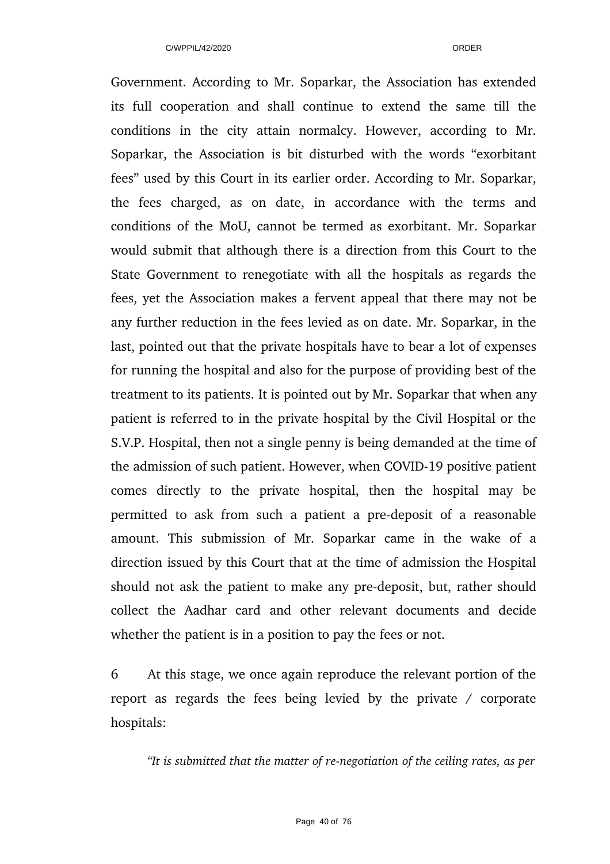Government. According to Mr. Soparkar, the Association has extended its full cooperation and shall continue to extend the same till the conditions in the city attain normalcy. However, according to Mr. Soparkar, the Association is bit disturbed with the words "exorbitant fees" used by this Court in its earlier order. According to Mr. Soparkar, the fees charged, as on date, in accordance with the terms and conditions of the MoU, cannot be termed as exorbitant. Mr. Soparkar would submit that although there is a direction from this Court to the State Government to renegotiate with all the hospitals as regards the fees, yet the Association makes a fervent appeal that there may not be any further reduction in the fees levied as on date. Mr. Soparkar, in the last, pointed out that the private hospitals have to bear a lot of expenses for running the hospital and also for the purpose of providing best of the treatment to its patients. It is pointed out by Mr. Soparkar that when any patient is referred to in the private hospital by the Civil Hospital or the S.V.P. Hospital, then not a single penny is being demanded at the time of the admission of such patient. However, when COVID-19 positive patient comes directly to the private hospital, then the hospital may be permitted to ask from such a patient a pre-deposit of a reasonable amount. This submission of Mr. Soparkar came in the wake of a direction issued by this Court that at the time of admission the Hospital should not ask the patient to make any pre-deposit, but, rather should collect the Aadhar card and other relevant documents and decide whether the patient is in a position to pay the fees or not.

6 At this stage, we once again reproduce the relevant portion of the report as regards the fees being levied by the private  $/$  corporate hospitals:

*"It is submitted that the matter of renegotiation of the ceiling rates, as per*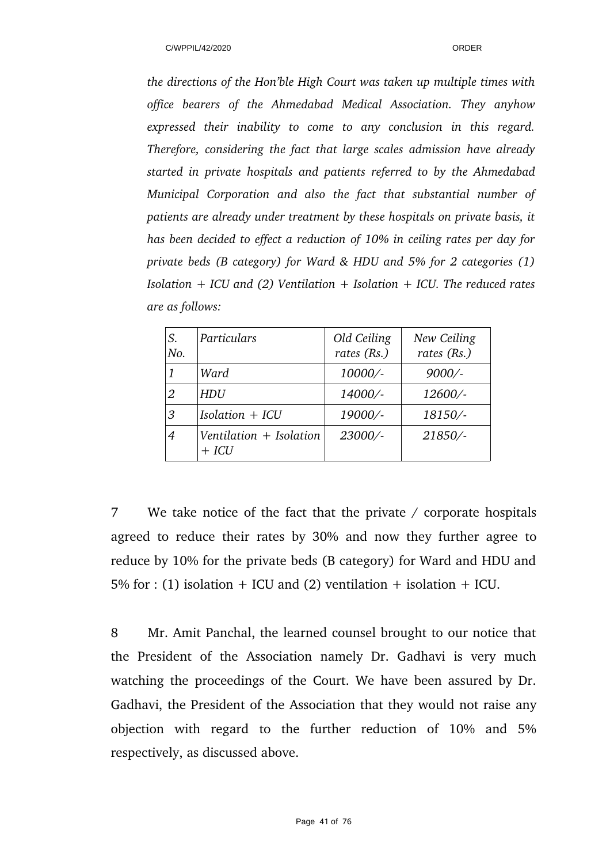*the directions of the Hon'ble High Court was taken up multiple times with office bearers of the Ahmedabad Medical Association. They anyhow expressed their inability to come to any conclusion in this regard. Therefore, considering the fact that large scales admission have already started in private hospitals and patients referred to by the Ahmedabad Municipal Corporation and also the fact that substantial number of patients are already under treatment by these hospitals on private basis, it has been decided to effect a reduction of 10% in ceiling rates per day for private beds (B category) for Ward & HDU and 5% for 2 categories (1) Isolation + ICU and (2) Ventilation + Isolation + ICU. The reduced rates are as follows:*

| S.<br>No. | Particulars                          | Old Ceiling<br>rates (Rs.) | New Ceiling<br>rates (Rs.) |
|-----------|--------------------------------------|----------------------------|----------------------------|
|           | Ward                                 | 10000/-                    | $9000/-$                   |
| 2         | HDU                                  | 14000/-                    | 12600/-                    |
| 3         | $Isolation + ICU$                    | 19000/-                    | 18150/-                    |
| 4         | Ventilation $+$ Isolation<br>$+ ICU$ | 23000/-                    | 21850/-                    |

7 We take notice of the fact that the private / corporate hospitals agreed to reduce their rates by 30% and now they further agree to reduce by 10% for the private beds (B category) for Ward and HDU and 5% for : (1) isolation + ICU and (2) ventilation + isolation + ICU.

8 Mr. Amit Panchal, the learned counsel brought to our notice that the President of the Association namely Dr. Gadhavi is very much watching the proceedings of the Court. We have been assured by Dr. Gadhavi, the President of the Association that they would not raise any objection with regard to the further reduction of 10% and 5% respectively, as discussed above.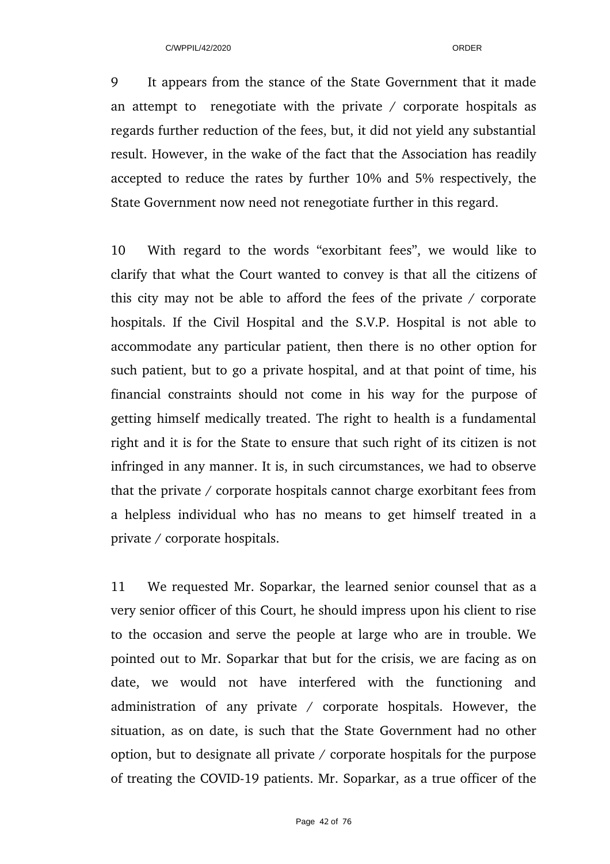9 It appears from the stance of the State Government that it made an attempt to renegotiate with the private  $\ell$  corporate hospitals as regards further reduction of the fees, but, it did not yield any substantial result. However, in the wake of the fact that the Association has readily accepted to reduce the rates by further 10% and 5% respectively, the State Government now need not renegotiate further in this regard.

10 With regard to the words "exorbitant fees", we would like to clarify that what the Court wanted to convey is that all the citizens of this city may not be able to afford the fees of the private / corporate hospitals. If the Civil Hospital and the S.V.P. Hospital is not able to accommodate any particular patient, then there is no other option for such patient, but to go a private hospital, and at that point of time, his financial constraints should not come in his way for the purpose of getting himself medically treated. The right to health is a fundamental right and it is for the State to ensure that such right of its citizen is not infringed in any manner. It is, in such circumstances, we had to observe that the private / corporate hospitals cannot charge exorbitant fees from a helpless individual who has no means to get himself treated in a private / corporate hospitals.

11 We requested Mr. Soparkar, the learned senior counsel that as a very senior officer of this Court, he should impress upon his client to rise to the occasion and serve the people at large who are in trouble. We pointed out to Mr. Soparkar that but for the crisis, we are facing as on date, we would not have interfered with the functioning and administration of any private  $/$  corporate hospitals. However, the situation, as on date, is such that the State Government had no other option, but to designate all private / corporate hospitals for the purpose of treating the COVID19 patients. Mr. Soparkar, as a true officer of the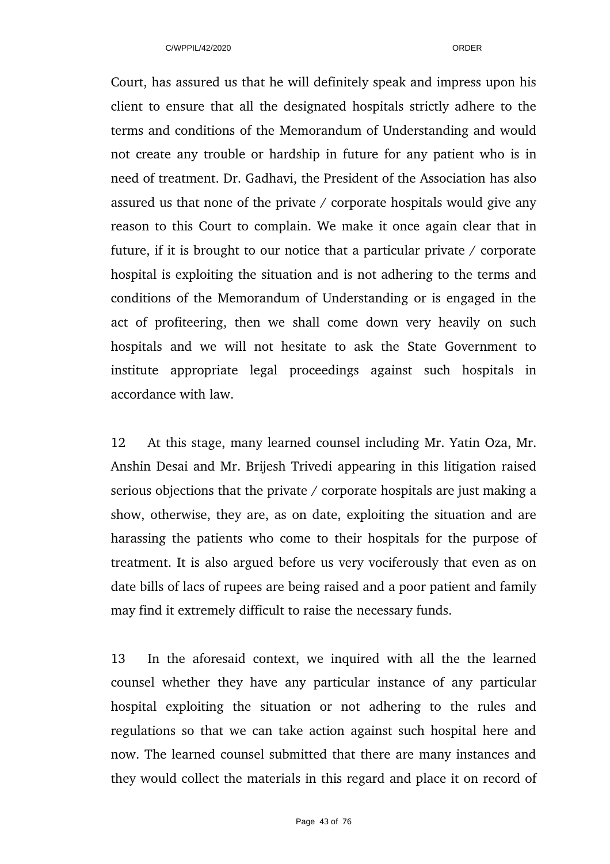Court, has assured us that he will definitely speak and impress upon his client to ensure that all the designated hospitals strictly adhere to the terms and conditions of the Memorandum of Understanding and would not create any trouble or hardship in future for any patient who is in need of treatment. Dr. Gadhavi, the President of the Association has also assured us that none of the private / corporate hospitals would give any reason to this Court to complain. We make it once again clear that in future, if it is brought to our notice that a particular private / corporate hospital is exploiting the situation and is not adhering to the terms and conditions of the Memorandum of Understanding or is engaged in the act of profiteering, then we shall come down very heavily on such hospitals and we will not hesitate to ask the State Government to institute appropriate legal proceedings against such hospitals in accordance with law.

12 At this stage, many learned counsel including Mr. Yatin Oza, Mr. Anshin Desai and Mr. Brijesh Trivedi appearing in this litigation raised serious objections that the private / corporate hospitals are just making a show, otherwise, they are, as on date, exploiting the situation and are harassing the patients who come to their hospitals for the purpose of treatment. It is also argued before us very vociferously that even as on date bills of lacs of rupees are being raised and a poor patient and family may find it extremely difficult to raise the necessary funds.

13 In the aforesaid context, we inquired with all the the learned counsel whether they have any particular instance of any particular hospital exploiting the situation or not adhering to the rules and regulations so that we can take action against such hospital here and now. The learned counsel submitted that there are many instances and they would collect the materials in this regard and place it on record of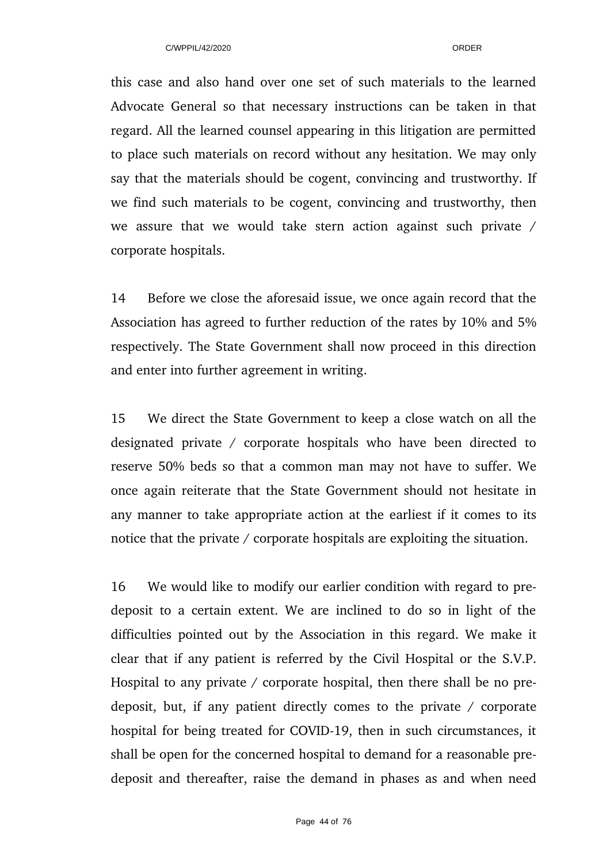this case and also hand over one set of such materials to the learned Advocate General so that necessary instructions can be taken in that regard. All the learned counsel appearing in this litigation are permitted to place such materials on record without any hesitation. We may only say that the materials should be cogent, convincing and trustworthy. If we find such materials to be cogent, convincing and trustworthy, then we assure that we would take stern action against such private  $/$ corporate hospitals.

14 Before we close the aforesaid issue, we once again record that the Association has agreed to further reduction of the rates by 10% and 5% respectively. The State Government shall now proceed in this direction and enter into further agreement in writing.

15 We direct the State Government to keep a close watch on all the designated private / corporate hospitals who have been directed to reserve 50% beds so that a common man may not have to suffer. We once again reiterate that the State Government should not hesitate in any manner to take appropriate action at the earliest if it comes to its notice that the private / corporate hospitals are exploiting the situation.

16 We would like to modify our earlier condition with regard to predeposit to a certain extent. We are inclined to do so in light of the difficulties pointed out by the Association in this regard. We make it clear that if any patient is referred by the Civil Hospital or the S.V.P. Hospital to any private / corporate hospital, then there shall be no predeposit, but, if any patient directly comes to the private / corporate hospital for being treated for COVID-19, then in such circumstances, it shall be open for the concerned hospital to demand for a reasonable predeposit and thereafter, raise the demand in phases as and when need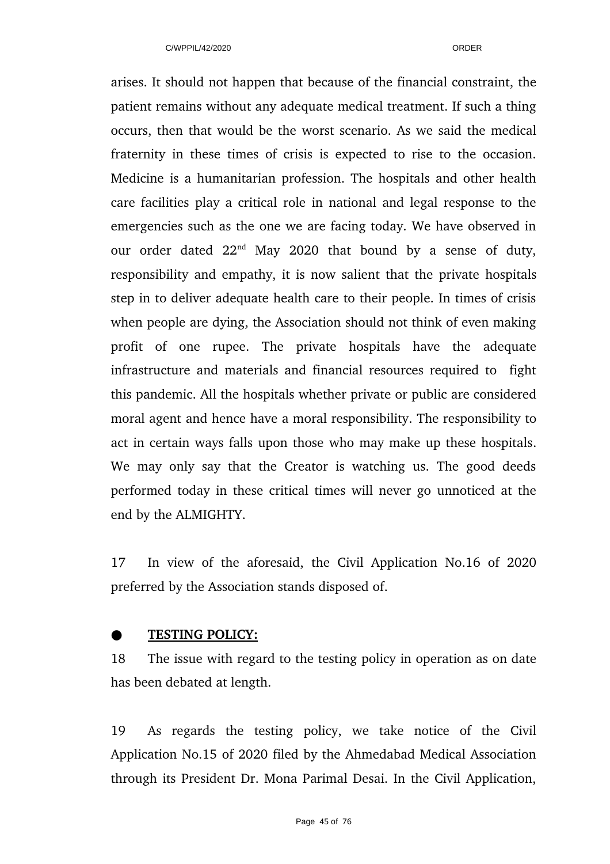arises. It should not happen that because of the financial constraint, the patient remains without any adequate medical treatment. If such a thing occurs, then that would be the worst scenario. As we said the medical fraternity in these times of crisis is expected to rise to the occasion. Medicine is a humanitarian profession. The hospitals and other health care facilities play a critical role in national and legal response to the emergencies such as the one we are facing today. We have observed in our order dated  $22<sup>nd</sup>$  May 2020 that bound by a sense of duty, responsibility and empathy, it is now salient that the private hospitals step in to deliver adequate health care to their people. In times of crisis when people are dying, the Association should not think of even making profit of one rupee. The private hospitals have the adequate infrastructure and materials and financial resources required to fight this pandemic. All the hospitals whether private or public are considered moral agent and hence have a moral responsibility. The responsibility to act in certain ways falls upon those who may make up these hospitals. We may only say that the Creator is watching us. The good deeds performed today in these critical times will never go unnoticed at the end by the ALMIGHTY.

17 In view of the aforesaid, the Civil Application No.16 of 2020 preferred by the Association stands disposed of.

# ●  **TESTING POLICY:**

18 The issue with regard to the testing policy in operation as on date has been debated at length.

19 As regards the testing policy, we take notice of the Civil Application No.15 of 2020 filed by the Ahmedabad Medical Association through its President Dr. Mona Parimal Desai. In the Civil Application,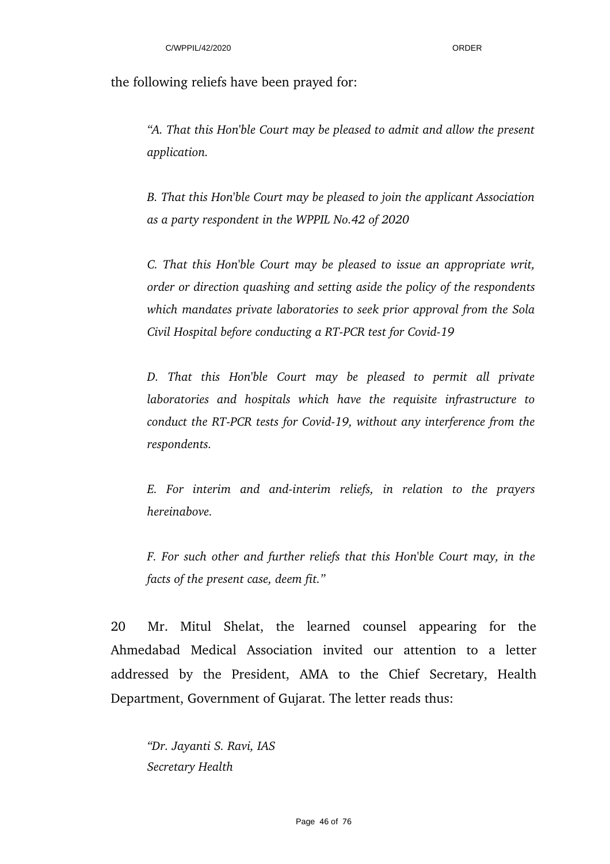the following reliefs have been prayed for:

*"A. That this Hon'ble Court may be pleased to admit and allow the present application.*

*B. That this Hon'ble Court may be pleased to join the applicant Association as a party respondent in the WPPIL No.42 of 2020*

*C. That this Hon'ble Court may be pleased to issue an appropriate writ, order or direction quashing and setting aside the policy of the respondents which mandates private laboratories to seek prior approval from the Sola Civil Hospital before conducting a RT-PCR test for Covid-19* 

*D. That this Hon'ble Court may be pleased to permit all private laboratories and hospitals which have the requisite infrastructure to conduct the RT-PCR tests for Covid-19, without any interference from the respondents.*

*E. For interim and andinterim reliefs, in relation to the prayers hereinabove.*

*F. For such other and further reliefs that this Hon'ble Court may, in the facts of the present case, deem fit."*

20 Mr. Mitul Shelat, the learned counsel appearing for the Ahmedabad Medical Association invited our attention to a letter addressed by the President, AMA to the Chief Secretary, Health Department, Government of Gujarat. The letter reads thus:

*"Dr. Jayanti S. Ravi, IAS Secretary Health*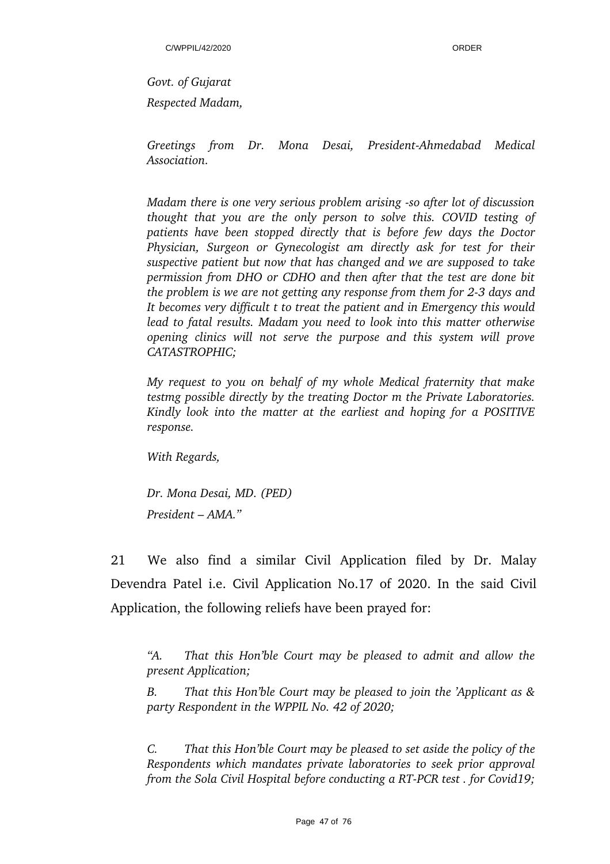*Govt. of Gujarat Respected Madam,* 

Greetings from Dr. Mona Desai, President-Ahmedabad Medical *Association.*

*Madam there is one very serious problem arising so after lot of discussion thought that you are the only person to solve this. COVID testing of patients have been stopped directly that is before few days the Doctor Physician, Surgeon or Gynecologist am directly ask for test for their suspective patient but now that has changed and we are supposed to take permission from DHO or CDHO and then after that the test are done bit the problem is we are not getting any response from them for 23 days and It becomes very difficult t to treat the patient and in Emergency this would lead to fatal results. Madam you need to look into this matter otherwise opening clinics will not serve the purpose and this system will prove CATASTROPHIC;* 

*My request to you on behalf of my whole Medical fraternity that make testmg possible directly by the treating Doctor m the Private Laboratories. Kindly look into the matter at the earliest and hoping for a POSITIVE response.* 

*With Regards,*

*Dr. Mona Desai, MD. (PED) President – AMA."*

21 We also find a similar Civil Application filed by Dr. Malay Devendra Patel i.e. Civil Application No.17 of 2020. In the said Civil Application, the following reliefs have been prayed for:

*"A. That this Hon'ble Court may be pleased to admit and allow the present Application;* 

*B. That this Hon'ble Court may be pleased to join the 'Applicant as & party Respondent in the WPPIL No. 42 of 2020;* 

*C. That this Hon'ble Court may be pleased to set aside the policy of the Respondents which mandates private laboratories to seek prior approval from the Sola Civil Hospital before conducting a RT-PCR test. for Covid19;*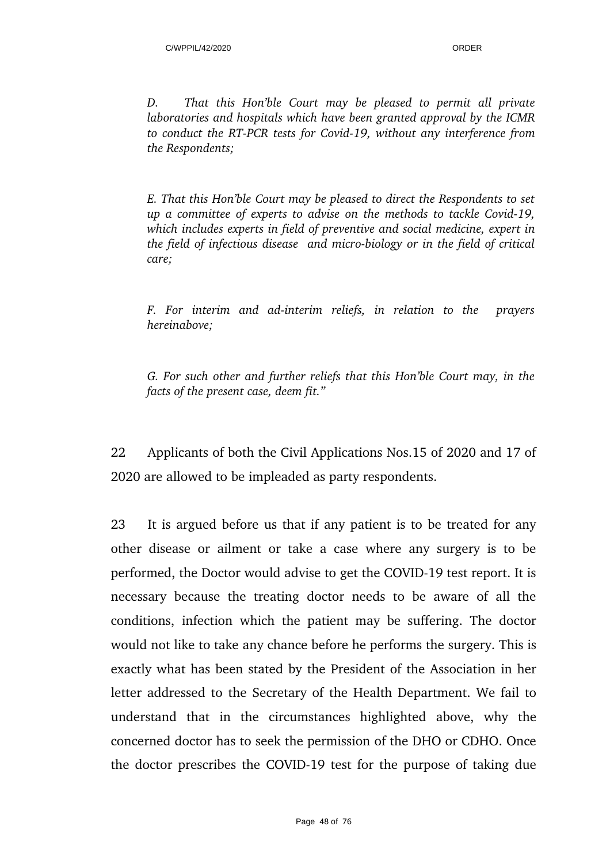*D. That this Hon'ble Court may be pleased to permit all private laboratories and hospitals which have been granted approval by the ICMR* to conduct the RT-PCR tests for Covid-19, without any interference from *the Respondents;*

*E. That this Hon'ble Court may be pleased to direct the Respondents to set up a committee of experts to advise on the methods to tackle Covid-19, which includes experts in field of preventive and social medicine, expert in the field of infectious disease and micro-biology or in the field of critical care;*

*F. For interim and adinterim reliefs, in relation to the prayers hereinabove;*

*G. For such other and further reliefs that this Hon'ble Court may, in the facts of the present case, deem fit."*

22 Applicants of both the Civil Applications Nos.15 of 2020 and 17 of 2020 are allowed to be impleaded as party respondents.

23 It is argued before us that if any patient is to be treated for any other disease or ailment or take a case where any surgery is to be performed, the Doctor would advise to get the COVID-19 test report. It is necessary because the treating doctor needs to be aware of all the conditions, infection which the patient may be suffering. The doctor would not like to take any chance before he performs the surgery. This is exactly what has been stated by the President of the Association in her letter addressed to the Secretary of the Health Department. We fail to understand that in the circumstances highlighted above, why the concerned doctor has to seek the permission of the DHO or CDHO. Once the doctor prescribes the COVID-19 test for the purpose of taking due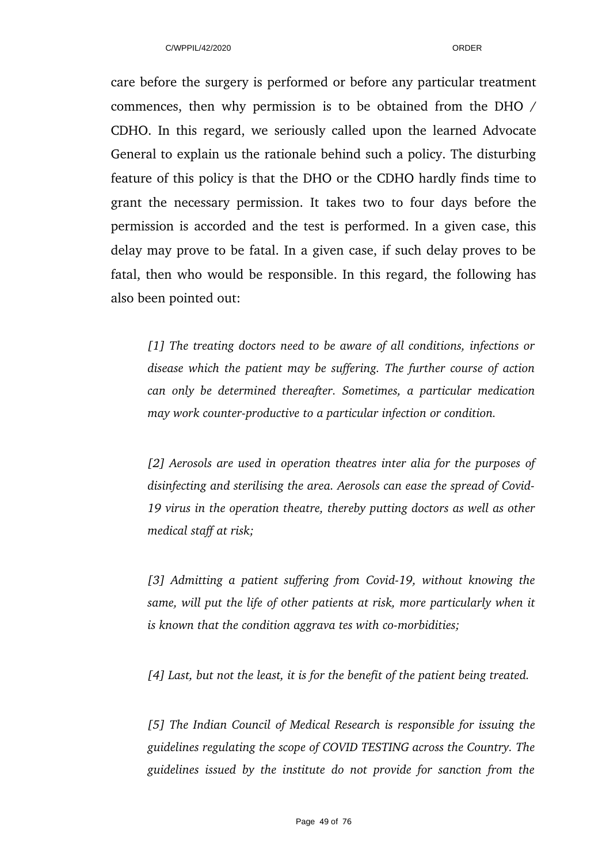care before the surgery is performed or before any particular treatment commences, then why permission is to be obtained from the DHO / CDHO. In this regard, we seriously called upon the learned Advocate General to explain us the rationale behind such a policy. The disturbing feature of this policy is that the DHO or the CDHO hardly finds time to grant the necessary permission. It takes two to four days before the permission is accorded and the test is performed. In a given case, this delay may prove to be fatal. In a given case, if such delay proves to be fatal, then who would be responsible. In this regard, the following has also been pointed out:

*[1] The treating doctors need to be aware of all conditions, infections or disease which the patient may be suffering. The further course of action can only be determined thereafter. Sometimes, a particular medication may work counter-productive to a particular infection or condition.* 

*[2] Aerosols are used in operation theatres inter alia for the purposes of disinfecting and sterilising the area. Aerosols can ease the spread of Covid-19 virus in the operation theatre, thereby putting doctors as well as other medical staff at risk;* 

*[3] Admitting a patient suffering from Covid19, without knowing the same, will put the life of other patients at risk, more particularly when it is known that the condition aggrava tes with co-morbidities;* 

*[4] Last, but not the least, it is for the benefit of the patient being treated.*

*[5] The Indian Council of Medical Research is responsible for issuing the guidelines regulating the scope of COVID TESTING across the Country. The guidelines issued by the institute do not provide for sanction from the*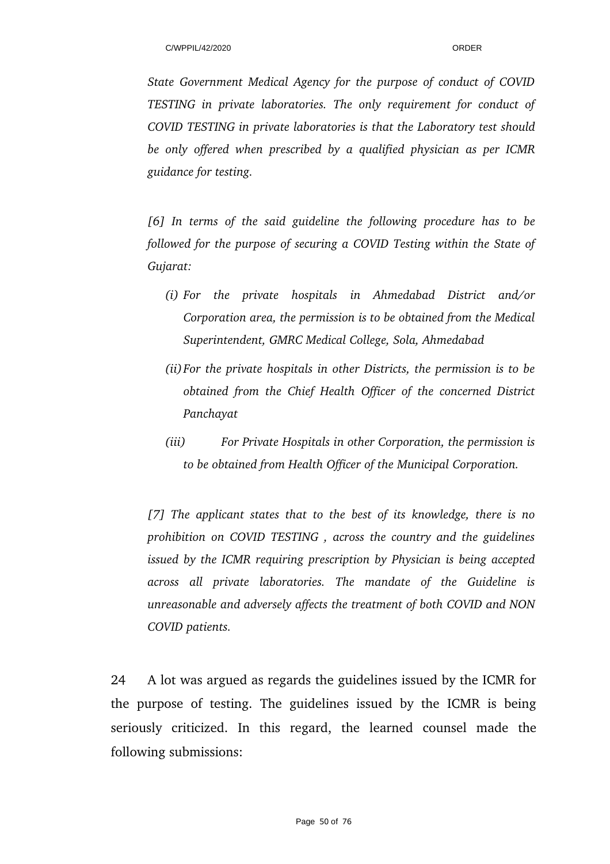*State Government Medical Agency for the purpose of conduct of COVID TESTING in private laboratories. The only requirement for conduct of COVID TESTING in private laboratories is that the Laboratory test should be only offered when prescribed by a qualified physician as per ICMR guidance for testing.*

*[6] In terms of the said guideline the following procedure has to be followed for the purpose of securing a COVID Testing within the State of Gujarat:* 

- *(i) For the private hospitals in Ahmedabad District and/or Corporation area, the permission is to be obtained from the Medical Superintendent, GMRC Medical College, Sola, Ahmedabad*
- *(ii)For the private hospitals in other Districts, the permission is to be obtained from the Chief Health Officer of the concerned District Panchayat*
- *(iii) For Private Hospitals in other Corporation, the permission is to be obtained from Health Officer of the Municipal Corporation.*

*[7] The applicant states that to the best of its knowledge, there is no prohibition on COVID TESTING , across the country and the guidelines issued by the ICMR requiring prescription by Physician is being accepted across all private laboratories. The mandate of the Guideline is unreasonable and adversely affects the treatment of both COVID and NON COVID patients.*

24 A lot was argued as regards the guidelines issued by the ICMR for the purpose of testing. The guidelines issued by the ICMR is being seriously criticized. In this regard, the learned counsel made the following submissions: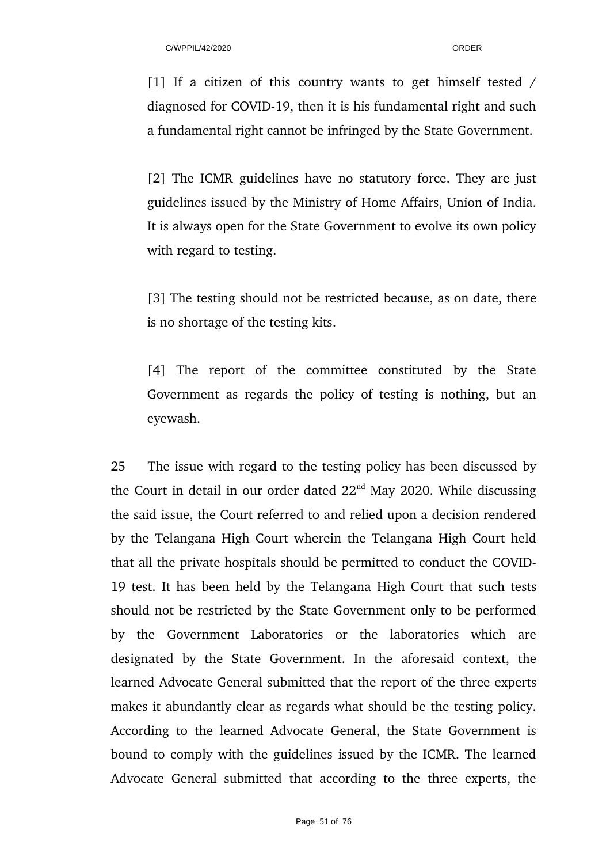[1] If a citizen of this country wants to get himself tested  $/$ diagnosed for COVID-19, then it is his fundamental right and such a fundamental right cannot be infringed by the State Government.

[2] The ICMR guidelines have no statutory force. They are just guidelines issued by the Ministry of Home Affairs, Union of India. It is always open for the State Government to evolve its own policy with regard to testing.

[3] The testing should not be restricted because, as on date, there is no shortage of the testing kits.

[4] The report of the committee constituted by the State Government as regards the policy of testing is nothing, but an eyewash.

25 The issue with regard to the testing policy has been discussed by the Court in detail in our order dated  $22<sup>nd</sup>$  May 2020. While discussing the said issue, the Court referred to and relied upon a decision rendered by the Telangana High Court wherein the Telangana High Court held that all the private hospitals should be permitted to conduct the COVID-19 test. It has been held by the Telangana High Court that such tests should not be restricted by the State Government only to be performed by the Government Laboratories or the laboratories which are designated by the State Government. In the aforesaid context, the learned Advocate General submitted that the report of the three experts makes it abundantly clear as regards what should be the testing policy. According to the learned Advocate General, the State Government is bound to comply with the guidelines issued by the ICMR. The learned Advocate General submitted that according to the three experts, the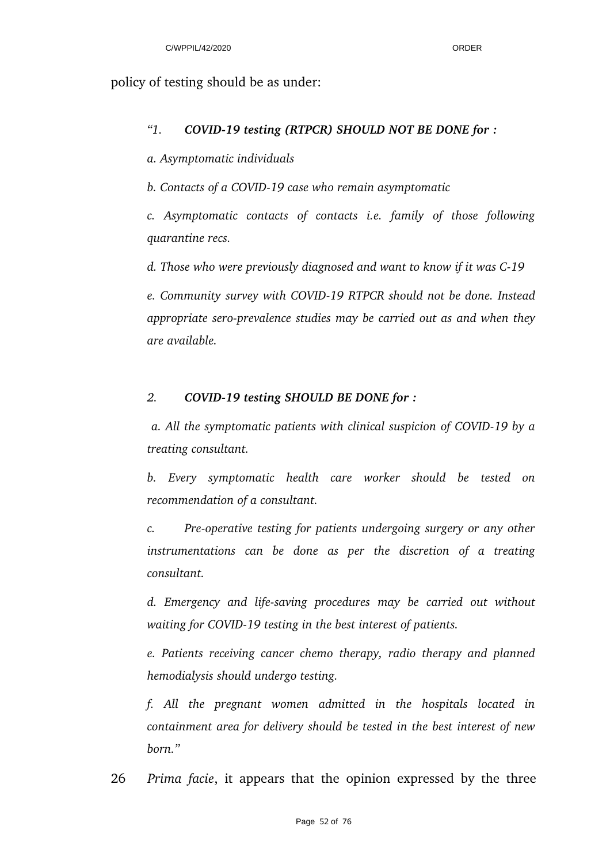## policy of testing should be as under:

## *"1. COVID19 testing (RTPCR) SHOULD NOT BE DONE for :*

*a. Asymptomatic individuals* 

*b. Contacts of a COVID19 case who remain asymptomatic*

*c. Asymptomatic contacts of contacts i.e. family of those following quarantine recs.*

*d. Those who were previously diagnosed and want to know if it was C19*

*e. Community survey with COVID19 RTPCR should not be done. Instead* appropriate sero-prevalence studies may be carried out as and when they *are available.* 

## *2. COVID19 testing SHOULD BE DONE for :*

 *a. All the symptomatic patients with clinical suspicion of COVID19 by a treating consultant.* 

*b. Every symptomatic health care worker should be tested on recommendation of a consultant.*

*c.* Pre-operative testing for patients undergoing surgery or any other *instrumentations can be done as per the discretion of a treating consultant.*

*d. Emergency and lifesaving procedures may be carried out without waiting for COVID19 testing in the best interest of patients.* 

*e. Patients receiving cancer chemo therapy, radio therapy and planned hemodialysis should undergo testing.* 

*f. All the pregnant women admitted in the hospitals located in containment area for delivery should be tested in the best interest of new born."*

26 *Prima facie*, it appears that the opinion expressed by the three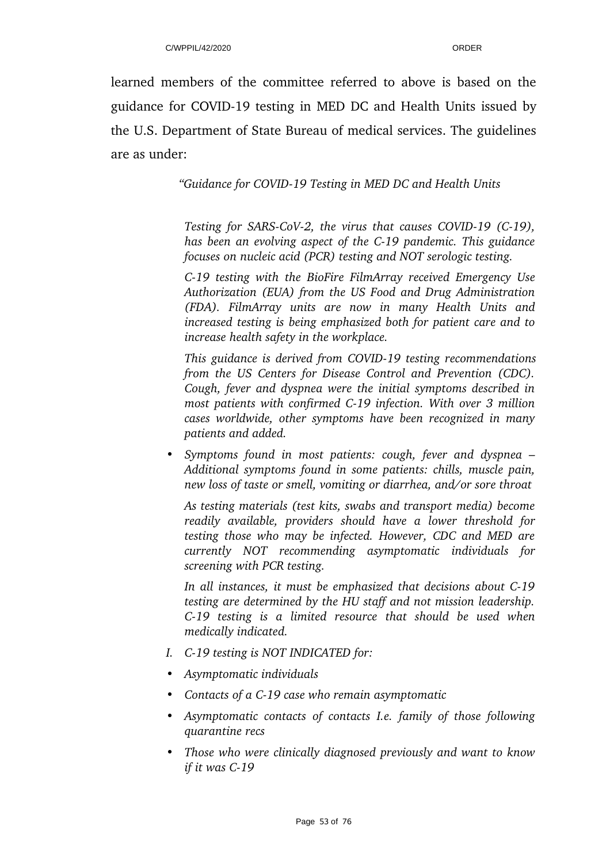learned members of the committee referred to above is based on the guidance for COVID-19 testing in MED DC and Health Units issued by the U.S. Department of State Bureau of medical services. The guidelines are as under:

*"Guidance for COVID19 Testing in MED DC and Health Units* 

*Testing for SARS-CoV-2, the virus that causes COVID-19 (C-19), has been an evolving aspect of the C19 pandemic. This guidance focuses on nucleic acid (PCR) testing and NOT serologic testing.*

*C19 testing with the BioFire FilmArray received Emergency Use Authorization (EUA) from the US Food and Drug Administration (FDA). FilmArray units are now in many Health Units and increased testing is being emphasized both for patient care and to increase health safety in the workplace.*

*This guidance is derived from COVID19 testing recommendations from the US Centers for Disease Control and Prevention (CDC). Cough, fever and dyspnea were the initial symptoms described in most patients with confirmed C19 infection. With over 3 million cases worldwide, other symptoms have been recognized in many patients and added.*

*• Symptoms found in most patients: cough, fever and dyspnea – Additional symptoms found in some patients: chills, muscle pain, new loss of taste or smell, vomiting or diarrhea, and/or sore throat*

*As testing materials (test kits, swabs and transport media) become readily available, providers should have a lower threshold for testing those who may be infected. However, CDC and MED are currently NOT recommending asymptomatic individuals for screening with PCR testing.*

*In all instances, it must be emphasized that decisions about C19 testing are determined by the HU staff and not mission leadership. C19 testing is a limited resource that should be used when medically indicated.*

- *I. C19 testing is NOT INDICATED for:*
- *• Asymptomatic individuals*
- *• Contacts of a C19 case who remain asymptomatic*
- *• Asymptomatic contacts of contacts I.e. family of those following quarantine recs*
- *• Those who were clinically diagnosed previously and want to know if it was C19*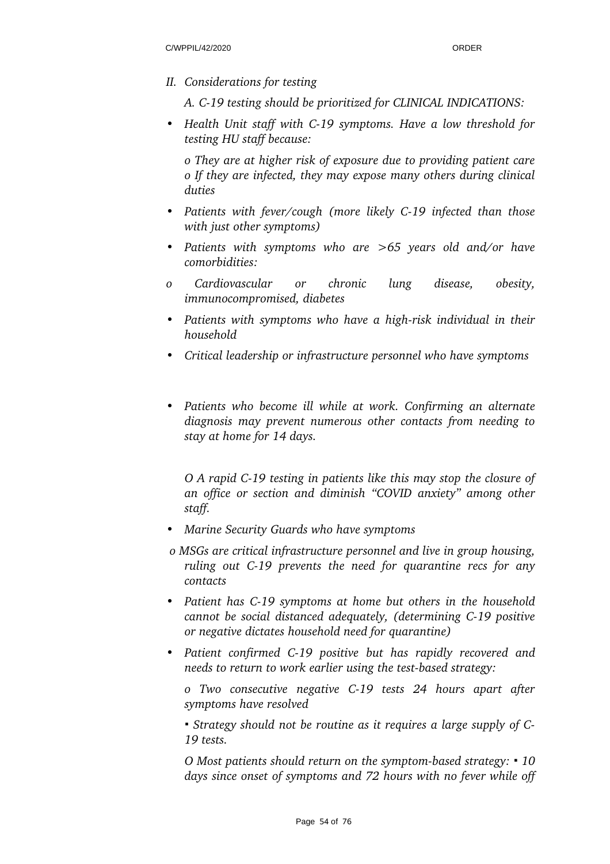*II. Considerations for testing*

*A. C19 testing should be prioritized for CLINICAL INDICATIONS:*

*• Health Unit staff with C19 symptoms. Have a low threshold for testing HU staff because:*

*o They are at higher risk of exposure due to providing patient care o If they are infected, they may expose many others during clinical duties*

- Patients with fever/cough (more likely C-19 infected than those *with just other symptoms)*
- *• Patients with symptoms who are >65 years old and/or have comorbidities:*
- *o Cardiovascular or chronic lung disease, obesity, immunocompromised, diabetes*
- Patients with symptoms who have a high-risk individual in their *household*
- *• Critical leadership or infrastructure personnel who have symptoms*
- *• Patients who become ill while at work. Confirming an alternate diagnosis may prevent numerous other contacts from needing to stay at home for 14 days.*

*O A rapid C19 testing in patients like this may stop the closure of an office or section and diminish "COVID anxiety" among other staff.*

- *• Marine Security Guards who have symptoms*
- *o MSGs are critical infrastructure personnel and live in group housing, ruling out C19 prevents the need for quarantine recs for any contacts*
- *• Patient has C19 symptoms at home but others in the household cannot be social distanced adequately, (determining C19 positive or negative dictates household need for quarantine)*
- *• Patient confirmed C19 positive but has rapidly recovered and needs to return to work earlier using the test-based strategy:*

*o Two consecutive negative C19 tests 24 hours apart after symptoms have resolved*

*▪ Strategy should not be routine as it requires a large supply of C-19 tests.*

*O Most patients should return on the symptom-based strategy:*  $\cdot$  *10 days since onset of symptoms and 72 hours with no fever while off*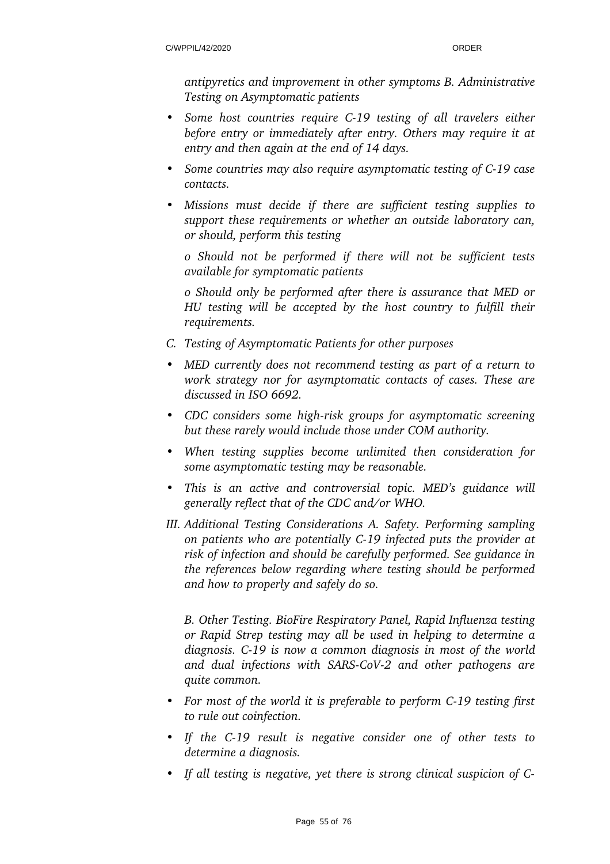*antipyretics and improvement in other symptoms B. Administrative Testing on Asymptomatic patients*

- *• Some host countries require C19 testing of all travelers either before entry or immediately after entry. Others may require it at entry and then again at the end of 14 days.*
- *• Some countries may also require asymptomatic testing of C19 case contacts.*
- *• Missions must decide if there are sufficient testing supplies to support these requirements or whether an outside laboratory can, or should, perform this testing*

*o Should not be performed if there will not be sufficient tests available for symptomatic patients*

*o Should only be performed after there is assurance that MED or HU testing will be accepted by the host country to fulfill their requirements.*

- *C. Testing of Asymptomatic Patients for other purposes*
- *• MED currently does not recommend testing as part of a return to work strategy nor for asymptomatic contacts of cases. These are discussed in ISO 6692.*
- *CDC considers some high-risk groups for asymptomatic screening but these rarely would include those under COM authority.*
- *• When testing supplies become unlimited then consideration for some asymptomatic testing may be reasonable.*
- *This is an active and controversial topic. MED's guidance will generally reflect that of the CDC and/or WHO.*
- *III. Additional Testing Considerations A. Safety. Performing sampling on patients who are potentially C19 infected puts the provider at risk of infection and should be carefully performed. See guidance in the references below regarding where testing should be performed and how to properly and safely do so.*

*B. Other Testing. BioFire Respiratory Panel, Rapid Influenza testing or Rapid Strep testing may all be used in helping to determine a diagnosis. C19 is now a common diagnosis in most of the world* and dual infections with SARS-CoV-2 and other pathogens are *quite common.*

- *• For most of the world it is preferable to perform C19 testing first to rule out coinfection.*
- If the C-19 result is negative consider one of other tests to *determine a diagnosis.*
- *• If all testing is negative, yet there is strong clinical suspicion of C-*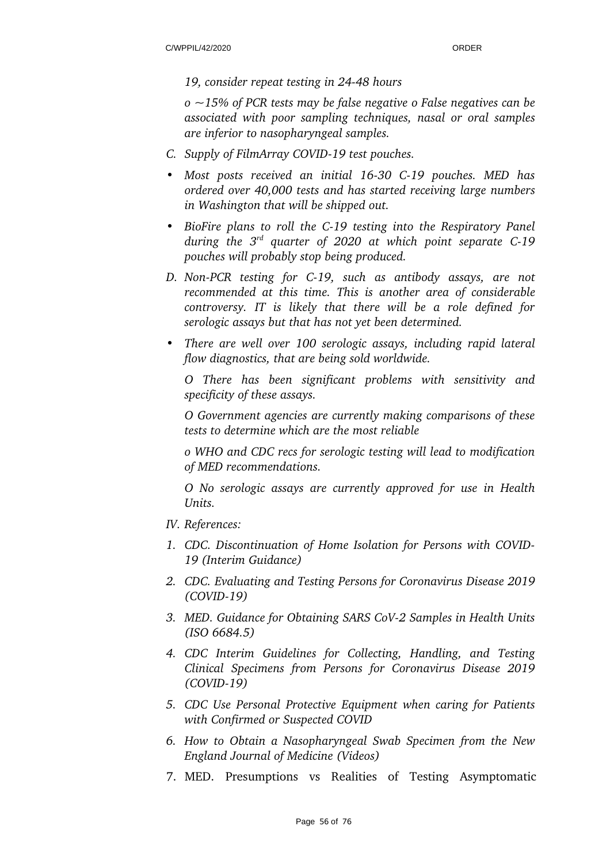#### *19, consider repeat testing in 2448 hours*

*o ~15% of PCR tests may be false negative o False negatives can be associated with poor sampling techniques, nasal or oral samples are inferior to nasopharyngeal samples.*

- *C. Supply of FilmArray COVID-19 test pouches.*
- *• Most posts received an initial 1630 C19 pouches. MED has ordered over 40,000 tests and has started receiving large numbers in Washington that will be shipped out.*
- *• BioFire plans to roll the C19 testing into the Respiratory Panel during the 3rd quarter of 2020 at which point separate C19 pouches will probably stop being produced.*
- *D. NonPCR testing for C19, such as antibody assays, are not recommended at this time. This is another area of considerable controversy. IT is likely that there will be a role defined for serologic assays but that has not yet been determined.*
- *• There are well over 100 serologic assays, including rapid lateral flow diagnostics, that are being sold worldwide.*

*O There has been significant problems with sensitivity and specificity of these assays.*

*O Government agencies are currently making comparisons of these tests to determine which are the most reliable*

*o WHO and CDC recs for serologic testing will lead to modification of MED recommendations.*

*O No serologic assays are currently approved for use in Health Units.*

- *IV. References:*
- *1. CDC. Discontinuation of Home Isolation for Persons with COVID-19 (Interim Guidance)*
- *2. CDC. Evaluating and Testing Persons for Coronavirus Disease 2019 (COVID19)*
- *3. MED. Guidance for Obtaining SARS CoV2 Samples in Health Units (ISO 6684.5)*
- *4. CDC Interim Guidelines for Collecting, Handling, and Testing Clinical Specimens from Persons for Coronavirus Disease 2019 (COVID19)*
- *5. CDC Use Personal Protective Equipment when caring for Patients with Confirmed or Suspected COVID*
- *6. How to Obtain a Nasopharyngeal Swab Specimen from the New England Journal of Medicine (Videos)*
- 7. MED. Presumptions vs Realities of Testing Asymptomatic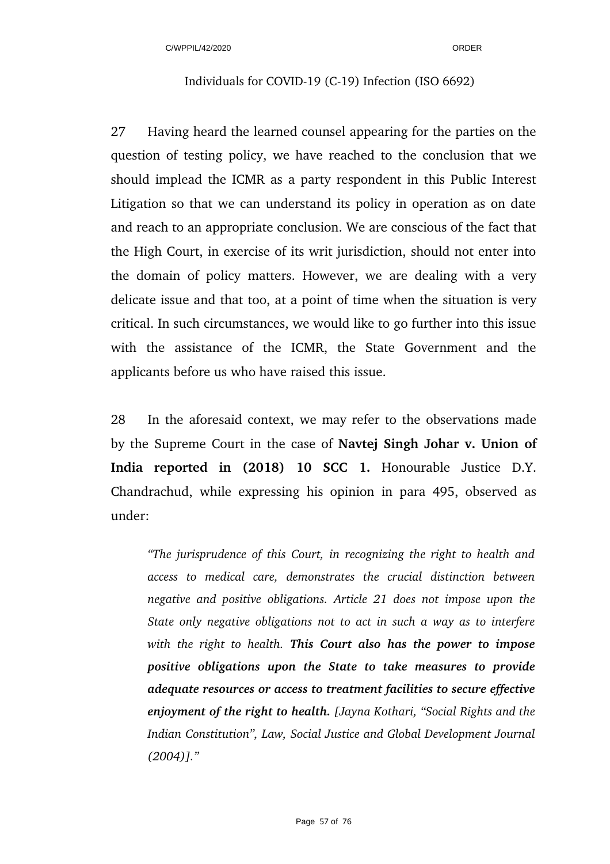#### Individuals for COVID-19 (C-19) Infection (ISO 6692)

27 Having heard the learned counsel appearing for the parties on the question of testing policy, we have reached to the conclusion that we should implead the ICMR as a party respondent in this Public Interest Litigation so that we can understand its policy in operation as on date and reach to an appropriate conclusion. We are conscious of the fact that the High Court, in exercise of its writ jurisdiction, should not enter into the domain of policy matters. However, we are dealing with a very delicate issue and that too, at a point of time when the situation is very critical. In such circumstances, we would like to go further into this issue with the assistance of the ICMR, the State Government and the applicants before us who have raised this issue.

28 In the aforesaid context, we may refer to the observations made by the Supreme Court in the case of **Navtej Singh Johar v. Union of India reported in (2018) 10 SCC 1.** Honourable Justice D.Y. Chandrachud, while expressing his opinion in para 495, observed as under:

*"The jurisprudence of this Court, in recognizing the right to health and access to medical care, demonstrates the crucial distinction between negative and positive obligations. Article 21 does not impose upon the State only negative obligations not to act in such a way as to interfere with the right to health. This Court also has the power to impose positive obligations upon the State to take measures to provide adequate resources or access to treatment facilities to secure effective enjoyment of the right to health. [Jayna Kothari, "Social Rights and the Indian Constitution", Law, Social Justice and Global Development Journal (2004)]."*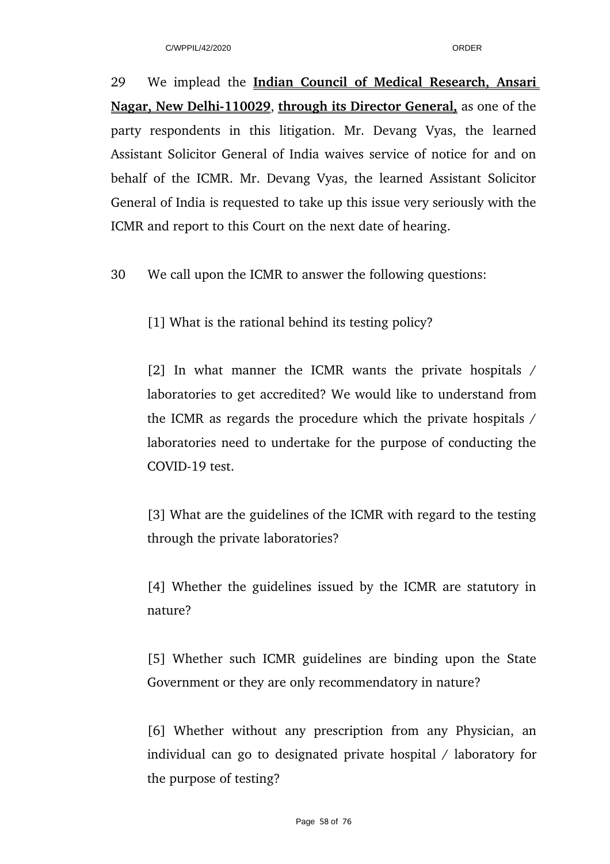29 We implead the **Indian Council of Medical Research, Ansari Nagar, New Delhi-110029, through its Director General,** as one of the party respondents in this litigation. Mr. Devang Vyas, the learned Assistant Solicitor General of India waives service of notice for and on behalf of the ICMR. Mr. Devang Vyas, the learned Assistant Solicitor General of India is requested to take up this issue very seriously with the ICMR and report to this Court on the next date of hearing.

30 We call upon the ICMR to answer the following questions:

[1] What is the rational behind its testing policy?

[2] In what manner the ICMR wants the private hospitals  $/$ laboratories to get accredited? We would like to understand from the ICMR as regards the procedure which the private hospitals / laboratories need to undertake for the purpose of conducting the COVID-19 test.

[3] What are the guidelines of the ICMR with regard to the testing through the private laboratories?

[4] Whether the guidelines issued by the ICMR are statutory in nature?

[5] Whether such ICMR guidelines are binding upon the State Government or they are only recommendatory in nature?

[6] Whether without any prescription from any Physician, an individual can go to designated private hospital / laboratory for the purpose of testing?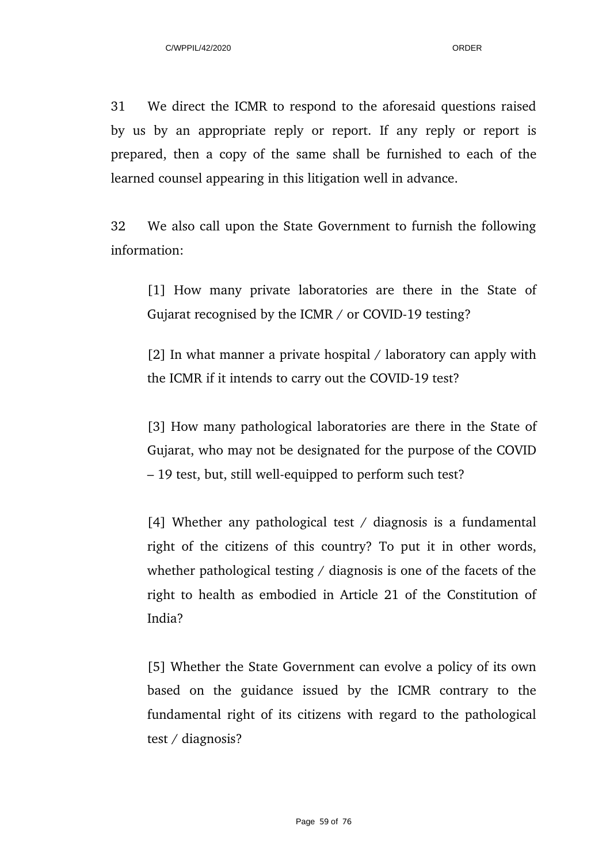31 We direct the ICMR to respond to the aforesaid questions raised by us by an appropriate reply or report. If any reply or report is prepared, then a copy of the same shall be furnished to each of the learned counsel appearing in this litigation well in advance.

32 We also call upon the State Government to furnish the following information:

[1] How many private laboratories are there in the State of Gujarat recognised by the ICMR / or COVID-19 testing?

[2] In what manner a private hospital / laboratory can apply with the ICMR if it intends to carry out the COVID-19 test?

[3] How many pathological laboratories are there in the State of Gujarat, who may not be designated for the purpose of the COVID – 19 test, but, still well-equipped to perform such test?

[4] Whether any pathological test / diagnosis is a fundamental right of the citizens of this country? To put it in other words, whether pathological testing / diagnosis is one of the facets of the right to health as embodied in Article 21 of the Constitution of India?

[5] Whether the State Government can evolve a policy of its own based on the guidance issued by the ICMR contrary to the fundamental right of its citizens with regard to the pathological test / diagnosis?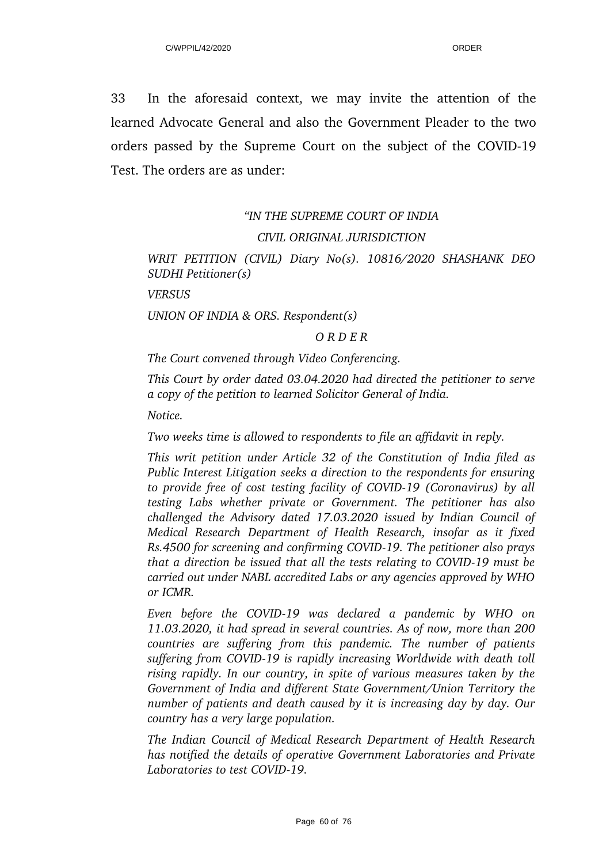33 In the aforesaid context, we may invite the attention of the learned Advocate General and also the Government Pleader to the two orders passed by the Supreme Court on the subject of the COVID-19 Test. The orders are as under:

# *"IN THE SUPREME COURT OF INDIA CIVIL ORIGINAL JURISDICTION*

## *WRIT PETITION (CIVIL) Diary No(s). 10816/2020 SHASHANK DEO SUDHI Petitioner(s)*

*VERSUS*

*UNION OF INDIA & ORS. Respondent(s)*

#### *O R D E R*

*The Court convened through Video Conferencing.*

*This Court by order dated 03.04.2020 had directed the petitioner to serve a copy of the petition to learned Solicitor General of India.*

*Notice.*

*Two weeks time is allowed to respondents to file an affidavit in reply.*

*This writ petition under Article 32 of the Constitution of India filed as Public Interest Litigation seeks a direction to the respondents for ensuring to provide free of cost testing facility of COVID19 (Coronavirus) by all testing Labs whether private or Government. The petitioner has also challenged the Advisory dated 17.03.2020 issued by Indian Council of Medical Research Department of Health Research, insofar as it fixed Rs.4500 for screening and confirming COVID19. The petitioner also prays that a direction be issued that all the tests relating to COVID-19 must be carried out under NABL accredited Labs or any agencies approved by WHO or ICMR.*

*Even before the COVID-19 was declared a pandemic by WHO on 11.03.2020, it had spread in several countries. As of now, more than 200 countries are suffering from this pandemic. The number of patients suffering from COVID19 is rapidly increasing Worldwide with death toll rising rapidly. In our country, in spite of various measures taken by the Government of India and different State Government/Union Territory the number of patients and death caused by it is increasing day by day. Our country has a very large population.*

*The Indian Council of Medical Research Department of Health Research has notified the details of operative Government Laboratories and Private Laboratories to test COVID-19.*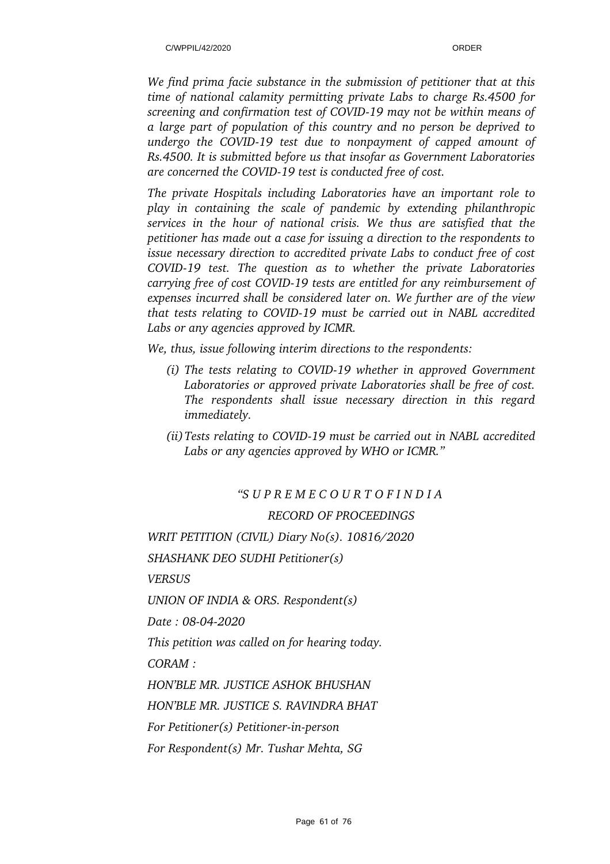*We find prima facie substance in the submission of petitioner that at this time of national calamity permitting private Labs to charge Rs.4500 for screening and confirmation test of COVID19 may not be within means of a large part of population of this country and no person be deprived to undergo the COVID19 test due to nonpayment of capped amount of Rs.4500. It is submitted before us that insofar as Government Laboratories are concerned the COVID19 test is conducted free of cost.*

*The private Hospitals including Laboratories have an important role to play in containing the scale of pandemic by extending philanthropic services in the hour of national crisis. We thus are satisfied that the petitioner has made out a case for issuing a direction to the respondents to issue necessary direction to accredited private Labs to conduct free of cost COVID19 test. The question as to whether the private Laboratories carrying free of cost COVID19 tests are entitled for any reimbursement of expenses incurred shall be considered later on. We further are of the view that tests relating to COVID19 must be carried out in NABL accredited Labs or any agencies approved by ICMR.*

*We, thus, issue following interim directions to the respondents:*

- *(i) The tests relating to COVID19 whether in approved Government Laboratories or approved private Laboratories shall be free of cost. The respondents shall issue necessary direction in this regard immediately.*
- *(ii)Tests relating to COVID19 must be carried out in NABL accredited Labs or any agencies approved by WHO or ICMR."*

## *"S U P R E M E C O U R T O F I N D I A*

## *RECORD OF PROCEEDINGS*

*WRIT PETITION (CIVIL) Diary No(s). 10816/2020* 

*SHASHANK DEO SUDHI Petitioner(s)*

*VERSUS*

*UNION OF INDIA & ORS. Respondent(s)* 

*Date: 08-04-2020* 

*This petition was called on for hearing today.*

*CORAM :*

*HON'BLE MR. JUSTICE ASHOK BHUSHAN* 

*HON'BLE MR. JUSTICE S. RAVINDRA BHAT* 

*For Petitioner(s) Petitioner-in-person* 

*For Respondent(s) Mr. Tushar Mehta, SG*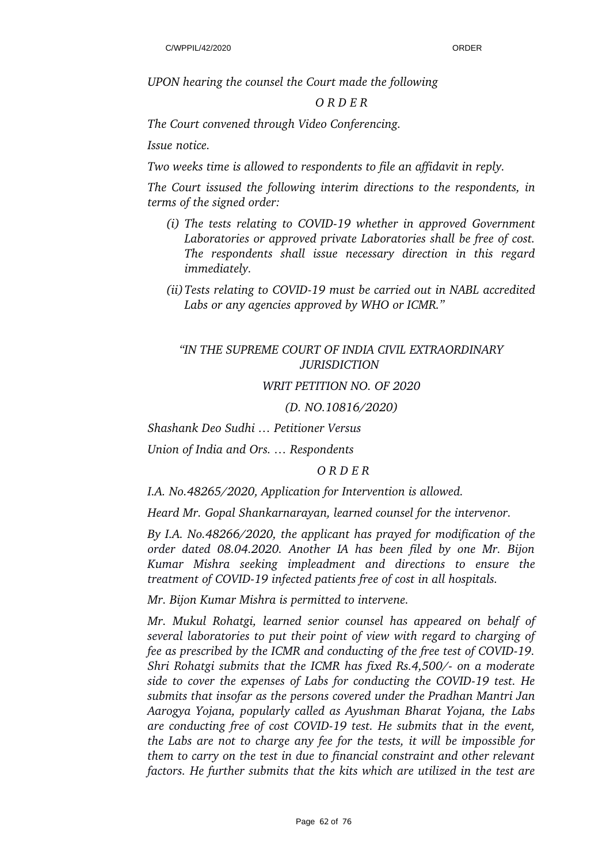*UPON hearing the counsel the Court made the following* 

#### *O R D E R*

*The Court convened through Video Conferencing.*

*Issue notice.*

*Two weeks time is allowed to respondents to file an affidavit in reply.*

*The Court issused the following interim directions to the respondents, in terms of the signed order:*

- *(i) The tests relating to COVID19 whether in approved Government Laboratories or approved private Laboratories shall be free of cost. The respondents shall issue necessary direction in this regard immediately.*
- *(ii)Tests relating to COVID19 must be carried out in NABL accredited Labs or any agencies approved by WHO or ICMR."*

## *"IN THE SUPREME COURT OF INDIA CIVIL EXTRAORDINARY JURISDICTION*

#### *WRIT PETITION NO. OF 2020*

*(D. NO.10816/2020)*

*Shashank Deo Sudhi … Petitioner Versus*

*Union of India and Ors. … Respondents*

*O R D E R*

*I.A. No.48265/2020, Application for Intervention is allowed.*

*Heard Mr. Gopal Shankarnarayan, learned counsel for the intervenor.*

*By I.A. No.48266/2020, the applicant has prayed for modification of the order dated 08.04.2020. Another IA has been filed by one Mr. Bijon Kumar Mishra seeking impleadment and directions to ensure the treatment of COVID19 infected patients free of cost in all hospitals.*

*Mr. Bijon Kumar Mishra is permitted to intervene.*

*Mr. Mukul Rohatgi, learned senior counsel has appeared on behalf of several laboratories to put their point of view with regard to charging of fee as prescribed by the ICMR and conducting of the free test of COVID-19. Shri Rohatgi submits that the ICMR has fixed Rs.4,500/- on a moderate side to cover the expenses of Labs for conducting the COVID19 test. He submits that insofar as the persons covered under the Pradhan Mantri Jan Aarogya Yojana, popularly called as Ayushman Bharat Yojana, the Labs are conducting free of cost COVID19 test. He submits that in the event, the Labs are not to charge any fee for the tests, it will be impossible for them to carry on the test in due to financial constraint and other relevant factors. He further submits that the kits which are utilized in the test are*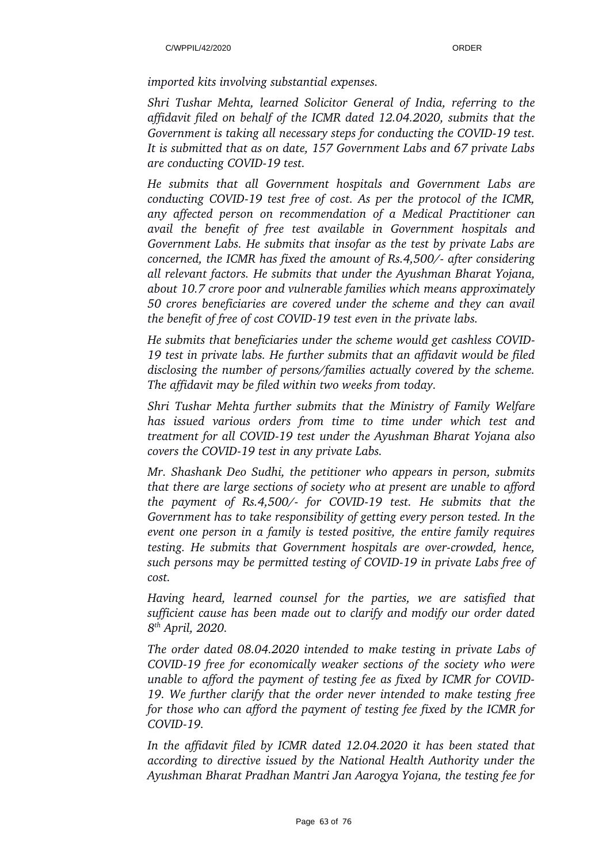*imported kits involving substantial expenses.*

*Shri Tushar Mehta, learned Solicitor General of India, referring to the affidavit filed on behalf of the ICMR dated 12.04.2020, submits that the Government is taking all necessary steps for conducting the COVID-19 test. It is submitted that as on date, 157 Government Labs and 67 private Labs are conducting COVID19 test.*

*He submits that all Government hospitals and Government Labs are conducting COVID19 test free of cost. As per the protocol of the ICMR, any affected person on recommendation of a Medical Practitioner can avail the benefit of free test available in Government hospitals and Government Labs. He submits that insofar as the test by private Labs are concerned, the ICMR has fixed the amount of Rs.4,500/ after considering all relevant factors. He submits that under the Ayushman Bharat Yojana, about 10.7 crore poor and vulnerable families which means approximately 50 crores beneficiaries are covered under the scheme and they can avail the benefit of free of cost COVID-19 test even in the private labs.* 

*He submits that beneficiaries under the scheme would get cashless COVID-19 test in private labs. He further submits that an affidavit would be filed disclosing the number of persons/families actually covered by the scheme. The affidavit may be filed within two weeks from today.*

*Shri Tushar Mehta further submits that the Ministry of Family Welfare has issued various orders from time to time under which test and treatment for all COVID19 test under the Ayushman Bharat Yojana also covers the COVID19 test in any private Labs.*

*Mr. Shashank Deo Sudhi, the petitioner who appears in person, submits that there are large sections of society who at present are unable to afford the payment of Rs.4,500/- for COVID-19 test. He submits that the Government has to take responsibility of getting every person tested. In the event one person in a family is tested positive, the entire family requires testing. He submits that Government hospitals are over-crowded, hence, such persons may be permitted testing of COVID19 in private Labs free of cost.*

*Having heard, learned counsel for the parties, we are satisfied that sufficient cause has been made out to clarify and modify our order dated 8 th April, 2020.*

*The order dated 08.04.2020 intended to make testing in private Labs of COVID19 free for economically weaker sections of the society who were unable to afford the payment of testing fee as fixed by ICMR for COVID-19. We further clarify that the order never intended to make testing free for those who can afford the payment of testing fee fixed by the ICMR for COVID19.*

*In the affidavit filed by ICMR dated 12.04.2020 it has been stated that according to directive issued by the National Health Authority under the Ayushman Bharat Pradhan Mantri Jan Aarogya Yojana, the testing fee for*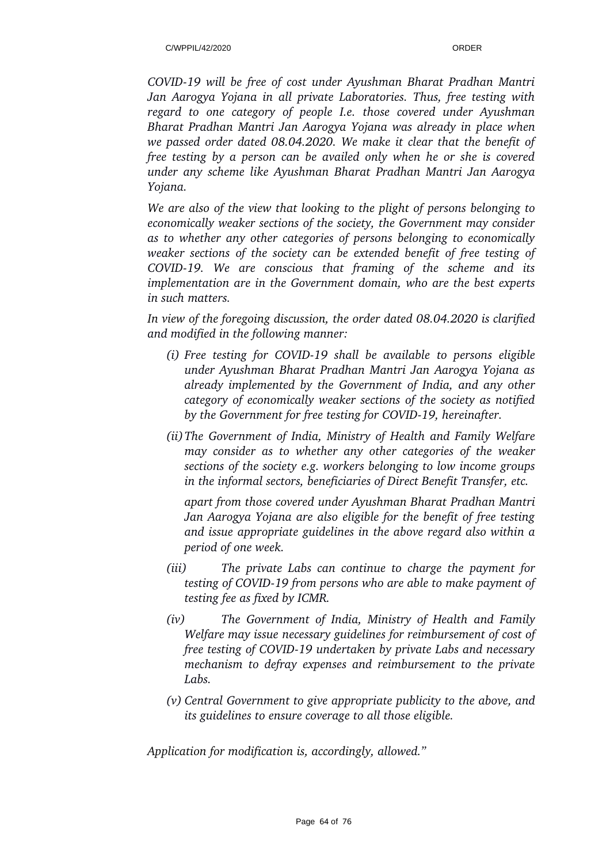*COVID19 will be free of cost under Ayushman Bharat Pradhan Mantri Jan Aarogya Yojana in all private Laboratories. Thus, free testing with regard to one category of people I.e. those covered under Ayushman Bharat Pradhan Mantri Jan Aarogya Yojana was already in place when we passed order dated 08.04.2020. We make it clear that the benefit of free testing by a person can be availed only when he or she is covered under any scheme like Ayushman Bharat Pradhan Mantri Jan Aarogya Yojana.*

*We are also of the view that looking to the plight of persons belonging to economically weaker sections of the society, the Government may consider as to whether any other categories of persons belonging to economically weaker sections of the society can be extended benefit of free testing of COVID19. We are conscious that framing of the scheme and its implementation are in the Government domain, who are the best experts in such matters.*

*In view of the foregoing discussion, the order dated 08.04.2020 is clarified and modified in the following manner:*

- *(i) Free testing for COVID19 shall be available to persons eligible under Ayushman Bharat Pradhan Mantri Jan Aarogya Yojana as already implemented by the Government of India, and any other category of economically weaker sections of the society as notified by the Government for free testing for COVID19, hereinafter.*
- *(ii)The Government of India, Ministry of Health and Family Welfare may consider as to whether any other categories of the weaker sections of the society e.g. workers belonging to low income groups in the informal sectors, beneficiaries of Direct Benefit Transfer, etc.*

*apart from those covered under Ayushman Bharat Pradhan Mantri Jan Aarogya Yojana are also eligible for the benefit of free testing and issue appropriate guidelines in the above regard also within a period of one week.*

- *(iii) The private Labs can continue to charge the payment for testing of COVID19 from persons who are able to make payment of testing fee as fixed by ICMR.*
- *(iv) The Government of India, Ministry of Health and Family Welfare may issue necessary guidelines for reimbursement of cost of free testing of COVID19 undertaken by private Labs and necessary mechanism to defray expenses and reimbursement to the private Labs.*
- *(v) Central Government to give appropriate publicity to the above, and its guidelines to ensure coverage to all those eligible.*

*Application for modification is, accordingly, allowed."*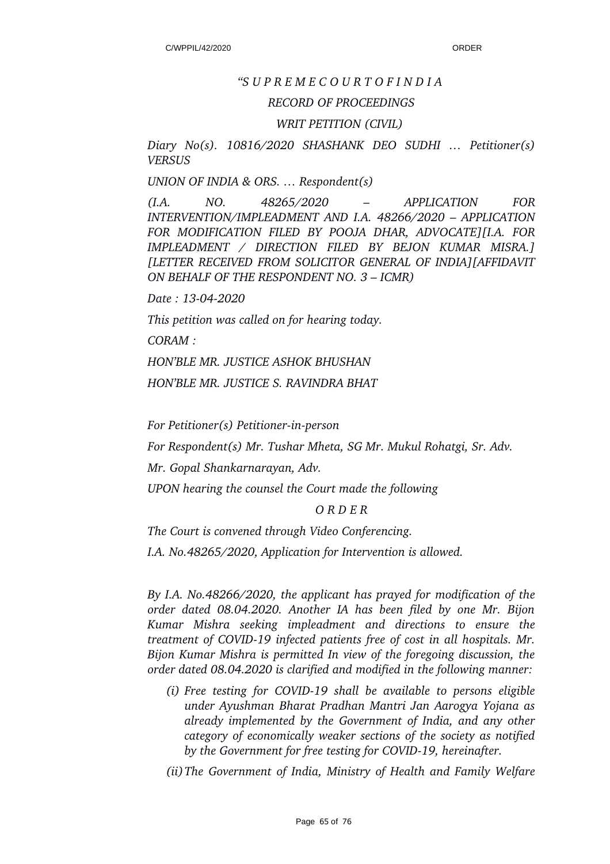#### *"S U P R E M E C O U R T O F I N D I A*

#### *RECORD OF PROCEEDINGS*

#### *WRIT PETITION (CIVIL)*

*Diary No(s). 10816/2020 SHASHANK DEO SUDHI … Petitioner(s) VERSUS*

*UNION OF INDIA & ORS. … Respondent(s)* 

*(I.A. NO. 48265/2020 – APPLICATION FOR INTERVENTION/IMPLEADMENT AND I.A. 48266/2020 – APPLICATION FOR MODIFICATION FILED BY POOJA DHAR, ADVOCATE][I.A. FOR IMPLEADMENT / DIRECTION FILED BY BEJON KUMAR MISRA.] [LETTER RECEIVED FROM SOLICITOR GENERAL OF INDIA][AFFIDAVIT ON BEHALF OF THE RESPONDENT NO. 3 – ICMR)* 

*Date : 13042020* 

*This petition was called on for hearing today.*

*CORAM :* 

*HON'BLE MR. JUSTICE ASHOK BHUSHAN* 

*HON'BLE MR. JUSTICE S. RAVINDRA BHAT* 

*For Petitioner(s) Petitioner-in-person* 

*For Respondent(s) Mr. Tushar Mheta, SG Mr. Mukul Rohatgi, Sr. Adv.*

*Mr. Gopal Shankarnarayan, Adv.*

*UPON hearing the counsel the Court made the following* 

#### *O R D E R*

*The Court is convened through Video Conferencing.*

*I.A. No.48265/2020, Application for Intervention is allowed.*

*By I.A. No.48266/2020, the applicant has prayed for modification of the order dated 08.04.2020. Another IA has been filed by one Mr. Bijon Kumar Mishra seeking impleadment and directions to ensure the treatment of COVID19 infected patients free of cost in all hospitals. Mr. Bijon Kumar Mishra is permitted In view of the foregoing discussion, the order dated 08.04.2020 is clarified and modified in the following manner:*

*(i) Free testing for COVID19 shall be available to persons eligible under Ayushman Bharat Pradhan Mantri Jan Aarogya Yojana as already implemented by the Government of India, and any other category of economically weaker sections of the society as notified by the Government for free testing for COVID19, hereinafter.*

*(ii)The Government of India, Ministry of Health and Family Welfare*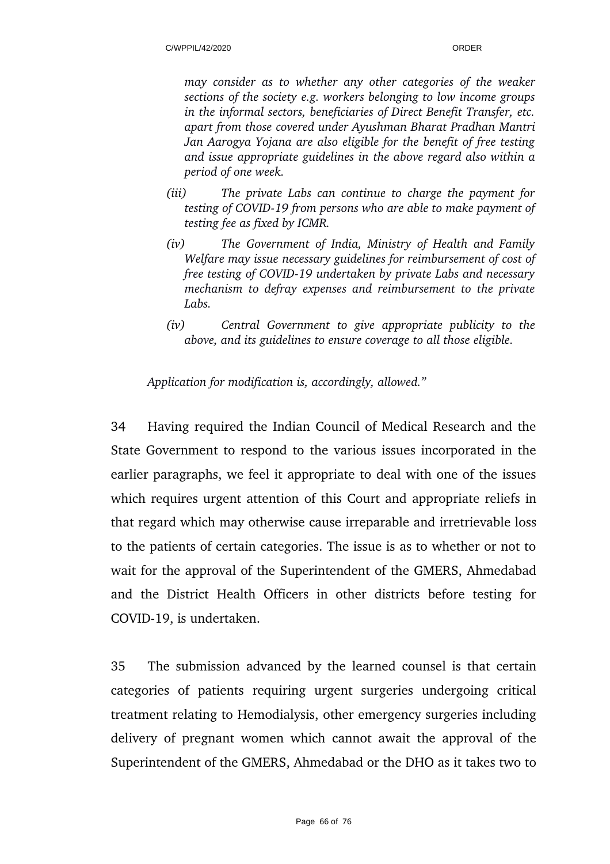*may consider as to whether any other categories of the weaker sections of the society e.g. workers belonging to low income groups in the informal sectors, beneficiaries of Direct Benefit Transfer, etc. apart from those covered under Ayushman Bharat Pradhan Mantri Jan Aarogya Yojana are also eligible for the benefit of free testing and issue appropriate guidelines in the above regard also within a period of one week.*

- *(iii) The private Labs can continue to charge the payment for testing of COVID19 from persons who are able to make payment of testing fee as fixed by ICMR.*
- *(iv) The Government of India, Ministry of Health and Family Welfare may issue necessary guidelines for reimbursement of cost of free testing of COVID19 undertaken by private Labs and necessary mechanism to defray expenses and reimbursement to the private Labs.*
- *(iv) Central Government to give appropriate publicity to the above, and its guidelines to ensure coverage to all those eligible.*

*Application for modification is, accordingly, allowed."*

34 Having required the Indian Council of Medical Research and the State Government to respond to the various issues incorporated in the earlier paragraphs, we feel it appropriate to deal with one of the issues which requires urgent attention of this Court and appropriate reliefs in that regard which may otherwise cause irreparable and irretrievable loss to the patients of certain categories. The issue is as to whether or not to wait for the approval of the Superintendent of the GMERS, Ahmedabad and the District Health Officers in other districts before testing for COVID-19, is undertaken.

35 The submission advanced by the learned counsel is that certain categories of patients requiring urgent surgeries undergoing critical treatment relating to Hemodialysis, other emergency surgeries including delivery of pregnant women which cannot await the approval of the Superintendent of the GMERS, Ahmedabad or the DHO as it takes two to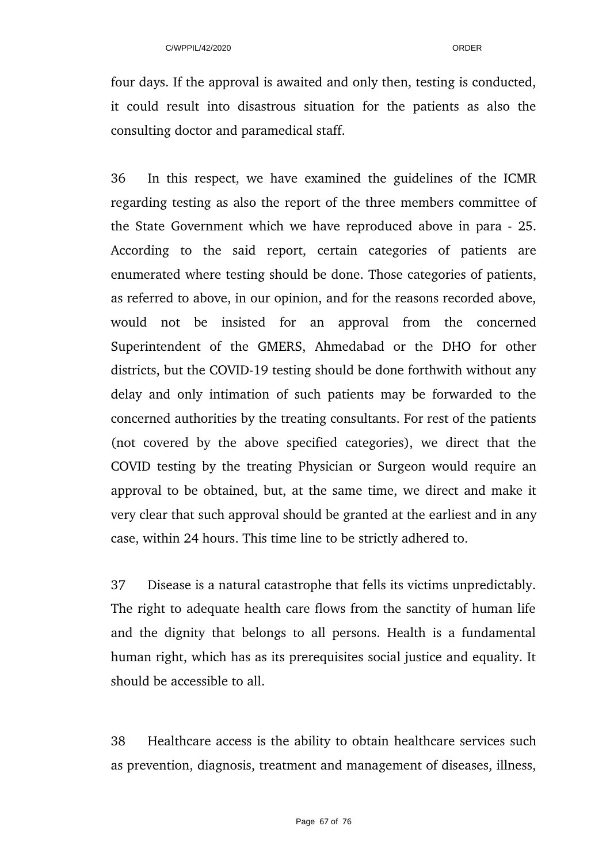four days. If the approval is awaited and only then, testing is conducted, it could result into disastrous situation for the patients as also the consulting doctor and paramedical staff.

36 In this respect, we have examined the guidelines of the ICMR regarding testing as also the report of the three members committee of the State Government which we have reproduced above in para 25. According to the said report, certain categories of patients are enumerated where testing should be done. Those categories of patients, as referred to above, in our opinion, and for the reasons recorded above, would not be insisted for an approval from the concerned Superintendent of the GMERS, Ahmedabad or the DHO for other districts, but the COVID-19 testing should be done forthwith without any delay and only intimation of such patients may be forwarded to the concerned authorities by the treating consultants. For rest of the patients (not covered by the above specified categories), we direct that the COVID testing by the treating Physician or Surgeon would require an approval to be obtained, but, at the same time, we direct and make it very clear that such approval should be granted at the earliest and in any case, within 24 hours. This time line to be strictly adhered to.

37 Disease is a natural catastrophe that fells its victims unpredictably. The right to adequate health care flows from the sanctity of human life and the dignity that belongs to all persons. Health is a fundamental human right, which has as its prerequisites social justice and equality. It should be accessible to all.

38 Healthcare access is the ability to obtain healthcare services such as prevention, diagnosis, treatment and management of diseases, illness,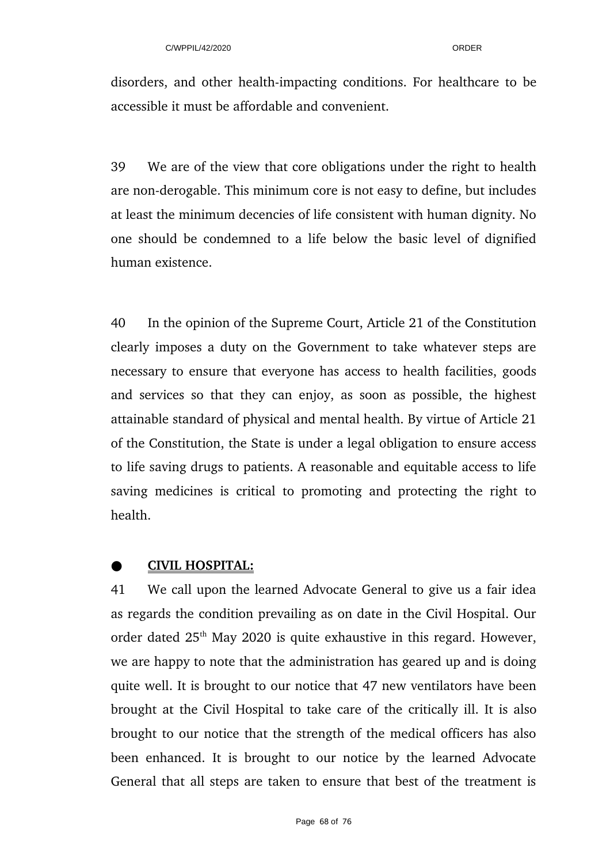disorders, and other health-impacting conditions. For healthcare to be accessible it must be affordable and convenient.

39 We are of the view that core obligations under the right to health are non-derogable. This minimum core is not easy to define, but includes at least the minimum decencies of life consistent with human dignity. No one should be condemned to a life below the basic level of dignified human existence.

40 In the opinion of the Supreme Court, Article 21 of the Constitution clearly imposes a duty on the Government to take whatever steps are necessary to ensure that everyone has access to health facilities, goods and services so that they can enjoy, as soon as possible, the highest attainable standard of physical and mental health. By virtue of Article 21 of the Constitution, the State is under a legal obligation to ensure access to life saving drugs to patients. A reasonable and equitable access to life saving medicines is critical to promoting and protecting the right to health.

# ●  **CIVIL HOSPITAL:**

41 We call upon the learned Advocate General to give us a fair idea as regards the condition prevailing as on date in the Civil Hospital. Our order dated  $25<sup>th</sup>$  May 2020 is quite exhaustive in this regard. However, we are happy to note that the administration has geared up and is doing quite well. It is brought to our notice that 47 new ventilators have been brought at the Civil Hospital to take care of the critically ill. It is also brought to our notice that the strength of the medical officers has also been enhanced. It is brought to our notice by the learned Advocate General that all steps are taken to ensure that best of the treatment is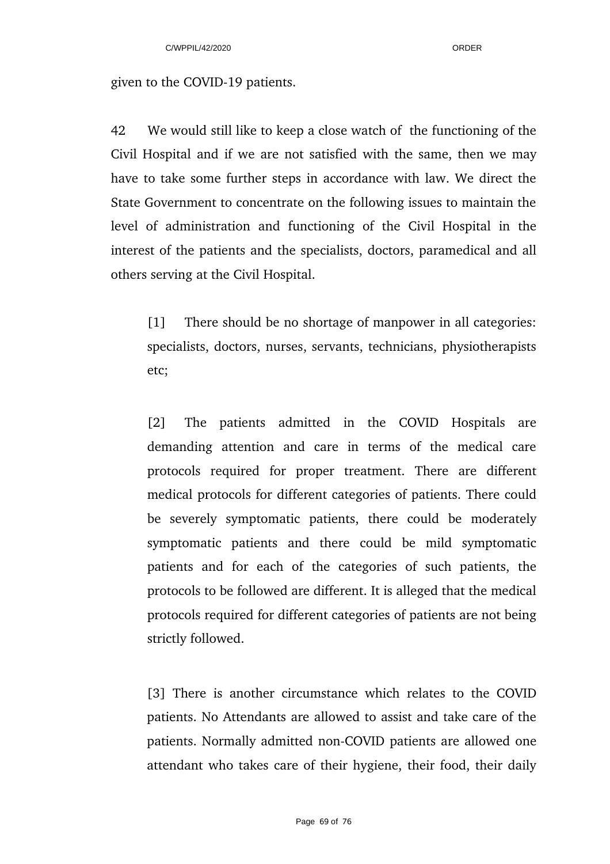given to the COVID-19 patients.

42 We would still like to keep a close watch of the functioning of the Civil Hospital and if we are not satisfied with the same, then we may have to take some further steps in accordance with law. We direct the State Government to concentrate on the following issues to maintain the level of administration and functioning of the Civil Hospital in the interest of the patients and the specialists, doctors, paramedical and all others serving at the Civil Hospital.

[1] There should be no shortage of manpower in all categories: specialists, doctors, nurses, servants, technicians, physiotherapists etc;

[2] The patients admitted in the COVID Hospitals are demanding attention and care in terms of the medical care protocols required for proper treatment. There are different medical protocols for different categories of patients. There could be severely symptomatic patients, there could be moderately symptomatic patients and there could be mild symptomatic patients and for each of the categories of such patients, the protocols to be followed are different. It is alleged that the medical protocols required for different categories of patients are not being strictly followed.

[3] There is another circumstance which relates to the COVID patients. No Attendants are allowed to assist and take care of the patients. Normally admitted non-COVID patients are allowed one attendant who takes care of their hygiene, their food, their daily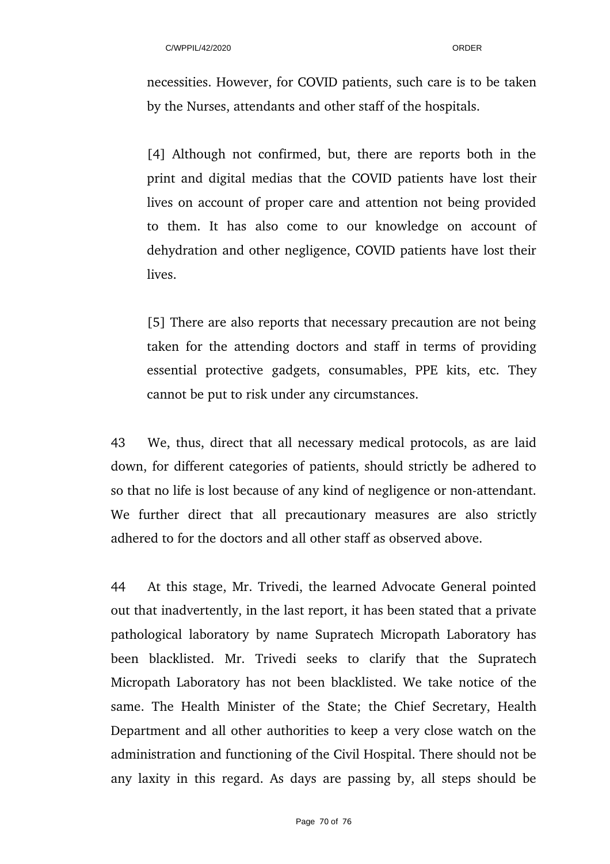necessities. However, for COVID patients, such care is to be taken by the Nurses, attendants and other staff of the hospitals.

[4] Although not confirmed, but, there are reports both in the print and digital medias that the COVID patients have lost their lives on account of proper care and attention not being provided to them. It has also come to our knowledge on account of dehydration and other negligence, COVID patients have lost their lives.

[5] There are also reports that necessary precaution are not being taken for the attending doctors and staff in terms of providing essential protective gadgets, consumables, PPE kits, etc. They cannot be put to risk under any circumstances.

43 We, thus, direct that all necessary medical protocols, as are laid down, for different categories of patients, should strictly be adhered to so that no life is lost because of any kind of negligence or non-attendant. We further direct that all precautionary measures are also strictly adhered to for the doctors and all other staff as observed above.

44 At this stage, Mr. Trivedi, the learned Advocate General pointed out that inadvertently, in the last report, it has been stated that a private pathological laboratory by name Supratech Micropath Laboratory has been blacklisted. Mr. Trivedi seeks to clarify that the Supratech Micropath Laboratory has not been blacklisted. We take notice of the same. The Health Minister of the State; the Chief Secretary, Health Department and all other authorities to keep a very close watch on the administration and functioning of the Civil Hospital. There should not be any laxity in this regard. As days are passing by, all steps should be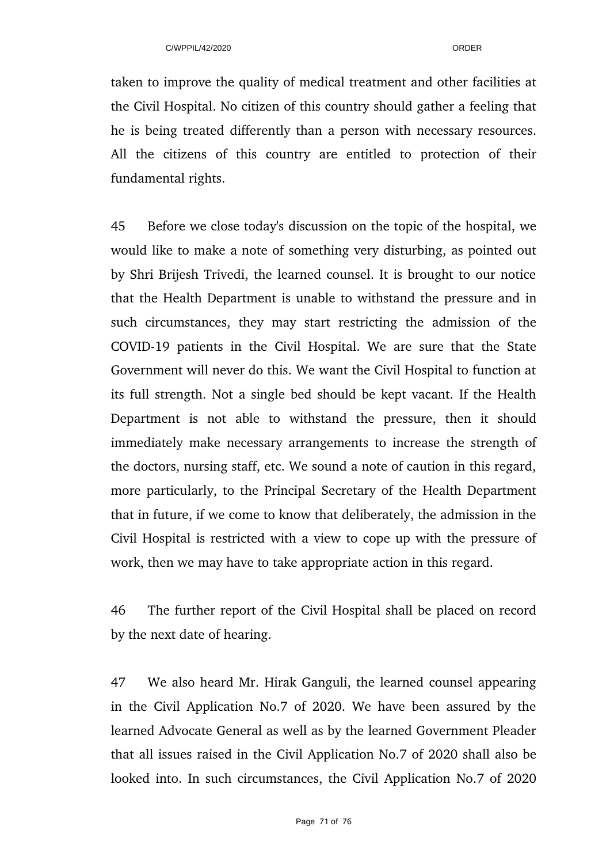taken to improve the quality of medical treatment and other facilities at the Civil Hospital. No citizen of this country should gather a feeling that he is being treated differently than a person with necessary resources. All the citizens of this country are entitled to protection of their fundamental rights.

45 Before we close today's discussion on the topic of the hospital, we would like to make a note of something very disturbing, as pointed out by Shri Brijesh Trivedi, the learned counsel. It is brought to our notice that the Health Department is unable to withstand the pressure and in such circumstances, they may start restricting the admission of the COVID-19 patients in the Civil Hospital. We are sure that the State Government will never do this. We want the Civil Hospital to function at its full strength. Not a single bed should be kept vacant. If the Health Department is not able to withstand the pressure, then it should immediately make necessary arrangements to increase the strength of the doctors, nursing staff, etc. We sound a note of caution in this regard, more particularly, to the Principal Secretary of the Health Department that in future, if we come to know that deliberately, the admission in the Civil Hospital is restricted with a view to cope up with the pressure of work, then we may have to take appropriate action in this regard.

46 The further report of the Civil Hospital shall be placed on record by the next date of hearing.

47 We also heard Mr. Hirak Ganguli, the learned counsel appearing in the Civil Application No.7 of 2020. We have been assured by the learned Advocate General as well as by the learned Government Pleader that all issues raised in the Civil Application No.7 of 2020 shall also be looked into. In such circumstances, the Civil Application No.7 of 2020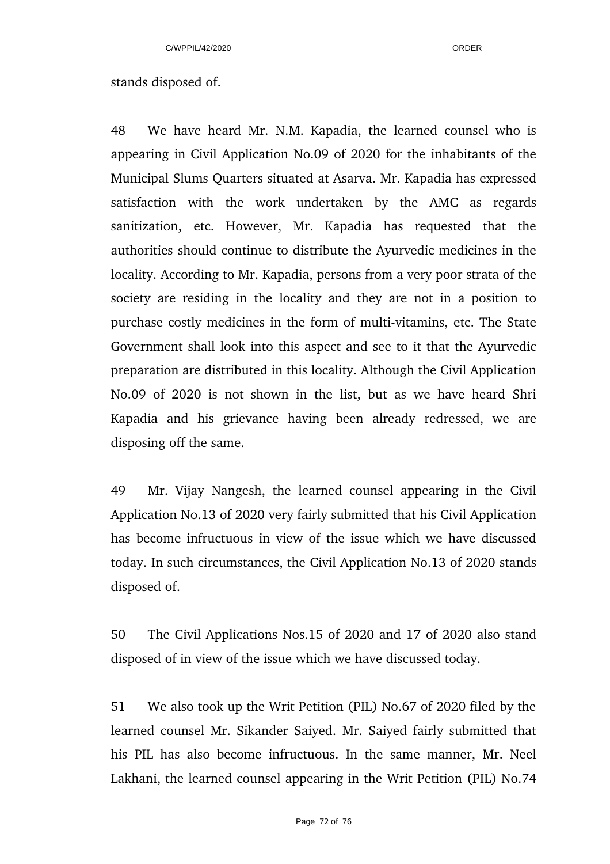## stands disposed of.

48 We have heard Mr. N.M. Kapadia, the learned counsel who is appearing in Civil Application No.09 of 2020 for the inhabitants of the Municipal Slums Quarters situated at Asarva. Mr. Kapadia has expressed satisfaction with the work undertaken by the AMC as regards sanitization, etc. However, Mr. Kapadia has requested that the authorities should continue to distribute the Ayurvedic medicines in the locality. According to Mr. Kapadia, persons from a very poor strata of the society are residing in the locality and they are not in a position to purchase costly medicines in the form of multi-vitamins, etc. The State Government shall look into this aspect and see to it that the Ayurvedic preparation are distributed in this locality. Although the Civil Application No.09 of 2020 is not shown in the list, but as we have heard Shri Kapadia and his grievance having been already redressed, we are disposing off the same.

49 Mr. Vijay Nangesh, the learned counsel appearing in the Civil Application No.13 of 2020 very fairly submitted that his Civil Application has become infructuous in view of the issue which we have discussed today. In such circumstances, the Civil Application No.13 of 2020 stands disposed of.

50 The Civil Applications Nos.15 of 2020 and 17 of 2020 also stand disposed of in view of the issue which we have discussed today.

51 We also took up the Writ Petition (PIL) No.67 of 2020 filed by the learned counsel Mr. Sikander Saiyed. Mr. Saiyed fairly submitted that his PIL has also become infructuous. In the same manner, Mr. Neel Lakhani, the learned counsel appearing in the Writ Petition (PIL) No.74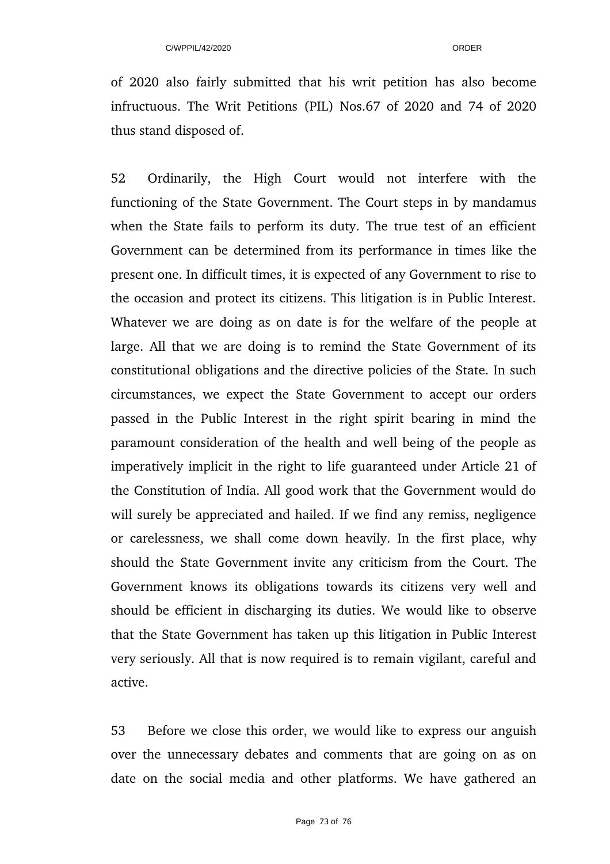of 2020 also fairly submitted that his writ petition has also become infructuous. The Writ Petitions (PIL) Nos.67 of 2020 and 74 of 2020 thus stand disposed of.

52 Ordinarily, the High Court would not interfere with the functioning of the State Government. The Court steps in by mandamus when the State fails to perform its duty. The true test of an efficient Government can be determined from its performance in times like the present one. In difficult times, it is expected of any Government to rise to the occasion and protect its citizens. This litigation is in Public Interest. Whatever we are doing as on date is for the welfare of the people at large. All that we are doing is to remind the State Government of its constitutional obligations and the directive policies of the State. In such circumstances, we expect the State Government to accept our orders passed in the Public Interest in the right spirit bearing in mind the paramount consideration of the health and well being of the people as imperatively implicit in the right to life guaranteed under Article 21 of the Constitution of India. All good work that the Government would do will surely be appreciated and hailed. If we find any remiss, negligence or carelessness, we shall come down heavily. In the first place, why should the State Government invite any criticism from the Court. The Government knows its obligations towards its citizens very well and should be efficient in discharging its duties. We would like to observe that the State Government has taken up this litigation in Public Interest very seriously. All that is now required is to remain vigilant, careful and active.

53 Before we close this order, we would like to express our anguish over the unnecessary debates and comments that are going on as on date on the social media and other platforms. We have gathered an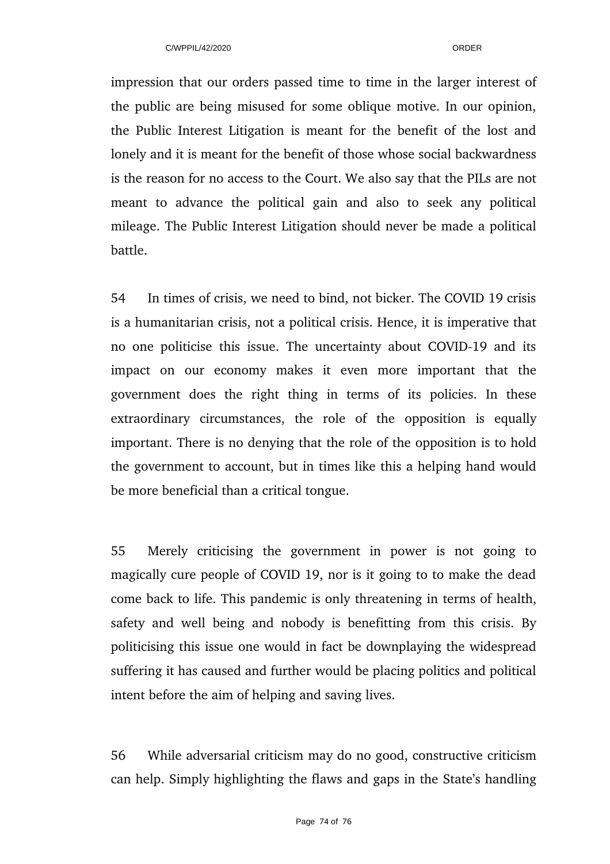impression that our orders passed time to time in the larger interest of the public are being misused for some oblique motive. In our opinion, the Public Interest Litigation is meant for the benefit of the lost and lonely and it is meant for the benefit of those whose social backwardness is the reason for no access to the Court. We also say that the PILs are not meant to advance the political gain and also to seek any political mileage. The Public Interest Litigation should never be made a political battle.

54 In times of crisis, we need to bind, not bicker. The COVID 19 crisis is a humanitarian crisis, not a political crisis. Hence, it is imperative that no one politicise this issue. The uncertainty about COVID-19 and its impact on our economy makes it even more important that the government does the right thing in terms of its policies. In these extraordinary circumstances, the role of the opposition is equally important. There is no denying that the role of the opposition is to hold the government to account, but in times like this a helping hand would be more beneficial than a critical tongue.

55 Merely criticising the government in power is not going to magically cure people of COVID 19, nor is it going to to make the dead come back to life. This pandemic is only threatening in terms of health, safety and well being and nobody is benefitting from this crisis. By politicising this issue one would in fact be downplaying the widespread suffering it has caused and further would be placing politics and political intent before the aim of helping and saving lives.

56 While adversarial criticism may do no good, constructive criticism can help. Simply highlighting the flaws and gaps in the State's handling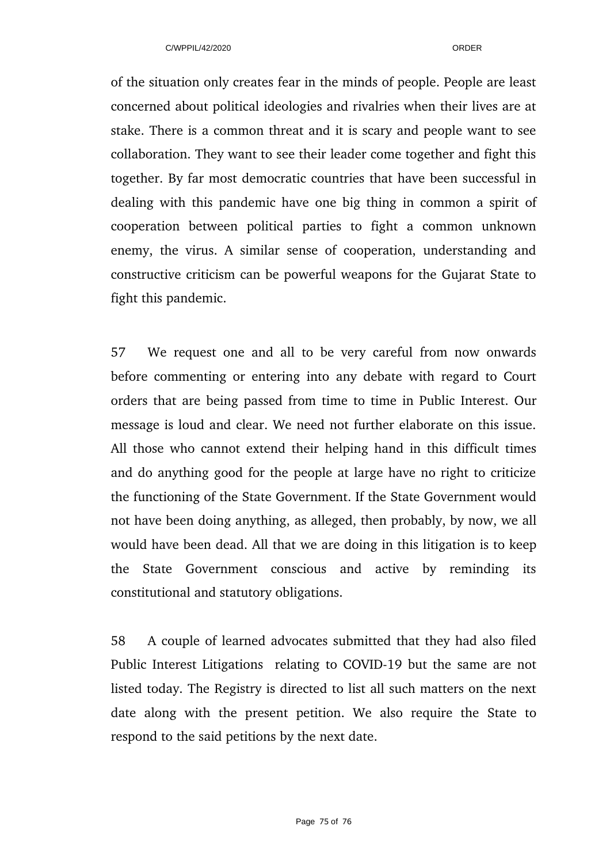of the situation only creates fear in the minds of people. People are least concerned about political ideologies and rivalries when their lives are at stake. There is a common threat and it is scary and people want to see collaboration. They want to see their leader come together and fight this together. By far most democratic countries that have been successful in dealing with this pandemic have one big thing in common a spirit of cooperation between political parties to fight a common unknown enemy, the virus. A similar sense of cooperation, understanding and constructive criticism can be powerful weapons for the Gujarat State to fight this pandemic.

57 We request one and all to be very careful from now onwards before commenting or entering into any debate with regard to Court orders that are being passed from time to time in Public Interest. Our message is loud and clear. We need not further elaborate on this issue. All those who cannot extend their helping hand in this difficult times and do anything good for the people at large have no right to criticize the functioning of the State Government. If the State Government would not have been doing anything, as alleged, then probably, by now, we all would have been dead. All that we are doing in this litigation is to keep the State Government conscious and active by reminding its constitutional and statutory obligations.

58 A couple of learned advocates submitted that they had also filed Public Interest Litigations relating to COVID-19 but the same are not listed today. The Registry is directed to list all such matters on the next date along with the present petition. We also require the State to respond to the said petitions by the next date.